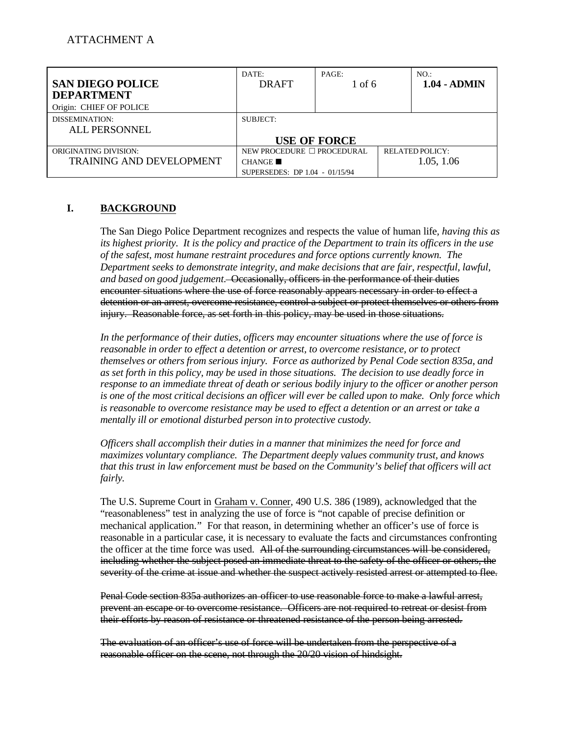| <b>SAN DIEGO POLICE</b><br><b>DEPARTMENT</b>                    | DATE:<br><b>DRAFT</b>                                                  | PAGE:<br>$1 \text{ of } 6$ | NO.<br>1.04 - ADMIN                  |
|-----------------------------------------------------------------|------------------------------------------------------------------------|----------------------------|--------------------------------------|
| Origin: CHIEF OF POLICE                                         |                                                                        |                            |                                      |
| DISSEMINATION:<br>ALL PERSONNEL                                 | SUBJECT:                                                               |                            |                                      |
|                                                                 |                                                                        | <b>USE OF FORCE</b>        |                                      |
| <b>ORIGINATING DIVISION:</b><br><b>TRAINING AND DEVELOPMENT</b> | NEW PROCEDURE □ PROCEDURAL<br>CHANGE<br>SUPERSEDES: DP 1.04 - 01/15/94 |                            | <b>RELATED POLICY:</b><br>1.05, 1.06 |

### **I. BACKGROUND**

The San Diego Police Department recognizes and respects the value of human life*, having this as its highest priority. It is the policy and practice of the Department to train its officers in the use of the safest, most humane restraint procedures and force options currently known. The Department seeks to demonstrate integrity, and make decisions that are fair, respectful, lawful, and based on good judgement.* Occasionally, officers in the performance of their duties encounter situations where the use of force reasonably appears necessary in order to effect a detention or an arrest, overcome resistance, control a subject or protect themselves or others from injury. Reasonable force, as set forth in this policy, may be used in those situations.

*In the performance of their duties, officers may encounter situations where the use of force is reasonable in order to effect a detention or arrest, to overcome resistance, or to protect themselves or others from serious injury. Force as authorized by Penal Code section 835a, and as set forth in this policy, may be used in those situations. The decision to use deadly force in response to an immediate threat of death or serious bodily injury to the officer or another person is one of the most critical decisions an officer will ever be called upon to make. Only force which is reasonable to overcome resistance may be used to effect a detention or an arrest or take a mentally ill or emotional disturbed person in to protective custody.* 

*Officers shall accomplish their duties in a manner that minimizes the need for force and maximizes voluntary compliance. The Department deeply values community trust, and knows that this trust in law enforcement must be based on the Community's belief that officers will act fairly.* 

The U.S. Supreme Court in Graham v. Conner, 490 U.S. 386 (1989), acknowledged that the "reasonableness" test in analyzing the use of force is "not capable of precise definition or mechanical application." For that reason, in determining whether an officer's use of force is reasonable in a particular case, it is necessary to evaluate the facts and circumstances confronting the officer at the time force was used. All of the surrounding circumstances will be considered, including whether the subject posed an immediate threat to the safety of the officer or others, the severity of the crime at issue and whether the suspect actively resisted arrest or attempted to flee.

Penal Code section 835a authorizes an officer to use reasonable force to make a lawful arrest, prevent an escape or to overcome resistance. Officers are not required to retreat or desist from their efforts by reason of resistance or threatened resistance of the person being arrested.

The evaluation of an officer's use of force will be undertaken from the perspective of a reasonable officer on the scene, not through the 20/20 vision of hindsight.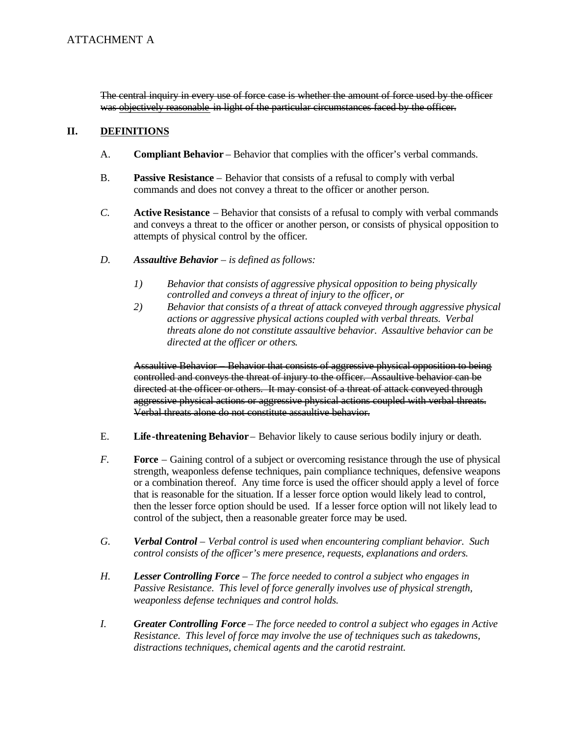The central inquiry in every use of force case is whether the amount of force used by the officer was objectively reasonable in light of the particular circumstances faced by the officer.

#### II. **DEFINITIONS**

- A. **Compliant Behavior – Behavior that complies with the officer's verbal commands.**
- $B<sub>1</sub>$ **Passive Resistance** – Behavior that consists of a refusal to comply with verbal commands and does not convey a threat to the officer or another person.
- $C_{\cdot}$ **Active Resistance** – Behavior that consists of a refusal to comply with verbal commands and conveys a threat to the officer or another person, or consists of physical opposition to attempts of physical control by the officer*.*
- $D<sub>1</sub>$ *D.Assaultive Behavior – is defined as follows:* 
	- $I)$ *1)Behavior that consists of aggressive physical opposition to being physically controlled and conveys a threat of injury to the officer, or*
	- 2) *2)Behavior that consists of a threat of attack conveyed through aggressive physical actions or aggressive physical actions coupled with verbal threats. Verbal threats alone do not constitute assaultive behavior. Assaultive behavior can be directed at the officer or others.*

Assaultive Behavior – Behavior that consists of aggressive physical opposition to being controlled and conveys the threat of injury to the officer. Assaultive behavior can be directed at the officer or others. It may consist of a threat of attack conveyed through aggressive physical actions or aggressive physical actions coupled with verbal threats. Verbal threats alone do not constitute assaultive behavior.

- $E_{\cdot}$ **Life-threatening Behavior** – Behavior likely to cause serious bodily injury or death.
- $F_{\cdot}$ **Force** – Gaining control of a subject or overcoming resistance through the use of physical strength, weaponless defense techniques, pain compliance techniques, defensive weapons or a combination thereof. Any time force is used the officer should apply a level of force that is reasonable for the situation. If a lesser force option would likely lead to control, then the lesser force option should be used. If a lesser force option will not likely lead to control of the subject, then a reasonable greater force may be used.
- G. *G.Verbal Control – Verbal control is used when encountering compliant behavior. Such control consists of the officer's mere presence, requests, explanations and orders.*
- $H<sub>1</sub>$ *H.Lesser Controlling Force – The force needed to control a subject who engages in Passive Resistance. This level of force generally involves use of physical strength, weaponless defense techniques and control holds.*
- $I_{\cdot}$ *I.Greater Controlling Force – The force needed to control a subject who egages in Active Resistance. This level of force may involve the use of techniques such as takedowns, distractions techniques, chemical agents and the carotid restraint.*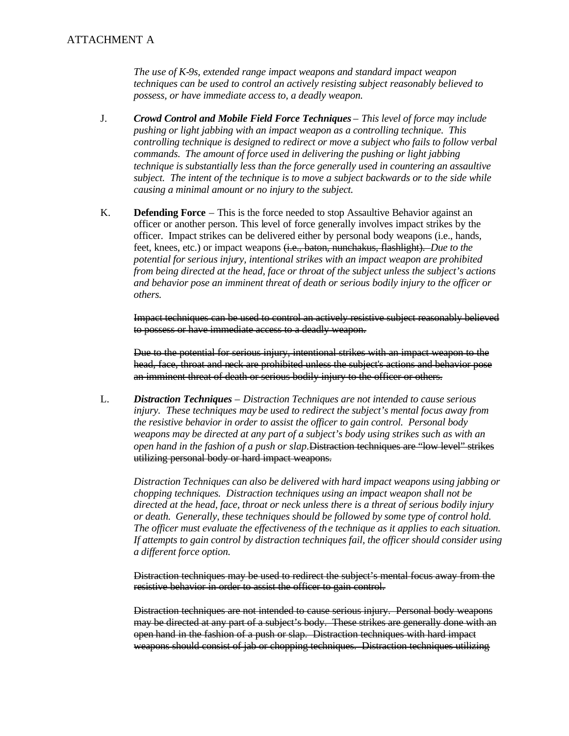*The use of K-9s, extended range impact weapons and standard impact weapon techniques can be used to control an actively resisting subject reasonably believed to possess, or have immediate access to, a deadly weapon.* 

- $J<sub>r</sub>$ J.*Crowd Control and Mobile Field Force Techniques – This level of force may include pushing or light jabbing with an impact weapon as a controlling technique. This controlling technique is designed to redirect or move a subject who fails to follow verbal commands. The amount of force used in delivering the pushing or light jabbing technique is substantially less than the force generally used in countering an assaultive subject. The intent of the technique is to move a subject backwards or to the side while causing a minimal amount or no injury to the subject.*
- $K_{\cdot}$ **Defending Force** – This is the force needed to stop Assaultive Behavior against an officer or another person. This level of force generally involves impact strikes by the officer. Impact strikes can be delivered either by personal body weapons (i.e., hands, feet, knees, etc.) or impact weapons (i.e., baton, nunchakus, flashlight). *Due to the potential for serious injury, intentional strikes with an impact weapon are prohibited from being directed at the head, face or throat of the subject unless the subject's actions and behavior pose an imminent threat of death or serious bodily injury to the officer or others.*

Impact techniques can be used to control an actively resistive subject reasonably believed to possess or have immediate access to a deadly weapon.

Due to the potential for serious injury, intentional strikes with an impact weapon to the head, face, throat and neck are prohibited unless the subject's actions and behavior pose an imminent threat of death or serious bodily injury to the officer or others.

L. L.*Distraction Techniques – Distraction Techniques are not intended to cause serious injury. These techniques may be used to redirect the subject's mental focus away from the resistive behavior in order to assist the officer to gain control. Personal body weapons may be directed at any part of a subject's body using strikes such as with an open hand in the fashion of a push or slap.*Distraction techniques are "low level" strikes utilizing personal body or hard impact weapons.

*Distraction Techniques can also be delivered with hard impact weapons using jabbing or chopping techniques. Distraction techniques using an impact weapon shall not be directed at the head, face, throat or neck unless there is a threat of serious bodily injury or death. Generally, these techniques should be followed by some type of control hold. The officer must evaluate the effectiveness of th e technique as it applies to each situation. If attempts to gain control by distraction techniques fail, the officer should consider using a different force option.* 

Distraction techniques may be used to redirect the subject's mental focus away from the resistive behavior in order to assist the officer to gain control.

Distraction techniques are not intended to cause serious injury. Personal body weapons may be directed at any part of a subject's body. These strikes are generally done with an open hand in the fashion of a push or slap. Distraction techniques with hard impact weapons should consist of jab or chopping techniques. Distraction techniques utilizing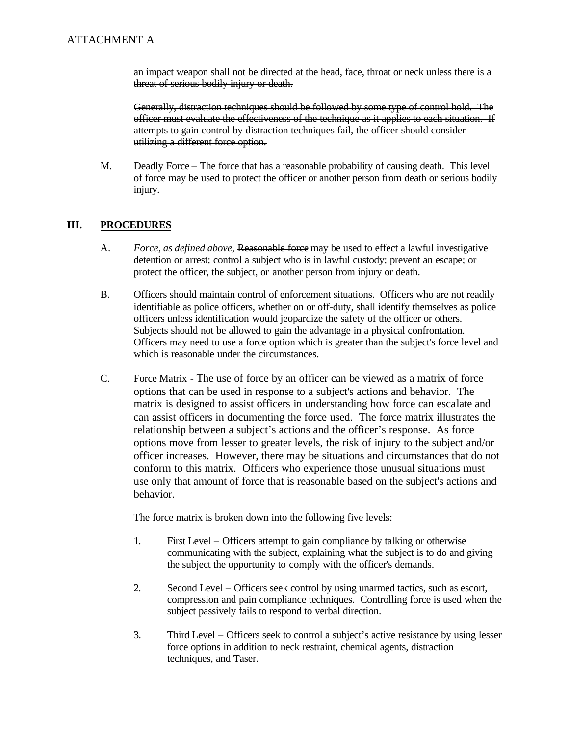an impact weapon shall not be directed at the head, face, throat or neck unless there is a threat of serious bodily injury or death.

Generally, distraction techniques should be followed by some type of control hold. The officer must evaluate the effectiveness of the technique as it applies to each situation. If attempts to gain control by distraction techniques fail, the officer should consider utilizing a different force option.

M. Deadly Force – The force that has a reasonable probability of causing death. This level of force may be used to protect the officer or another person from death or serious bodily injury.

#### III. **III.PROCEDURES**

- $A_{-}$ *Force, as defined above,* Reasonable force may be used to effect a lawful investigative detention or arrest; control a subject who is in lawful custody; prevent an escape; or protect the officer, the subject, or another person from injury or death.
- $B<sub>1</sub>$ B.Officers should maintain control of enforcement situations. Officers who are not readily identifiable as police officers, whether on or off-duty, shall identify themselves as police officers unless identification would jeopardize the safety of the officer or others. Subjects should not be allowed to gain the advantage in a physical confrontation. Officers may need to use a force option which is greater than the subject's force level and which is reasonable under the circumstances.
- $C_{\cdot}$ Force Matrix - The use of force by an officer can be viewed as a matrix of force options that can be used in response to a subject's actions and behavior. The matrix is designed to assist officers in understanding how force can escalate and can assist officers in documenting the force used. The force matrix illustrates the relationship between a subject's actions and the officer's response. As force options move from lesser to greater levels, the risk of injury to the subject and/or officer increases. However, there may be situations and circumstances that do not conform to this matrix. Officers who experience those unusual situations must use only that amount of force that is reasonable based on the subject's actions and behavior.

The force matrix is broken down into the following five levels:

- $1.$ First Level – Officers attempt to gain compliance by talking or otherwise communicating with the subject, explaining what the subject is to do and giving the subject the opportunity to comply with the officer's demands.
- $2.$ Second Level – Officers seek control by using unarmed tactics, such as escort, compression and pain compliance techniques. Controlling force is used when the subject passively fails to respond to verbal direction.
- $3.$ 3.Third Level – Officers seek to control a subject's active resistance by using lesser force options in addition to neck restraint, chemical agents, distraction techniques, and Taser.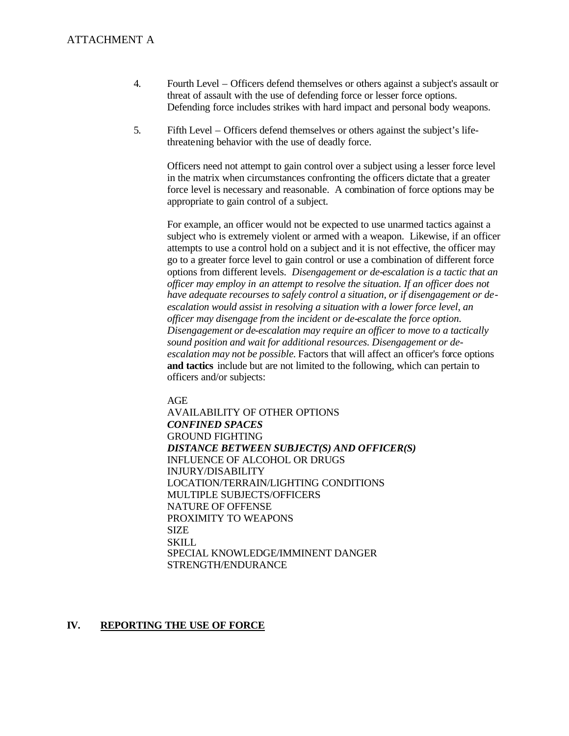### **ATTACHMENT A**

- $\overline{4}$ . Fourth Level – Officers defend themselves or others against a subject's assault or threat of assault with the use of defending force or lesser force options. Defending force includes strikes with hard impact and personal body weapons.
- 5. Fifth Level – Officers defend themselves or others against the subject's lifethreatening behavior with the use of deadly force.

Officers need not attempt to gain control over a subject using a lesser force level in the matrix when circumstances confronting the officers dictate that a greater force level is necessary and reasonable. A combination of force options may be appropriate to gain control of a subject.

For example, an officer would not be expected to use unarmed tactics against a subject who is extremely violent or armed with a weapon. Likewise, if an officer attempts to use a control hold on a subject and it is not effective, the officer may go to a greater force level to gain control or use a combination of different force options from different levels. *Disengagement or de-escalation is a tactic that an officer may employ in an attempt to resolve the situation. If an officer does not have adequate recourses to safely control a situation, or if disengagement or deescalation would assist in resolving a situation with a lower force level, an officer may disengage from the incident or de-escalate the force option. Disengagement or de-escalation may require an officer to move to a tactically sound position and wait for additional resources. Disengagement or deescalation may not be possible.* Factors that will affect an officer's force options **and tactics** include but are not limited to the following, which can pertain to officers and/or subjects:

### AGE

AVAILABILITY OF OTHER OPTIONS *CONFINED SPACES*  GROUND FIGHTING *DISTANCE BETWEEN SUBJECT(S) AND OFFICER(S)*  INFLUENCE OF ALCOHOL OR DRUGS INJURY/DISABILITY LOCATION/TERRAIN/LIGHTING CONDITIONS MULTIPLE SUBJECTS/OFFICERS NATURE OF OFFENSE PROXIMITY TO WEAPONS SIZE **SKILL** SPECIAL KNOWLEDGE/IMMINENT DANGER STRENGTH/ENDURANCE

#### IV. **REPORTING THE USE OF FORCE**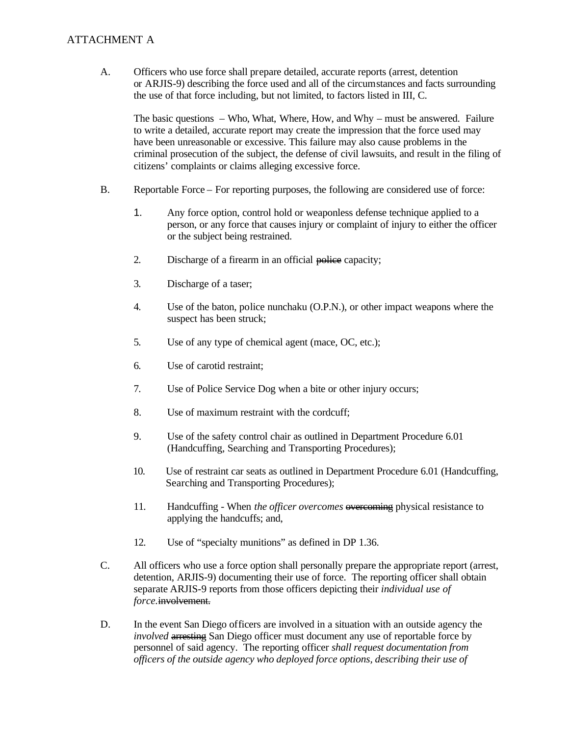### ATTACHMENT A

A. Officers who use force shall prepare detailed, accurate reports (arrest, detention or ARJIS-9) describing the force used and all of the circumstances and facts surrounding the use of that force including, but not limited, to factors listed in III, C.

The basic questions – Who, What, Where, How, and Why – must be answered. Failure to write a detailed, accurate report may create the impression that the force used may have been unreasonable or excessive. This failure may also cause problems in the criminal prosecution of the subject, the defense of civil lawsuits, and result in the filing of citizens' complaints or claims alleging excessive force.

- **B.** B. Reportable Force – For reporting purposes, the following are considered use of force:
	- $1<sub>1</sub>$ Any force option, control hold or weaponless defense technique applied to a person, or any force that causes injury or complaint of injury to either the officer or the subject being restrained.
	- $2.$ Discharge of a firearm in an official police capacity;
	- $3.$ Discharge of a taser;
	- $\overline{4}$ . Use of the baton, police nunchaku (O.P.N.), or other impact weapons where the suspect has been struck;
	- 5. Use of any type of chemical agent (mace, OC, etc.);
	- 6. Use of carotid restraint:
	- 7. Use of Police Service Dog when a bite or other injury occurs;
	- 8. Use of maximum restraint with the cordcuff;
	- 9. Use of the safety control chair as outlined in Department Procedure 6.01 (Handcuffing, Searching and Transporting Procedures);
	- $10.$ Use of restraint car seats as outlined in Department Procedure 6.01 (Handcuffing, Searching and Transporting Procedures);
	- 11. 11.Handcuffing - When *the officer overcomes* overcoming physical resistance to applying the handcuffs; and,
	- $12.$ Use of "specialty munitions" as defined in DP 1.36.
- $C_{\cdot}$ All officers who use a force option shall personally prepare the appropriate report (arrest, detention, ARJIS-9) documenting their use of force. The reporting officer shall obtain separate ARJIS-9 reports from those officers depicting their *individual use of force.*involvement.
- D. In the event San Diego officers are involved in a situation with an outside agency the *involved* arresting San Diego officer must document any use of reportable force by personnel of said agency. The reporting officer *shall request documentation from officers of the outside agency who deployed force options, describing their use of*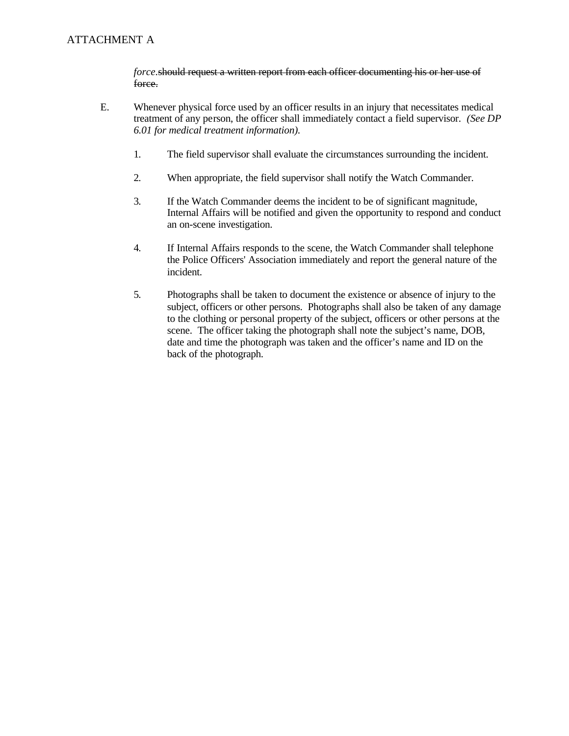### ATTACHMENT A

*force.*should request a written report from each officer documenting his or her use of force.

- E. E.Whenever physical force used by an officer results in an injury that necessitates medical treatment of any person, the officer shall immediately contact a field supervisor. *(See DP 6.01 for medical treatment information).* 
	- $1.$ The field supervisor shall evaluate the circumstances surrounding the incident.
	- 2. When appropriate, the field supervisor shall notify the Watch Commander.
	- $3.$ If the Watch Commander deems the incident to be of significant magnitude, Internal Affairs will be notified and given the opportunity to respond and conduct an on-scene investigation.
	- 4. If Internal Affairs responds to the scene, the Watch Commander shall telephone the Police Officers' Association immediately and report the general nature of the incident.
	- 5. 5.Photographs shall be taken to document the existence or absence of injury to the subject, officers or other persons. Photographs shall also be taken of any damage to the clothing or personal property of the subject, officers or other persons at the scene. The officer taking the photograph shall note the subject's name, DOB, date and time the photograph was taken and the officer's name and ID on the back of the photograph.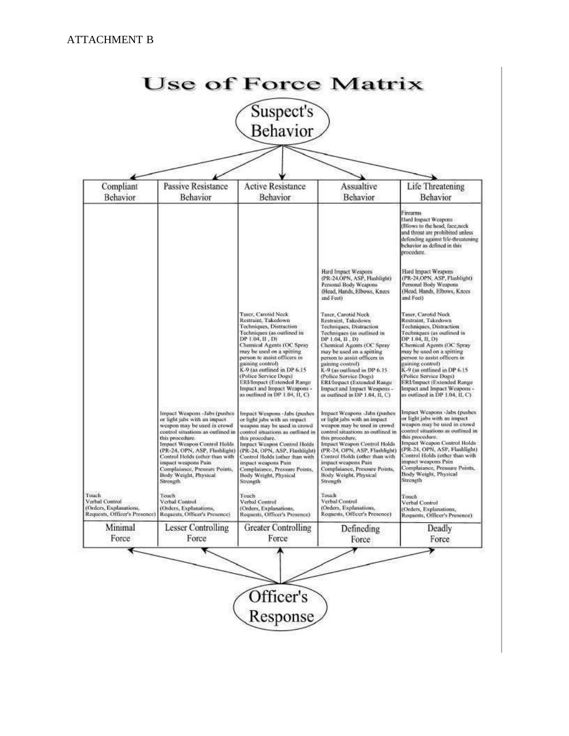|                                                                                    |                                                                                                                                                                                                                                                                                                                                                           | Suspect's<br><b>Behavior</b>                                                                                                                                                                                                                                                                                                                                                                |                                                                                                                                                                                                                                                                                                                                                                                              |                                                                                                                                                                                                                                                                                                                                                                                              |
|------------------------------------------------------------------------------------|-----------------------------------------------------------------------------------------------------------------------------------------------------------------------------------------------------------------------------------------------------------------------------------------------------------------------------------------------------------|---------------------------------------------------------------------------------------------------------------------------------------------------------------------------------------------------------------------------------------------------------------------------------------------------------------------------------------------------------------------------------------------|----------------------------------------------------------------------------------------------------------------------------------------------------------------------------------------------------------------------------------------------------------------------------------------------------------------------------------------------------------------------------------------------|----------------------------------------------------------------------------------------------------------------------------------------------------------------------------------------------------------------------------------------------------------------------------------------------------------------------------------------------------------------------------------------------|
|                                                                                    |                                                                                                                                                                                                                                                                                                                                                           |                                                                                                                                                                                                                                                                                                                                                                                             |                                                                                                                                                                                                                                                                                                                                                                                              |                                                                                                                                                                                                                                                                                                                                                                                              |
| Compliant<br><b>Behavior</b>                                                       | <b>Passive Resistance</b><br>Behavior                                                                                                                                                                                                                                                                                                                     | <b>Active Resistance</b><br>Behavior                                                                                                                                                                                                                                                                                                                                                        | Assualtive<br>Behavior                                                                                                                                                                                                                                                                                                                                                                       | <b>Life Threatening</b><br>Behavior                                                                                                                                                                                                                                                                                                                                                          |
|                                                                                    |                                                                                                                                                                                                                                                                                                                                                           |                                                                                                                                                                                                                                                                                                                                                                                             |                                                                                                                                                                                                                                                                                                                                                                                              | Firearms<br>Hard Impact Weapons<br>(Blows to the head, face, neck<br>and throat are prohibited unless<br>defending against life-threatening<br>behavior as defined in this<br>procedure.                                                                                                                                                                                                     |
|                                                                                    |                                                                                                                                                                                                                                                                                                                                                           |                                                                                                                                                                                                                                                                                                                                                                                             | Hard Impact Weapons<br>(PR-24,OPN, ASP, Flashlight)<br>Personal Body Weapons<br>(Head, Hands, Elbows, Knees<br>and Feet)                                                                                                                                                                                                                                                                     | Hard Impact Weapons<br>(PR-24,OPN, ASP, Flashlight)<br>Personal Body Weapons<br>(Head, Hands, Elbows, Knees<br>and Feet)                                                                                                                                                                                                                                                                     |
|                                                                                    |                                                                                                                                                                                                                                                                                                                                                           | Taser, Carotid Neck<br>Restraint, Takedown<br>Techniques, Distraction<br>Techniques (as outlined in<br>DP 1.04, II, D)<br>Chemical Agents (OC Spray<br>may be used on a spitting<br>person to assist officers in<br>gaining control)<br>K-9 (as outlined in DP 6.15<br>(Police Service Dogs)<br>ERI/Impact (Extended Range<br>Impact and Impact Weapons -<br>as outlined in DP 1.04, II, C) | Taser, Carotid Neck<br>Restraint, Takedown<br>Techniques, Distruction<br>Techniques (as outlined in<br>DP 1.04, II , D)<br>Chemical Agents (OC Spray<br>may be used on a spitting<br>person to assist officers in<br>gaining control)<br>K-9 (as outlined in DP 6.15<br>(Police Service Dogs)<br>ERI/Impact (Extended Range<br>Impact and Impact Weapons -<br>as outlined in DP 1.04, II, C) | Taser, Carotid Neck<br>Restraint, Takedown<br>Techniques, Distraction<br>Techniques (as outlined in<br>DP 1.04, II, D)<br>Chemical Agents (OC Spray<br>may be used on a spitting<br>person to assist officers in<br>gaining control)<br>K-9 (as outlined in DP 6.15)<br>(Police Service Dogs)<br>ERI/Impact (Extended Range<br>Impact and Impact Weapons -<br>as outlined in DP 1.04, II, C) |
|                                                                                    | Impact Weapons -Jabs (pushes<br>or light jabs with an impact<br>weapon may be used in crowd<br>control situations as outlined in<br>this procedure.<br><b>Impact Weapon Control Holds</b><br>(PR-24, OPN, ASP, Flashlight)<br>Control Holds (other than with<br>impact weapons Pain<br>Complaiance, Pressure Points,<br>Body Weight, Physical<br>Strength | Impact Weapons -Jabs (pushes<br>or light jabs with an impact<br>weapon may be used in crowd<br>control situations as outlined in<br>this procedure.<br>Impact Weapon Control Holds<br>(PR-24, OPN, ASP, Flashlight)<br>Control Holds (other than with<br>impact weapons Pain<br>Complaiance, Pressure Points,<br>Body Weight, Physical<br>Strength                                          | Impact Weapons -Jabs (pushes<br>or light jabs with an impact<br>weapon may be used in crowd<br>control situations as outlined in<br>this procedure.<br>Impact Weapon Control Holds<br>(PR-24, OPN, ASP, Flashlight)<br>Control Holds (other than with<br>impact weapons Pain.<br>Complaiance, Pressure Points,<br>Body Weight, Physical<br>Strength                                          | Impact Weapons -Jabs (pushes)<br>or light jabs with an impact<br>weapon may be used in crowd<br>control situations as outlined in<br>this procedure.<br>Impact Weapon Control Holds<br>(PR-24, OPN, ASP, Flashlight)<br>Control Holds (other than with<br>impact weapons Pain<br>Complaiance, Pressure Points,<br>Body Weight, Physical<br>Strength                                          |
| Touch<br>Verbal Control<br>(Orders, Explanations,<br>Requests, Officer's Presence) | Touch<br>Verbal Control<br>(Orders, Explanations,<br>Requests, Officer's Presence)                                                                                                                                                                                                                                                                        | Touch<br>Verbal Control<br>(Orders, Explanations,<br>Requests, Officer's Presence)                                                                                                                                                                                                                                                                                                          | Touch<br>Verbal Control<br>(Orders, Explanations,<br>Requests, Officer's Presence)                                                                                                                                                                                                                                                                                                           | Touch<br>Verbal Control<br>(Orders, Explanations,<br>Requests, Officer's Presence)                                                                                                                                                                                                                                                                                                           |
| Minimal<br>Force                                                                   | <b>Lesser Controlling</b><br>Force                                                                                                                                                                                                                                                                                                                        | <b>Greater Controlling</b><br>Force                                                                                                                                                                                                                                                                                                                                                         | Defineding<br>Force                                                                                                                                                                                                                                                                                                                                                                          | Deadly<br>Force                                                                                                                                                                                                                                                                                                                                                                              |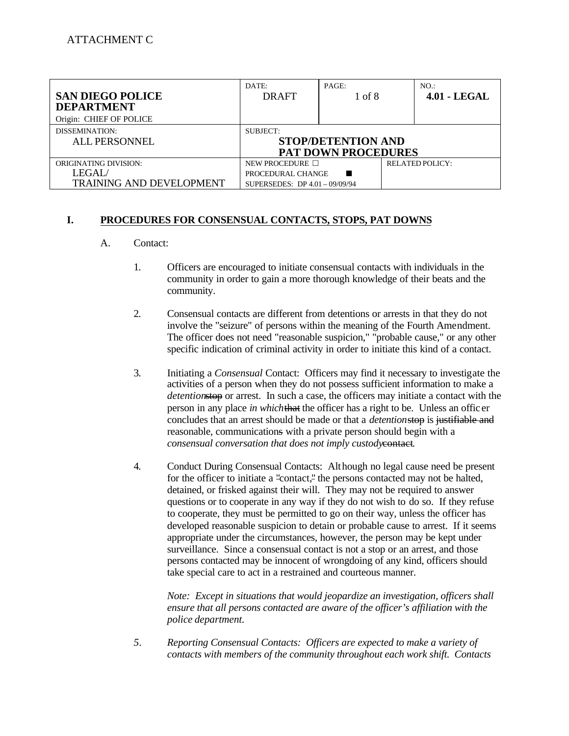| <b>SAN DIEGO POLICE</b><br><b>DEPARTMENT</b> | DATE:<br><b>DRAFT</b>                 | PAGE:<br>1 of 8 | NO.<br>$4.01 - LEGAL$  |  |  |
|----------------------------------------------|---------------------------------------|-----------------|------------------------|--|--|
| Origin: CHIEF OF POLICE                      |                                       |                 |                        |  |  |
| DISSEMINATION:<br><b>ALL PERSONNEL</b>       | SUBJECT:<br><b>STOP/DETENTION AND</b> |                 |                        |  |  |
|                                              | <b>PAT DOWN PROCEDURES</b>            |                 |                        |  |  |
| <b>ORIGINATING DIVISION:</b>                 | NEW PROCEDURE $\Box$                  |                 | <b>RELATED POLICY:</b> |  |  |
| LEGAL/                                       | PROCEDURAL CHANGE                     |                 |                        |  |  |
| <b>TRAINING AND DEVELOPMENT</b>              | SUPERSEDES: DP 4.01 - 09/09/94        |                 |                        |  |  |

#### I. **I.PROCEDURES FOR CONSENSUAL CONTACTS, STOPS, PAT DOWNS**

#### $A_{-}$ Contact:

- $1.$ 1.Officers are encouraged to initiate consensual contacts with individuals in the community in order to gain a more thorough knowledge of their beats and the community.
- $2.$ 2.Consensual contacts are different from detentions or arrests in that they do not involve the "seizure" of persons within the meaning of the Fourth Amendment. The officer does not need "reasonable suspicion," "probable cause," or any other specific indication of criminal activity in order to initiate this kind of a contact.
- $\overline{3}$ . 3.Initiating a *Consensual* Contact: Officers may find it necessary to investigate the activities of a person when they do not possess sufficient information to make a *detention*stop or arrest. In such a case, the officers may initiate a contact with the person in any place *in which*that the officer has a right to be. Unless an offic er concludes that an arrest should be made or that a *detention*stop is justifiable and reasonable, communications with a private person should begin with a *consensual conversation that does not imply custody*contact.
- 4. 4.Conduct During Consensual Contacts: Alt hough no legal cause need be present for the officer to initiate a "contact," the persons contacted may not be halted, detained, or frisked against their will. They may not be required to answer questions or to cooperate in any way if they do not wish to do so. If they refuse to cooperate, they must be permitted to go on their way, unless the officer has developed reasonable suspicion to detain or probable cause to arrest. If it seems appropriate under the circumstances, however, the person may be kept under surveillance. Since a consensual contact is not a stop or an arrest, and those persons contacted may be innocent of wrongdoing of any kind, officers should take special care to act in a restrained and courteous manner.

*Note: Except in situations that would jeopardize an investigation, officers shall ensure that all persons contacted are aware of the officer's affiliation with the police department.* 

5. *5.Reporting Consensual Contacts: Officers are expected to make a variety of contacts with members of the community throughout each work shift. Contacts*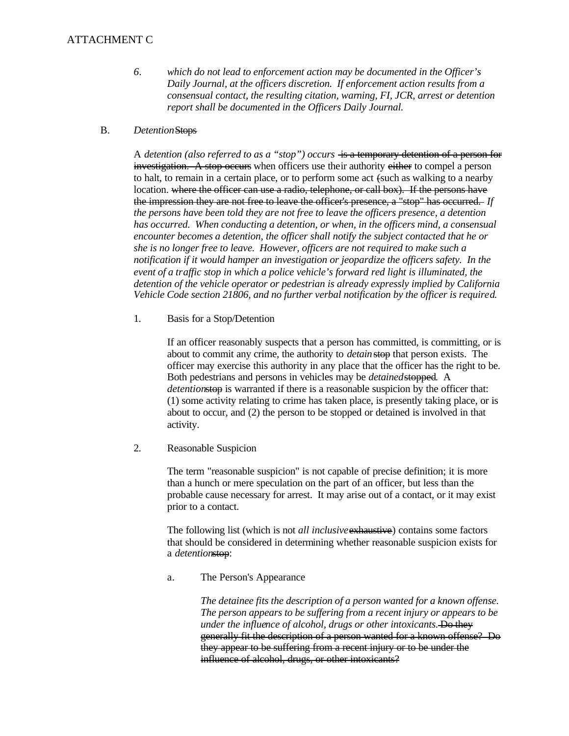### ATTACHMENT C

- 6. *6.which do not lead to enforcement action may be documented in the Officer's Daily Journal, at the officers discretion. If enforcement action results from a consensual contact, the resulting citation, warning, FI, JCR, arrest or detention report shall be documented in the Officers Daily Journal.*
- $B<sub>1</sub>$ **Detention**Stops

A *detention (also referred to as a "stop") occurs* is a temporary detention of a person for investigation. A stop occurs when officers use their authority either to compel a person to halt, to remain in a certain place, or to perform some act (such as walking to a nearby location. where the officer can use a radio, telephone, or call box). If the persons have the impression they are not free to leave the officer's presence, a "stop" has occurred. *If the persons have been told they are not free to leave the officers presence, a detention has occurred. When conducting a detention, or when, in the officers mind, a consensual encounter becomes a detention, the officer shall notify the subject contacted that he or she is no longer free to leave. However, officers are not required to make such a notification if it would hamper an investigation or jeopardize the officers safety. In the event of a traffic stop in which a police vehicle's forward red light is illuminated, the detention of the vehicle operator or pedestrian is already expressly implied by California Vehicle Code section 21806, and no further verbal notification by the officer is required.* 

 $1.$ Basis for a Stop/Detention

> If an officer reasonably suspects that a person has committed, is committing, or is about to commit any crime, the authority to *detain* stop that person exists. The officer may exercise this authority in any place that the officer has the right to be. Both pedestrians and persons in vehicles may be *detained*stopped. A *detention*stop is warranted if there is a reasonable suspicion by the officer that: (1) some activity relating to crime has taken place, is presently taking place, or is about to occur, and (2) the person to be stopped or detained is involved in that activity.

 $2.$ Reasonable Suspicion

> The term "reasonable suspicion" is not capable of precise definition; it is more than a hunch or mere speculation on the part of an officer, but less than the probable cause necessary for arrest. It may arise out of a contact, or it may exist prior to a contact.

> The following list (which is not *all inclusive* exhaustive) contains some factors that should be considered in determining whether reasonable suspicion exists for a *detention*stop:

a. The Person's Appearance

> *The detainee fits the description of a person wanted for a known offense. The person appears to be suffering from a recent injury or appears to be under the influence of alcohol, drugs or other intoxicants.* Do they generally fit the description of a person wanted for a known offense? Do they appear to be suffering from a recent injury or to be under the influence of alcohol, drugs, or other intoxicants?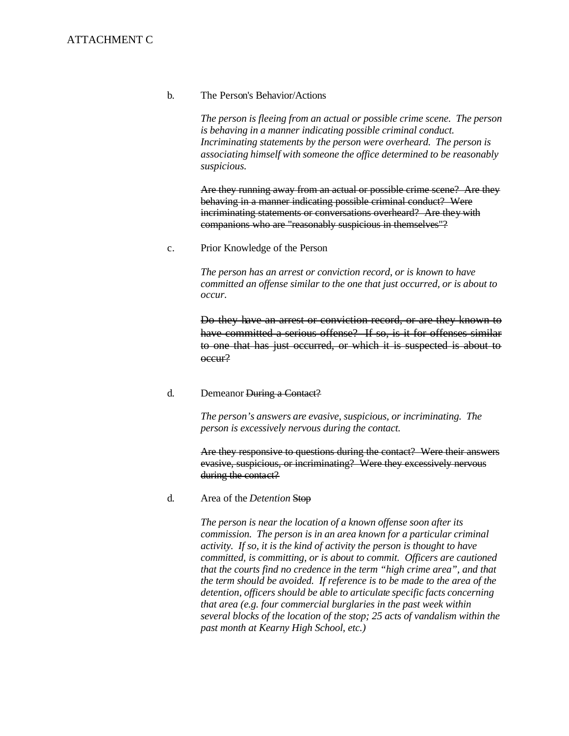#### b. The Person's Behavior/Actions

*The person is fleeing from an actual or possible crime scene. The person is behaving in a manner indicating possible criminal conduct. Incriminating statements by the person were overheard. The person is associating himself with someone the office determined to be reasonably suspicious.* 

Are they running away from an actual or possible crime scene? Are they behaving in a manner indicating possible criminal conduct? Were incriminating statements or conversations overheard? Are they with companions who are "reasonably suspicious in themselves"?

c. Prior Knowledge of the Person

> *The person has an arrest or conviction record, or is known to have committed an offense similar to the one that just occurred, or is about to occur.*

Do they have an arrest or conviction record, or are they known to have committed a serious offense? If so, is it for offenses similar to one that has just occurred, or which it is suspected is about to occur?

#### d. Demeanor During a Contact?

*The person's answers are evasive, suspicious, or incriminating. The person is excessively nervous during the contact.* 

Are they responsive to questions during the contact? Were their answers evasive, suspicious, or incriminating? Were they excessively nervous during the contact?

d. Area of the *Detention* Stop

> *The person is near the location of a known offense soon after its commission. The person is in an area known for a particular criminal activity. If so, it is the kind of activity the person is thought to have committed, is committing, or is about to commit. Officers are cautioned that the courts find no credence in the term "high crime area", and that the term should be avoided. If reference is to be made to the area of the detention, officers should be able to articulate specific facts concerning that area (e.g. four commercial burglaries in the past week within several blocks of the location of the stop; 25 acts of vandalism within the past month at Kearny High School, etc.)*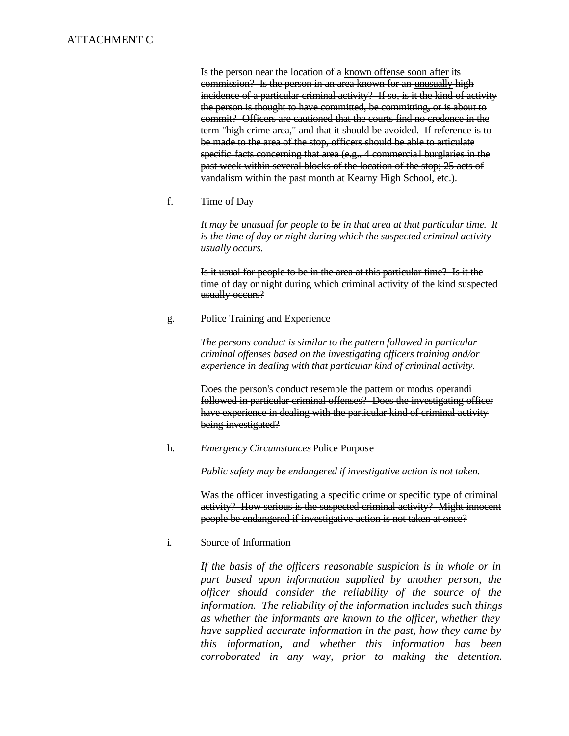### ATTACHMENT C

Is the person near the location of a known offense soon after its commission? Is the person in an area known for an unusually high incidence of a particular criminal activity? If so, is it the kind of activity the person is thought to have committed, be committing, or is about to commit? Officers are cautioned that the courts find no credence in the term "high crime area," and that it should be avoided. If reference is to be made to the area of the stop, officers should be able to articulate specific facts concerning that area (e.g., 4 commercial burglaries in the past week within several blocks of the location of the stop; 25 acts of vandalism within the past month at Kearny High School, etc.).

f. Time of Day

> *It may be unusual for people to be in that area at that particular time. It is the time of day or night during which the suspected criminal activity usually occurs.*

> Is it usual for people to be in the area at this particular time? Is it the time of day or night during which criminal activity of the kind suspected usually occurs?

g. Police Training and Experience

> *The persons conduct is similar to the pattern followed in particular criminal offenses based on the investigating officers training and/or experience in dealing with that particular kind of criminal activity.*

Does the person's conduct resemble the pattern or modus operandi followed in particular criminal offenses? Does the investigating officer have experience in dealing with the particular kind of criminal activity being investigated?

h. *Emergency Circumstances* Police Purpose

*Public safety may be endangered if investigative action is not taken.* 

Was the officer investigating a specific crime or specific type of criminal activity? How serious is the suspected criminal activity? Might innocent people be endangered if investigative action is not taken at once?

i. Source of Information

> *If the basis of the officers reasonable suspicion is in whole or in part based upon information supplied by another person, the officer should consider the reliability of the source of the information. The reliability of the information includes such things as whether the informants are known to the officer, whether they have supplied accurate information in the past, how they came by this information, and whether this information has been corroborated in any way, prior to making the detention.*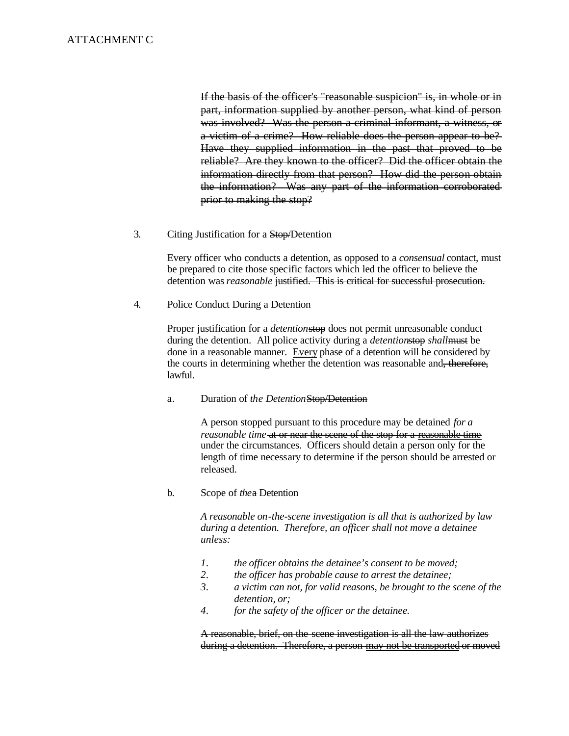ATTACHMENT C<br>If the basis of the officer's "reasonable suspicion" is, in whole or in part, information supplied by another person, what kind of person was involved? Was the person a criminal informant, a witness, or a victim of a crime? How reliable does the person appear to be? Have they supplied information in the past that proved to be reliable? Are they known to the officer? Did the officer obtain the information directly from that person? How did the person obtain the information? Was any part of the information corroborated prior to making the stop?

> 3. Citing Justification for a Stop/Detention

> > Every officer who conducts a detention, as opposed to a *consensual* contact, must be prepared to cite those specific factors which led the officer to believe the detention was *reasonable* justified. This is critical for successful prosecution.

 $\overline{4}$ . Police Conduct During a Detention

> Proper justification for a *detention*stop does not permit unreasonable conduct during the detention. All police activity during a *detention*stop *shall*must be done in a reasonable manner. Every phase of a detention will be considered by the courts in determining whether the detention was reasonable and, therefore, lawful.

a.Duration of *the Detention*Stop/Detention

A person stopped pursuant to this procedure may be detained *for a reasonable time* at or near the scene of the stop for a reasonable time under the circumstances. Officers should detain a person only for the length of time necessary to determine if the person should be arrested or released.

b. b.Scope of *the*a Detention

> *A reasonable on-the-scene investigation is all that is authorized by law during a detention. Therefore, an officer shall not move a detainee unless:*

- *1. the officer obtains the detainee's consent to be moved;*
- 2. the officer has probable cause to arrest the detainee;
- 3. a victim can not, for valid reasons, be brought to the scene of the *detention, or;*
- *4.for the safety of the officer or the detainee.*

A reasonable, brief, on the scene investigation is all the law authorizes during a detention. Therefore, a person may not be transported or moved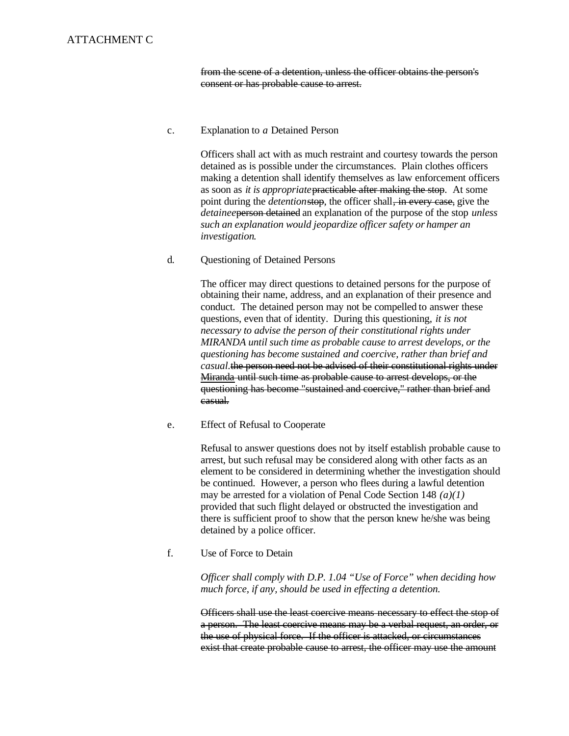from the scene of a detention, unless the officer obtains the person's consent or has probable cause to arrest.

#### c. Explanation to *a* Detained Person

Officers shall act with as much restraint and courtesy towards the person detained as is possible under the circumstances. Plain clothes officers making a detention shall identify themselves as law enforcement officers as soon as *it is appropriate*practicable after making the stop. At some point during the *detention*stop, the officer shall, in every case, give the *detainee*person detained an explanation of the purpose of the stop *unless such an explanation would jeopardize officer safety or hamper an investigation*.

#### d. Questioning of Detained Persons

The officer may direct questions to detained persons for the purpose of obtaining their name, address, and an explanation of their presence and conduct. The detained person may not be compelled to answer these questions, even that of identity. During this questioning, *it is not necessary to advise the person of their constitutional rights under MIRANDA until such time as probable cause to arrest develops, or the questioning has become sustained and coercive, rather than brief and casual.*the person need not be advised of their constitutional rights under Miranda until such time as probable cause to arrest develops, or the questioning has become "sustained and coercive," rather than brief and casual.

#### e. Effect of Refusal to Cooperate

Refusal to answer questions does not by itself establish probable cause to arrest, but such refusal may be considered along with other facts as an element to be considered in determining whether the investigation should be continued. However, a person who flees during a lawful detention may be arrested for a violation of Penal Code Section 148 *(a)(1)*  provided that such flight delayed or obstructed the investigation and there is sufficient proof to show that the person knew he/she was being detained by a police officer.

#### f. Use of Force to Detain

*Officer shall comply with D.P. 1.04 "Use of Force" when deciding how much force, if any, should be used in effecting a detention.* 

Officers shall use the least coercive means necessary to effect the stop of a person. The least coercive means may be a verbal request, an order, or the use of physical force. If the officer is attacked, or circumstances exist that create probable cause to arrest, the officer may use the amount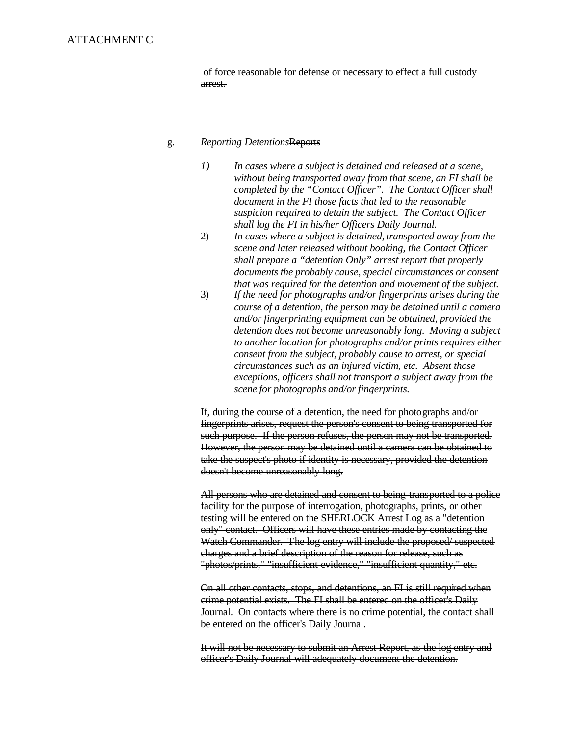of force reasonable for defense or necessary to effect a full custody arrest.

#### g. *Reporting Detentions*Reports

- *1) In cases where a subject is detained and released at a scene, without being transported away from that scene, an FI shall be completed by the "Contact Officer". The Contact Officer shall document in the FI those facts that led to the reasonable suspicion required to detain the subject. The Contact Officer shall log the FI in his/her Officers Daily Journal.*
- 2) *In cases where a subject is detained, transported away from the scene and later released without booking, the Contact Officer shall prepare a "detention Only" arrest report that properly documents the probably cause, special circumstances or consent that was required for the detention and movement of the subject.*
- 3) *If the need for photographs and/or fingerprints arises during the course of a detention, the person may be detained until a camera and/or fingerprinting equipment can be obtained, provided the detention does not become unreasonably long. Moving a subject to another location for photographs and/or prints requires either consent from the subject, probably cause to arrest, or special circumstances such as an injured victim, etc. Absent those exceptions, officers shall not transport a subject away from the scene for photographs and/or fingerprints.*

If, during the course of a detention, the need for photographs and/or fingerprints arises, request the person's consent to being transported for such purpose. If the person refuses, the person may not be transported. However, the person may be detained until a camera can be obtained to take the suspect's photo if identity is necessary, provided the detention doesn't become unreasonably long.

All persons who are detained and consent to being transported to a police facility for the purpose of interrogation, photographs, prints, or other testing will be entered on the SHERLOCK Arrest Log as a "detention only" contact. Officers will have these entries made by contacting the Watch Commander. The log entry will include the proposed/ suspected charges and a brief description of the reason for release, such as "photos/prints," "insufficient evidence," "insufficient quantity," etc.

On all other contacts, stops, and detentions, an FI is still required when crime potential exists. The FI shall be entered on the officer's Daily Journal. On contacts where there is no crime potential, the contact shall be entered on the officer's Daily Journal.

It will not be necessary to submit an Arrest Report, as the log entry and officer's Daily Journal will adequately document the detention.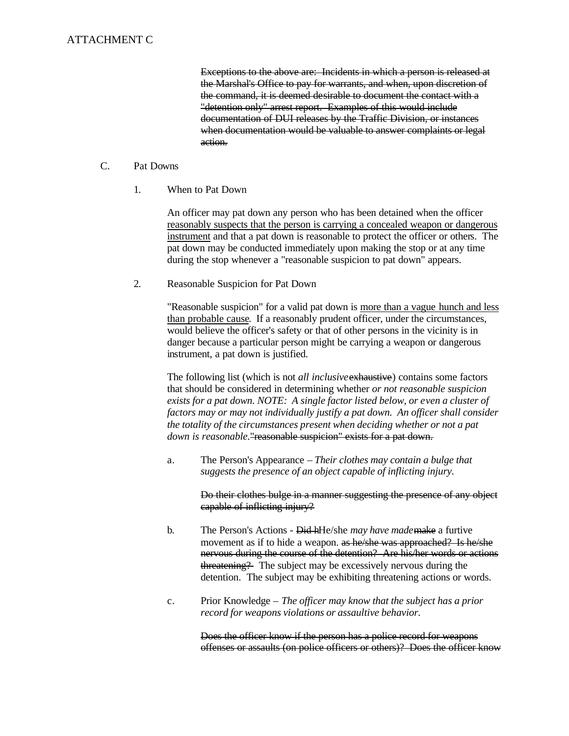Exceptions to the above are: Incidents in which a person is released at the Marshal's Office to pay for warrants, and when, upon discretion of the command, it is deemed desirable to document the contact with a "detention only" arrest report. Examples of this would include documentation of DUI releases by the Traffic Division, or instances when documentation would be valuable to answer complaints or legal action.

#### $C_{\cdot}$ Pat Downs

 $1<sub>1</sub>$ When to Pat Down

> An officer may pat down any person who has been detained when the officer reasonably suspects that the person is carrying a concealed weapon or dangerous instrument and that a pat down is reasonable to protect the officer or others. The pat down may be conducted immediately upon making the stop or at any time during the stop whenever a "reasonable suspicion to pat down" appears.

 $2.$ 2.Reasonable Suspicion for Pat Down

> "Reasonable suspicion" for a valid pat down is more than a vague hunch and less than probable cause. If a reasonably prudent officer, under the circumstances, would believe the officer's safety or that of other persons in the vicinity is in danger because a particular person might be carrying a weapon or dangerous instrument, a pat down is justified.

> The following list (which is not *all inclusive* exhaustive) contains some factors that should be considered in determining whether *or not reasonable suspicion exists for a pat down. NOTE: A single factor listed below, or even a cluster of factors may or may not individually justify a pat down. An officer shall consider the totality of the circumstances present when deciding whether or not a pat down is reasonable*." reasonable suspicion" exists for a pat down.

a.The Person's Appearance *– Their clothes may contain a bulge that suggests the presence of an object capable of inflicting injury.* 

> Do their clothes bulge in a manner suggesting the presence of any object capable of inflicting injury?

- $h_{-}$ b.The Person's Actions - Did hHe/she *may have made*make a furtive movement as if to hide a weapon. as he/she was approached? Is he/she nervous during the course of the detention? Are his/her words or actions threatening? The subject may be excessively nervous during the detention. The subject may be exhibiting threatening actions or words.
- $\mathbf{c}$ . Prior Knowledge – *The officer may know that the subject has a prior record for weapons violations or assaultive behavior.*

Does the officer know if the person has a police record for weapons offenses or assaults (on police officers or others)? Does the officer know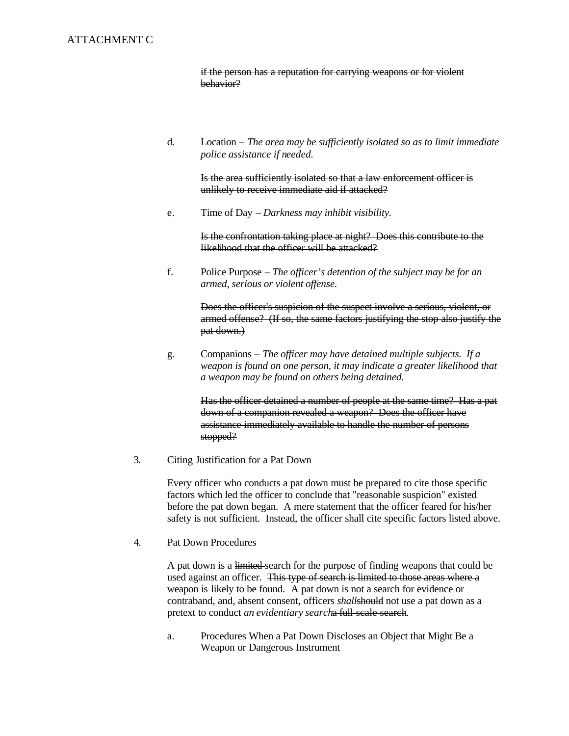ATTACHMENT C<br>if the person has a reputation for carrying weapons or for violent behavior?

> $\mathbf{d}$ . Location – *The area may be sufficiently isolated so as to limit immediate police assistance if needed.*

Is the area sufficiently isolated so that a law enforcement officer is unlikely to receive immediate aid if attacked?

e.Time of Day – *Darkness may inhibit visibility.* 

Is the confrontation taking place at night? Does this contribute to the likelihood that the officer will be attacked?

f. f.Police Purpose – *The officer's detention of the subject may be for an armed, serious or violent offense.* 

> Does the officer's suspicion of the suspect involve a serious, violent, or armed offense? (If so, the same factors justifying the stop also justify the pat down.)

g.Companions – *The officer may have detained multiple subjects. If a weapon is found on one person, it may indicate a greater likelihood that a weapon may be found on others being detained.* 

> Has the officer detained a number of people at the same time? Has a pat down of a companion revealed a weapon? Does the officer have assistance immediately available to handle the number of persons stopped?

 $\overline{3}$ . 3.Citing Justification for a Pat Down

> Every officer who conducts a pat down must be prepared to cite those specific factors which led the officer to conclude that "reasonable suspicion" existed before the pat down began. A mere statement that the officer feared for his/her safety is not sufficient. Instead, the officer shall cite specific factors listed above.

 $\overline{4}$ . Pat Down Procedures

> A pat down is a limited search for the purpose of finding weapons that could be used against an officer. This type of search is limited to those areas where a weapon is likely to be found. A pat down is not a search for evidence or contraband, and, absent consent, officers *shall*should not use a pat down as a pretext to conduct *an evidentiary search*a full-scale search.

a. Procedures When a Pat Down Discloses an Object that Might Be a Weapon or Dangerous Instrument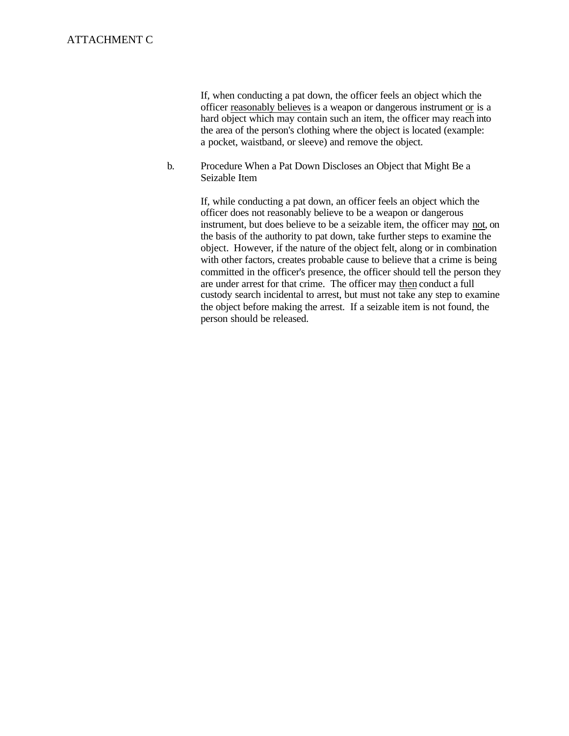ATTACHMENT C<br>If, when conducting a pat down, the officer feels an object which the officer reasonably believes is a weapon or dangerous instrument or is a hard object which may contain such an item, the officer may reach into the area of the person's clothing where the object is located (example: a pocket, waistband, or sleeve) and remove the object.

> $<sub>b</sub>$ .</sub> b.Procedure When a Pat Down Discloses an Object that Might Be a Seizable Item

> > If, while conducting a pat down, an officer feels an object which the officer does not reasonably believe to be a weapon or dangerous instrument, but does believe to be a seizable item, the officer may not, on the basis of the authority to pat down, take further steps to examine the object. However, if the nature of the object felt, along or in combination with other factors, creates probable cause to believe that a crime is being committed in the officer's presence, the officer should tell the person they are under arrest for that crime. The officer may then conduct a full custody search incidental to arrest, but must not take any step to examine the object before making the arrest. If a seizable item is not found, the person should be released.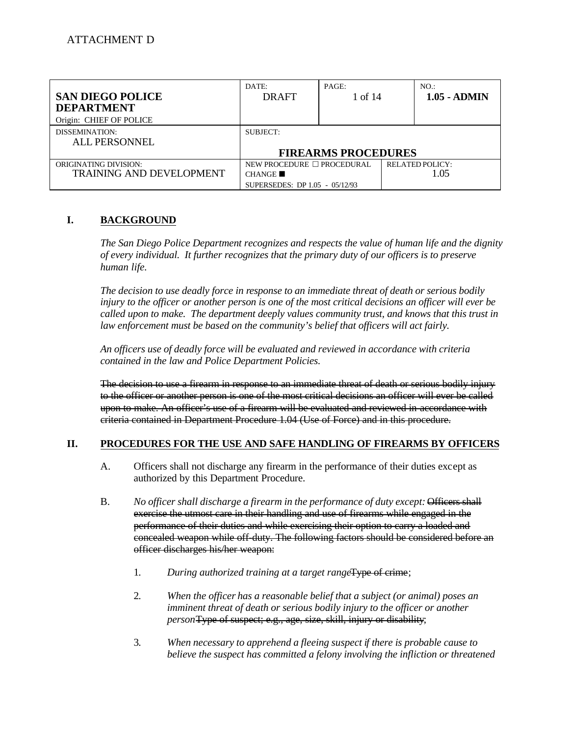| <b>SAN DIEGO POLICE</b>         | DATE:<br><b>DRAFT</b>           | PAGE:<br>1 of 14           | NO:<br>$1.05 - ADMIN$  |  |
|---------------------------------|---------------------------------|----------------------------|------------------------|--|
| <b>DEPARTMENT</b>               |                                 |                            |                        |  |
| Origin: CHIEF OF POLICE         |                                 |                            |                        |  |
| DISSEMINATION:                  | SUBJECT:                        |                            |                        |  |
| <b>ALL PERSONNEL</b>            |                                 |                            |                        |  |
|                                 |                                 | <b>FIREARMS PROCEDURES</b> |                        |  |
| <b>ORIGINATING DIVISION:</b>    | NEW PROCEDURE $\Box$ PROCEDURAL |                            | <b>RELATED POLICY:</b> |  |
| <b>TRAINING AND DEVELOPMENT</b> | CHANGE                          |                            | 1.05                   |  |
|                                 | SUPERSEDES: DP 1.05 - 05/12/93  |                            |                        |  |

#### I. **I.BACKGROUND**

*The San Diego Police Department recognizes and respects the value of human life and the dignity of every individual. It further recognizes that the primary duty of our officers is to preserve human life.* 

*The decision to use deadly force in response to an immediate threat of death or serious bodily injury to the officer or another person is one of the most critical decisions an officer will ever be called upon to make. The department deeply values community trust, and knows that this trust in law enforcement must be based on the community's belief that officers will act fairly.* 

*An officers use of deadly force will be evaluated and reviewed in accordance with criteria contained in the law and Police Department Policies.* 

The decision to use a firearm in response to an immediate threat of death or serious bodily injury to the officer or another person is one of the most critical decisions an officer will ever be called upon to make. An officer's use of a firearm will be evaluated and reviewed in accordance with criteria contained in Department Procedure 1.04 (Use of Force) and in this procedure.

#### II. **IROCEDURES FOR THE USE AND SAFE HANDLING OF FIREARMS BY OFFICERS**

- A. Officers shall not discharge any firearm in the performance of their duties except as authorized by this Department Procedure.
- $B<sub>1</sub>$ No officer shall discharge a firearm in the performance of duty except: Officers shall exercise the utmost care in their handling and use of firearms while engaged in the performance of their duties and while exercising their option to carry a loaded and concealed weapon while off-duty. The following factors should be considered before an officer discharges his/her weapon:
	- $1.$ During authorized training at a target range<del>Type of crime</del>;
	- $2.$ 2.*When the officer has a reasonable belief that a subject (or animal) poses an imminent threat of death or serious bodily injury to the officer or another person*Type of suspect; e.g., age, size, skill, injury or disability;
	- $\mathfrak{Z}$ . 3.*When necessary to apprehend a fleeing suspect if there is probable cause to believe the suspect has committed a felony involving the infliction or threatened*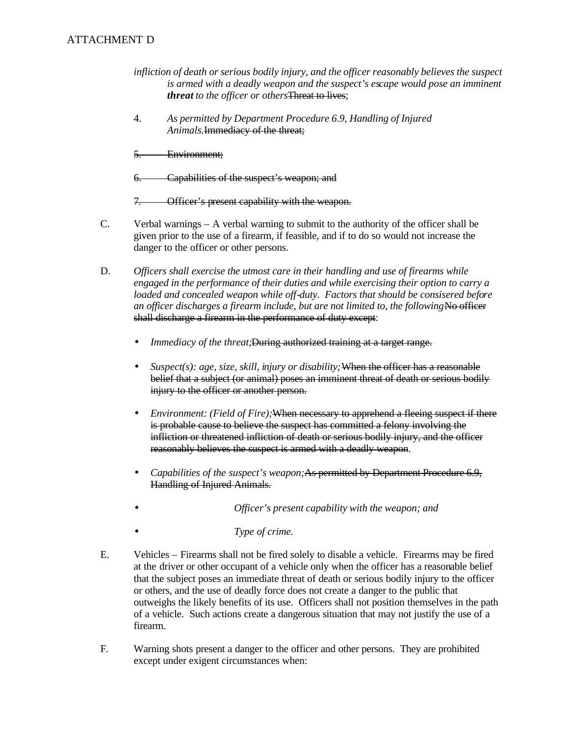# ATTACHMENT D

- *infliction of death or serious bodily injury, and the officer reasonably believes the suspect is armed with a deadly weapon and the suspect's escape would pose an imminent threat to the officer or others*Threat to lives;
- *Animals.*<del>Immediacy of the threat;</del><br>5. Environment; 4. *As permitted by Department Procedure 6.9, Handling of Injured*
- 
- 6. Capabilities of the suspect's weapon; and

Į. **Officer's present capability with the weapon.** 

- $C_{\cdot}$ Verbal warnings  $-$  A verbal warning to submit to the authority of the officer shall be given prior to the use of a firearm, if feasible, and if to do so would not increase the danger to the officer or other persons.
- D. D.*Officers shall exercise the utmost care in their handling and use of firearms while engaged in the performance of their duties and while exercising their option to carry a loaded and concealed weapon while off-duty. Factors that should be consisered before*  an officer discharges a firearm include, but are not limited to, the following No officer shall discharge a firearm in the performance of duty except:
	- $\bullet$ *Immediacy of the threat;*During authorized training at a target range.
	- *Suspect(s): age, size, skill, injury or disability;* When the officer has a reasonable belief that a subject (or animal) poses an imminent threat of death or serious bodily injury to the officer or another person.
	- •*Environment: (Field of Fire);*When necessary to apprehend a fleeing suspect if there is probable cause to believe the suspect has committed a felony involving the infliction or threatened infliction of death or serious bodily injury, and the officer reasonably believes the suspect is armed with a deadly weapon.
	- •*Capabilities of the suspect's weapon;*As permitted by Department Procedure 6.9, Handling of Injured Animals.
	- •*Officer's present capability with the weapon; and*
	- •*Type of crime.*
- $E_{\cdot}$ E.Vehicles – Firearms shall not be fired solely to disable a vehicle. Firearms may be fired at the driver or other occupant of a vehicle only when the officer has a reasonable belief that the subject poses an immediate threat of death or serious bodily injury to the officer or others, and the use of deadly force does not create a danger to the public that outweighs the likely benefits of its use. Officers shall not position themselves in the path of a vehicle. Such actions create a dangerous situation that may not justify the use of a firearm.
- F. Warning shots present a danger to the officer and other persons. They are prohibited except under exigent circumstances when: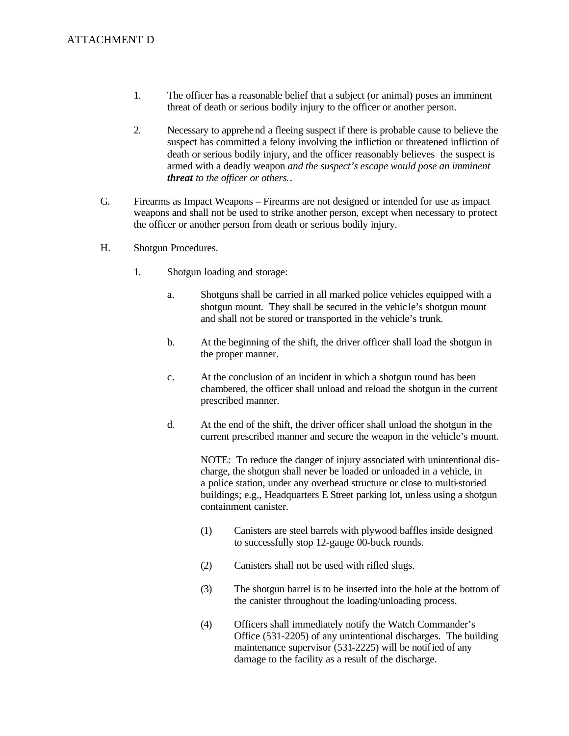- 1. The officer has a reasonable belief that a subject (or animal) poses an imminent threat of death or serious bodily injury to the officer or another person.
- $2.$ 2.Necessary to apprehend a fleeing suspect if there is probable cause to believe the suspect has committed a felony involving the infliction or threatened infliction of death or serious bodily injury, and the officer reasonably believes the suspect is armed with a deadly weapon *and the suspect's escape would pose an imminent threat to the officer or others.*.
- $G_{\cdot}$ Firearms as Impact Weapons – Firearms are not designed or intended for use as impact weapons and shall not be used to strike another person, except when necessary to protect the officer or another person from death or serious bodily injury.
- $H_{\cdot}$ Shotgun Procedures.
	- $1.$ Shotgun loading and storage:
		- a. Shotguns shall be carried in all marked police vehicles equipped with a shotgun mount. They shall be secured in the vehic le's shotgun mount and shall not be stored or transported in the vehicle's trunk.
		- $\mathbf{b}$ . b.At the beginning of the shift, the driver officer shall load the shotgun in the proper manner.
		- $\mathbf{c}$ . At the conclusion of an incident in which a shotgun round has been chambered, the officer shall unload and reload the shotgun in the current prescribed manner.
		- d. At the end of the shift, the driver officer shall unload the shotgun in the current prescribed manner and secure the weapon in the vehicle's mount.

NOTE: To reduce the danger of injury associated with unintentional discharge, the shotgun shall never be loaded or unloaded in a vehicle, in a police station, under any overhead structure or close to multi-storied buildings; e.g., Headquarters E Street parking lot, unless using a shotgun containment canister.

- $(1)$ Canisters are steel barrels with plywood baffles inside designed to successfully stop 12-gauge 00-buck rounds.
- $(2)$ Canisters shall not be used with rifled slugs.
- $(3)$ The shotgun barrel is to be inserted into the hole at the bottom of the canister throughout the loading/unloading process.
- $(4)$ (4)Officers shall immediately notify the Watch Commander's Office (531-2205) of any unintentional discharges. The building maintenance supervisor (531-2225) will be notif ied of any damage to the facility as a result of the discharge.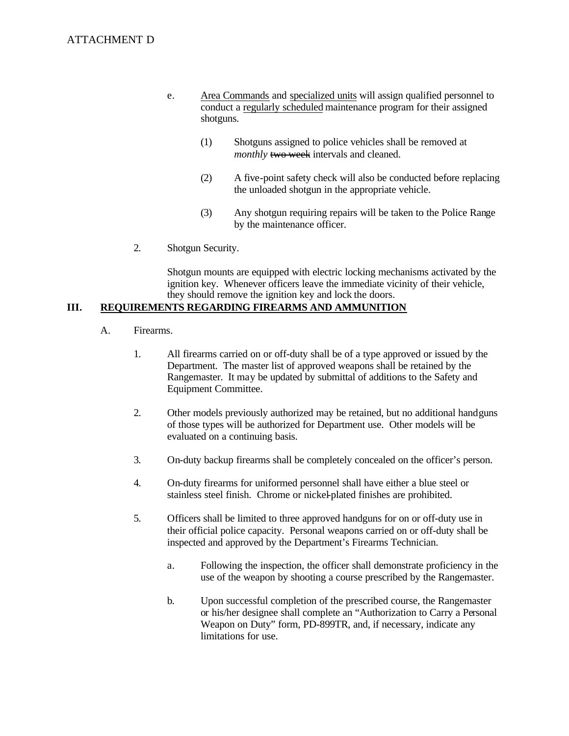- e. ATTACHMENT D<br>e. Area Commands and specialized units will assign qualified personnel to conduct a regularly scheduled maintenance program for their assigned shotguns.
	- $(1)$ Shotguns assigned to police vehicles shall be removed at *monthly* **two-week** intervals and cleaned.
	- $(2)$ A five-point safety check will also be conducted before replacing the unloaded shotgun in the appropriate vehicle.
	- $(3)$ Any shotgun requiring repairs will be taken to the Police Range by the maintenance officer.
	- $2.$ Shotgun Security.

Shotgun mounts are equipped with electric locking mechanisms activated by the ignition key. Whenever officers leave the immediate vicinity of their vehicle, they should remove the ignition key and lock the doors.

#### III. REQUIREMENTS REGARDING FIREARMS AND AMMUNITION

- A. Firearms.
	- $1.$ All firearms carried on or off-duty shall be of a type approved or issued by the Department. The master list of approved weapons shall be retained by the Rangemaster. It may be updated by submittal of additions to the Safety and Equipment Committee.
	- $2.$ Other models previously authorized may be retained, but no additional handguns of those types will be authorized for Department use. Other models will be evaluated on a continuing basis.
	- $3.$ 3.On-duty backup firearms shall be completely concealed on the officer's person.
	- 4. 4.On-duty firearms for uniformed personnel shall have either a blue steel or stainless steel finish. Chrome or nickel-plated finishes are prohibited.
	- 5. 5.Officers shall be limited to three approved handguns for on or off-duty use in their official police capacity. Personal weapons carried on or off-duty shall be inspected and approved by the Department's Firearms Technician.
		- a. Following the inspection, the officer shall demonstrate proficiency in the use of the weapon by shooting a course prescribed by the Rangemaster.
		- $\mathbf{b}$ . Upon successful completion of the prescribed course, the Rangemaster or his/her designee shall complete an "Authorization to Carry a Personal Weapon on Duty" form, PD-899TR, and, if necessary, indicate any limitations for use.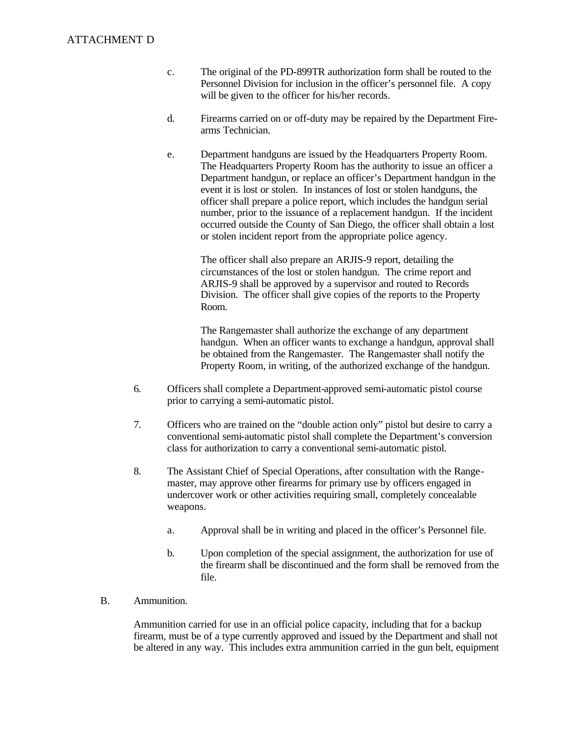- $\mathbf{c}$ . The original of the PD-899TR authorization form shall be routed to the Personnel Division for inclusion in the officer's personnel file. A copy will be given to the officer for his/her records.
- $d_{\cdot}$ Firearms carried on or off-duty may be repaired by the Department Firearms Technician.
- e.Department handguns are issued by the Headquarters Property Room. The Headquarters Property Room has the authority to issue an officer a Department handgun, or replace an officer's Department handgun in the event it is lost or stolen. In instances of lost or stolen handguns, the officer shall prepare a police report, which includes the handgun serial number, prior to the issuance of a replacement handgun. If the incident occurred outside the County of San Diego, the officer shall obtain a lost or stolen incident report from the appropriate police agency.

The officer shall also prepare an ARJIS-9 report, detailing the circumstances of the lost or stolen handgun. The crime report and ARJIS-9 shall be approved by a supervisor and routed to Records Division. The officer shall give copies of the reports to the Property Room.

The Rangemaster shall authorize the exchange of any department handgun. When an officer wants to exchange a handgun, approval shall be obtained from the Rangemaster. The Rangemaster shall notify the Property Room, in writing, of the authorized exchange of the handgun.

- 6. 6.Officers shall complete a Department-approved semi-automatic pistol course prior to carrying a semi-automatic pistol.
- 7. Officers who are trained on the "double action only" pistol but desire to carry a conventional semi-automatic pistol shall complete the Department's conversion class for authorization to carry a conventional semi-automatic pistol.
- 8. The Assistant Chief of Special Operations, after consultation with the Rangemaster, may approve other firearms for primary use by officers engaged in undercover work or other activities requiring small, completely concealable weapons.
	- $\mathbf{a}$ . Approval shall be in writing and placed in the officer's Personnel file.
	- $<sub>b</sub>$ .</sub> Upon completion of the special assignment, the authorization for use of the firearm shall be discontinued and the form shall be removed from the file.
- $B<sub>1</sub>$ Ammunition.

Ammunition carried for use in an official police capacity, including that for a backup firearm, must be of a type currently approved and issued by the Department and shall not be altered in any way. This includes extra ammunition carried in the gun belt, equipment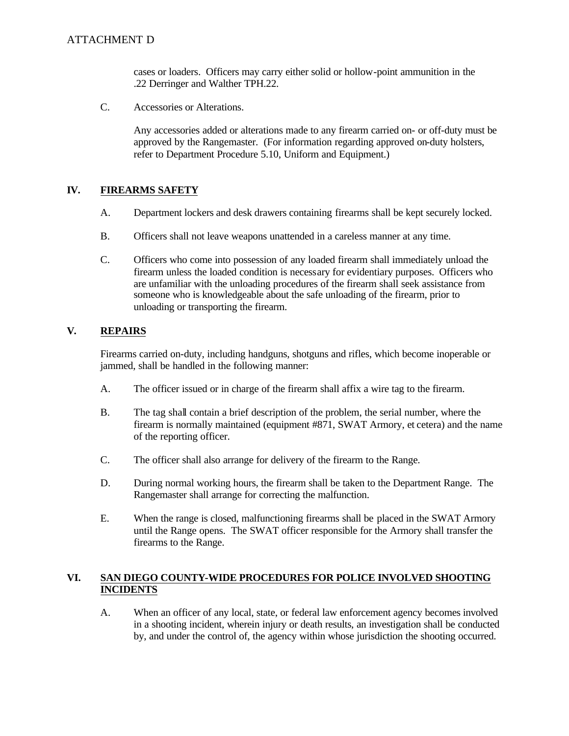cases or loaders. Officers may carry either solid or hollow-point ammunition in the .22 Derringer and Walther TPH.22.

 $C_{\cdot}$ Accessories or Alterations.

> Any accessories added or alterations made to any firearm carried on- or off-duty must be approved by the Rangemaster. (For information regarding approved on-duty holsters, refer to Department Procedure 5.10, Uniform and Equipment.)

#### IV. **FIREARMS SAFETY**

- A. A.Department lockers and desk drawers containing firearms shall be kept securely locked.
- $B<sub>1</sub>$ Officers shall not leave weapons unattended in a careless manner at any time.
- $C_{\cdot}$ Officers who come into possession of any loaded firearm shall immediately unload the firearm unless the loaded condition is necessary for evidentiary purposes. Officers who are unfamiliar with the unloading procedures of the firearm shall seek assistance from someone who is knowledgeable about the safe unloading of the firearm, prior to unloading or transporting the firearm.

#### $V_{\cdot}$ **V.REPAIRS**

Firearms carried on-duty, including handguns, shotguns and rifles, which become inoperable or jammed, shall be handled in the following manner:

- A. The officer issued or in charge of the firearm shall affix a wire tag to the firearm.
- $B<sub>1</sub>$ The tag shall contain a brief description of the problem, the serial number, where the firearm is normally maintained (equipment #871, SWAT Armory, et cetera) and the name of the reporting officer.
- $C_{\cdot}$ The officer shall also arrange for delivery of the firearm to the Range.
- D. During normal working hours, the firearm shall be taken to the Department Range. The Rangemaster shall arrange for correcting the malfunction.
- E. When the range is closed, malfunctioning firearms shall be placed in the SWAT Armory until the Range opens. The SWAT officer responsible for the Armory shall transfer the firearms to the Range.

### VI. **SAN DIEGO COUNTY-WIDE PROCEDURES FOR POLICE INVOLVED SHOOTING INCIDENTS**

A. When an officer of any local, state, or federal law enforcement agency becomes involved in a shooting incident, wherein injury or death results, an investigation shall be conducted by, and under the control of, the agency within whose jurisdiction the shooting occurred.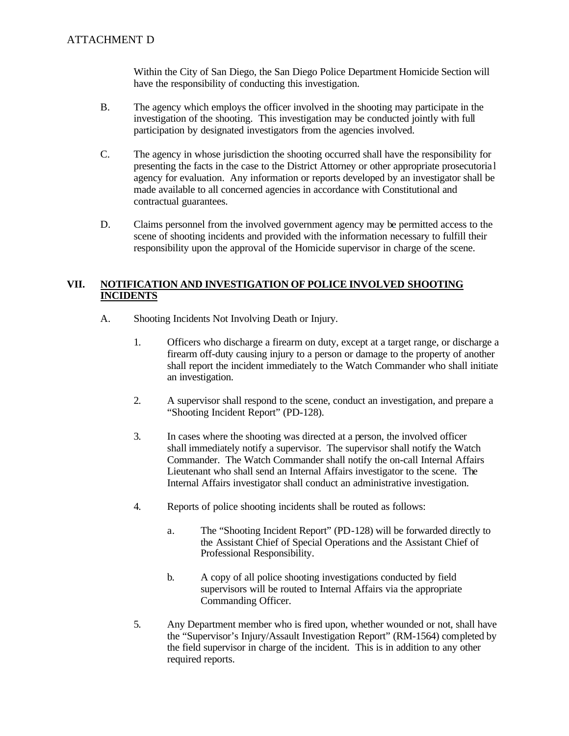Within the City of San Diego, the San Diego Police Department Homicide Section will have the responsibility of conducting this investigation.

- **B.** The agency which employs the officer involved in the shooting may participate in the investigation of the shooting. This investigation may be conducted jointly with full participation by designated investigators from the agencies involved.
- $C_{\cdot}$ The agency in whose jurisdiction the shooting occurred shall have the responsibility for presenting the facts in the case to the District Attorney or other appropriate prosecutoria l agency for evaluation. Any information or reports developed by an investigator shall be made available to all concerned agencies in accordance with Constitutional and contractual guarantees.
- D. D.Claims personnel from the involved government agency may be permitted access to the scene of shooting incidents and provided with the information necessary to fulfill their responsibility upon the approval of the Homicide supervisor in charge of the scene.

### VII. **VII. NOTIFICATION AND INVESTIGATION OF POLICE INVOLVED SHOOTING INCIDENTS**

- A. A.Shooting Incidents Not Involving Death or Injury.
	- $1.$ Officers who discharge a firearm on duty, except at a target range, or discharge a firearm off-duty causing injury to a person or damage to the property of another shall report the incident immediately to the Watch Commander who shall initiate an investigation.
	- $2.$ A supervisor shall respond to the scene, conduct an investigation, and prepare a "Shooting Incident Report" (PD-128).
	- $\overline{3}$ . In cases where the shooting was directed at a person, the involved officer shall immediately notify a supervisor. The supervisor shall notify the Watch Commander. The Watch Commander shall notify the on-call Internal Affairs Lieutenant who shall send an Internal Affairs investigator to the scene. The Internal Affairs investigator shall conduct an administrative investigation.
	- $4.$ Reports of police shooting incidents shall be routed as follows:
		- $\mathbf{a}$ . The "Shooting Incident Report" (PD-128) will be forwarded directly to the Assistant Chief of Special Operations and the Assistant Chief of Professional Responsibility.
		- $\mathbf{b}$ . A copy of all police shooting investigations conducted by field supervisors will be routed to Internal Affairs via the appropriate Commanding Officer.
	- 5. Any Department member who is fired upon, whether wounded or not, shall have the "Supervisor's Injury/Assault Investigation Report" (RM-1564) completed by the field supervisor in charge of the incident. This is in addition to any other required reports.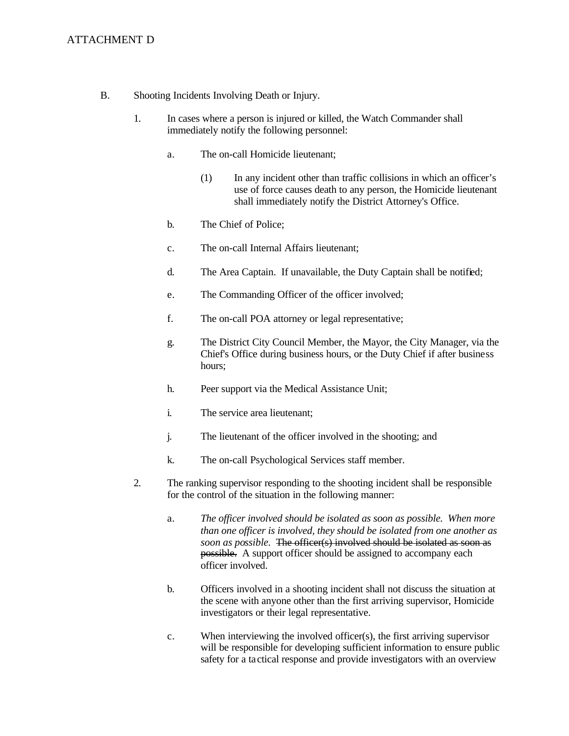# ATTACHMENT D

- $B<sub>1</sub>$ B.Shooting Incidents Involving Death or Injury.
	- $1.$ 1.In cases where a person is injured or killed, the Watch Commander shall immediately notify the following personnel:
		- a.The on-call Homicide lieutenant;
			- $(1)$ In any incident other than traffic collisions in which an officer's use of force causes death to any person, the Homicide lieutenant shall immediately notify the District Attorney's Office.
		- $<sub>b</sub>$ .</sub> The Chief of Police;
		- $\mathbf{c}$ . The on-call Internal Affairs lieutenant:
		- $d_{\cdot}$ The Area Captain. If unavailable, the Duty Captain shall be notified;
		- e. The Commanding Officer of the officer involved;
		- f. The on-call POA attorney or legal representative;
		- g. The District City Council Member, the Mayor, the City Manager, via the Chief's Office during business hours, or the Duty Chief if after business hours;
		- h. Peer support via the Medical Assistance Unit;
		- $i$ . The service area lieutenant:
		- j. The lieutenant of the officer involved in the shooting; and
		- k. The on-call Psychological Services staff member.
	- $2.$ The ranking supervisor responding to the shooting incident shall be responsible for the control of the situation in the following manner:
		- a.*The officer involved should be isolated as soon as possible. When more than one officer is involved, they should be isolated from one another as soon as possible.* The officer(s) involved should be isolated as soon as possible. A support officer should be assigned to accompany each officer involved.
		- $<sub>b</sub>$ .</sub> Officers involved in a shooting incident shall not discuss the situation at the scene with anyone other than the first arriving supervisor, Homicide investigators or their legal representative.
		- $\mathbf{c}$ . When interviewing the involved officer(s), the first arriving supervisor will be responsible for developing sufficient information to ensure public safety for a ta ctical response and provide investigators with an overview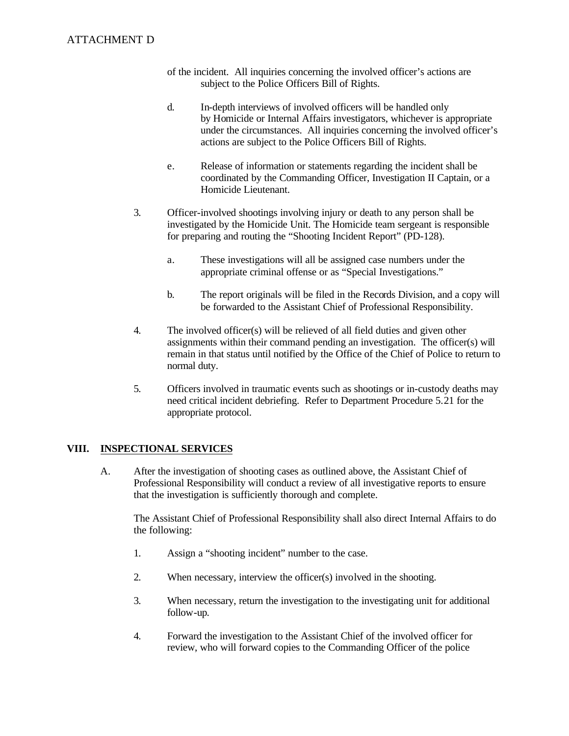### **ATTACHMENT D**

- of the incident. All inquiries concerning the involved officer's actions are subject to the Police Officers Bill of Rights.
- $d_{\cdot}$ In-depth interviews of involved officers will be handled only by Homicide or Internal Affairs investigators, whichever is appropriate under the circumstances. All inquiries concerning the involved officer's actions are subject to the Police Officers Bill of Rights.
- e. Release of information or statements regarding the incident shall be coordinated by the Commanding Officer, Investigation II Captain, or a Homicide Lieutenant.
- $3.$ 3.Officer-involved shootings involving injury or death to any person shall be investigated by the Homicide Unit. The Homicide team sergeant is responsible for preparing and routing the "Shooting Incident Report" (PD-128).
	- a. These investigations will all be assigned case numbers under the appropriate criminal offense or as "Special Investigations."
	- $h_{-}$ The report originals will be filed in the Records Division, and a copy will be forwarded to the Assistant Chief of Professional Responsibility.
- 4. The involved officer(s) will be relieved of all field duties and given other assignments within their command pending an investigation. The officer(s) will remain in that status until notified by the Office of the Chief of Police to return to normal duty.
- 5. 5.Officers involved in traumatic events such as shootings or in-custody deaths may need critical incident debriefing. Refer to Department Procedure 5.21 for the appropriate protocol.

#### VIII. **INSPECTIONAL SERVICES**

A. After the investigation of shooting cases as outlined above, the Assistant Chief of Professional Responsibility will conduct a review of all investigative reports to ensure that the investigation is sufficiently thorough and complete.

The Assistant Chief of Professional Responsibility shall also direct Internal Affairs to do the following:

- $1.$ Assign a "shooting incident" number to the case.
- $2.$ When necessary, interview the officer $(s)$  involved in the shooting.
- $3.$ When necessary, return the investigation to the investigating unit for additional follow-up.
- $\overline{4}$ . Forward the investigation to the Assistant Chief of the involved officer for review, who will forward copies to the Commanding Officer of the police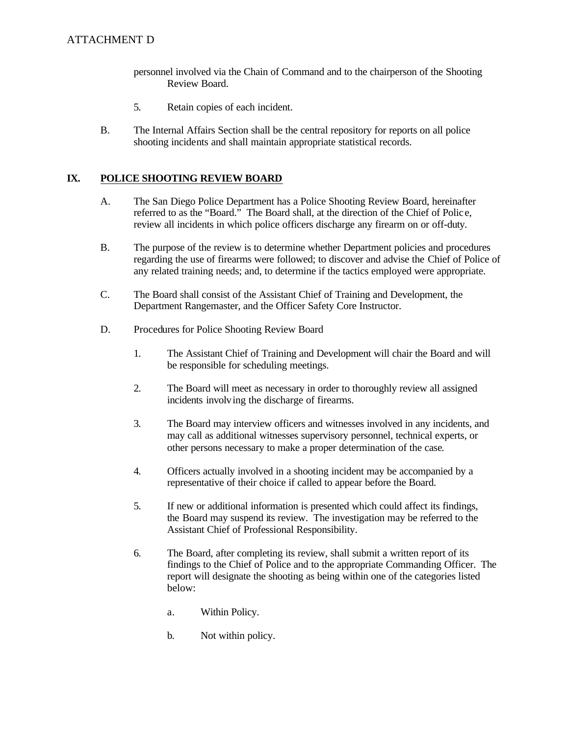- personnel involved via the Chain of Command and to the chairperson of the Shooting Review Board.
- 5. Retain copies of each incident.
- $B<sub>1</sub>$ The Internal Affairs Section shall be the central repository for reports on all police shooting incidents and shall maintain appropriate statistical records.

#### IX. **POLICE SHOOTING REVIEW BOARD**

- A. A.The San Diego Police Department has a Police Shooting Review Board, hereinafter referred to as the "Board." The Board shall, at the direction of the Chief of Polic e, review all incidents in which police officers discharge any firearm on or off-duty.
- $B<sub>1</sub>$ The purpose of the review is to determine whether Department policies and procedures regarding the use of firearms were followed; to discover and advise the Chief of Police of any related training needs; and, to determine if the tactics employed were appropriate.
- $C_{\cdot}$ The Board shall consist of the Assistant Chief of Training and Development, the Department Rangemaster, and the Officer Safety Core Instructor.
- D. Procedures for Police Shooting Review Board
	- $1.$ 1.The Assistant Chief of Training and Development will chair the Board and will be responsible for scheduling meetings.
	- 2. The Board will meet as necessary in order to thoroughly review all assigned incidents involv ing the discharge of firearms.
	- $3.$ 3.The Board may interview officers and witnesses involved in any incidents, and may call as additional witnesses supervisory personnel, technical experts, or other persons necessary to make a proper determination of the case.
	- 4. Officers actually involved in a shooting incident may be accompanied by a representative of their choice if called to appear before the Board.
	- 5. If new or additional information is presented which could affect its findings, the Board may suspend its review. The investigation may be referred to the Assistant Chief of Professional Responsibility.
	- 6. The Board, after completing its review, shall submit a written report of its findings to the Chief of Police and to the appropriate Commanding Officer. The report will designate the shooting as being within one of the categories listed below:
		- $\mathbf{a}$ . Within Policy.
		- $\mathbf{b}$ . Not within policy.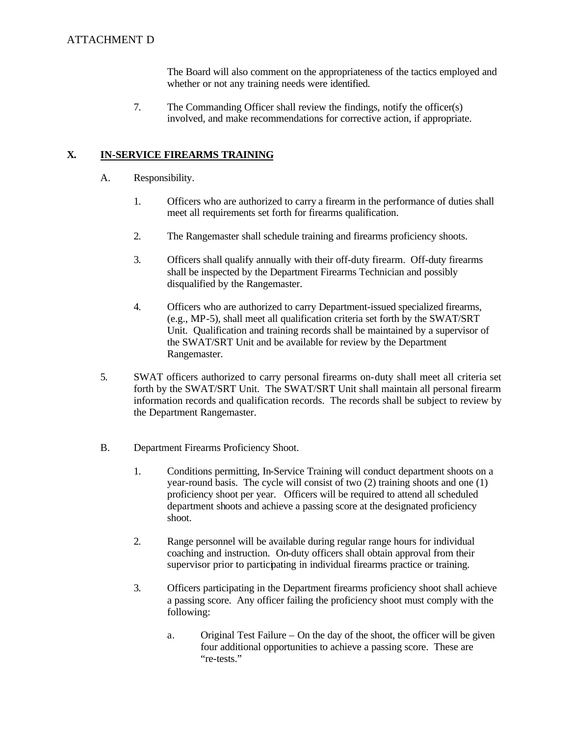The Board will also comment on the appropriateness of the tactics employed and whether or not any training needs were identified.

7. The Commanding Officer shall review the findings, notify the officer(s) involved, and make recommendations for corrective action, if appropriate.

#### **X. IN-SERVICE FIREARMS TRAINING**

- A. Responsibility.
	- $1_{-}$ 1.Officers who are authorized to carry a firearm in the performance of duties shall meet all requirements set forth for firearms qualification.
	- $2.$ The Rangemaster shall schedule training and firearms proficiency shoots.
	- $\overline{3}$ . 3.Officers shall qualify annually with their off-duty firearm. Off-duty firearms shall be inspected by the Department Firearms Technician and possibly disqualified by the Rangemaster.
	- $\overline{4}$ . Officers who are authorized to carry Department-issued specialized firearms, (e.g., MP-5), shall meet all qualification criteria set forth by the SWAT/SRT Unit. Qualification and training records shall be maintained by a supervisor of the SWAT/SRT Unit and be available for review by the Department Rangemaster.
- 5.SWAT officers authorized to carry personal firearms on-duty shall meet all criteria set forth by the SWAT/SRT Unit. The SWAT/SRT Unit shall maintain all personal firearm information records and qualification records. The records shall be subject to review by the Department Rangemaster.
- $B<sub>1</sub>$ B.Department Firearms Proficiency Shoot.
	- $1.$ 1.Conditions permitting, In-Service Training will conduct department shoots on a year-round basis. The cycle will consist of two (2) training shoots and one (1) proficiency shoot per year. Officers will be required to attend all scheduled department shoots and achieve a passing score at the designated proficiency shoot.
	- $2.$ Range personnel will be available during regular range hours for individual coaching and instruction. On-duty officers shall obtain approval from their supervisor prior to participating in individual firearms practice or training.
	- $3.$ 3.Officers participating in the Department firearms proficiency shoot shall achieve a passing score. Any officer failing the proficiency shoot must comply with the following:
		- a. Original Test Failure On the day of the shoot, the officer will be given four additional opportunities to achieve a passing score. These are "re-tests."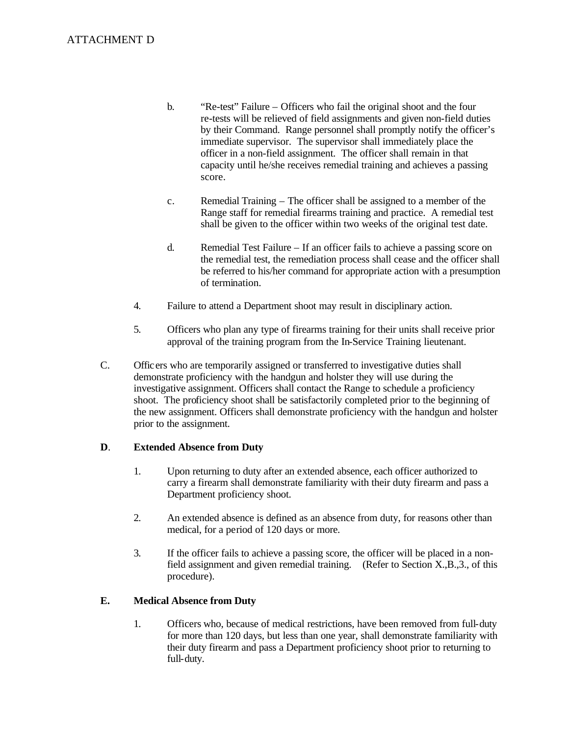- $<sub>b</sub>$ .</sub> ATTACHMENT D<br>b. "Re-test" Failure – Officers who fail the original shoot and the four re-tests will be relieved of field assignments and given non-field duties by their Command. Range personnel shall promptly notify the officer's immediate supervisor. The supervisor shall immediately place the officer in a non-field assignment. The officer shall remain in that capacity until he/she receives remedial training and achieves a passing score.
	- $\mathbf{c}$ . Remedial Training  $-$  The officer shall be assigned to a member of the Range staff for remedial firearms training and practice. A remedial test shall be given to the officer within two weeks of the original test date.
	- $d_{\cdot}$ Remedial Test Failure – If an officer fails to achieve a passing score on the remedial test, the remediation process shall cease and the officer shall be referred to his/her command for appropriate action with a presumption of termination.
	- $\overline{4}$ . Failure to attend a Department shoot may result in disciplinary action.
	- 5. 5.Officers who plan any type of firearms training for their units shall receive prior approval of the training program from the In-Service Training lieutenant.
	- $C_{\cdot}$ C.Officers who are temporarily assigned or transferred to investigative duties shall demonstrate proficiency with the handgun and holster they will use during the investigative assignment. Officers shall contact the Range to schedule a proficiency shoot. The proficiency shoot shall be satisfactorily completed prior to the beginning of the new assignment. Officers shall demonstrate proficiency with the handgun and holster prior to the assignment.

#### $\mathbf{D}$ . **D**.**Extended Absence from Duty**

- $1.$ Upon returning to duty after an extended absence, each officer authorized to carry a firearm shall demonstrate familiarity with their duty firearm and pass a Department proficiency shoot.
- $2.$ An extended absence is defined as an absence from duty, for reasons other than medical, for a period of 120 days or more.
- field assignment and given remedial training. (Refer to Section X.,B.,3., of this  $3.$ If the officer fails to achieve a passing score, the officer will be placed in a nonprocedure).

#### **E. E.Medical Absence from Duty**

 $1<sup>1</sup>$ Officers who, because of medical restrictions, have been removed from full-duty for more than 120 days, but less than one year, shall demonstrate familiarity with their duty firearm and pass a Department proficiency shoot prior to returning to full-duty.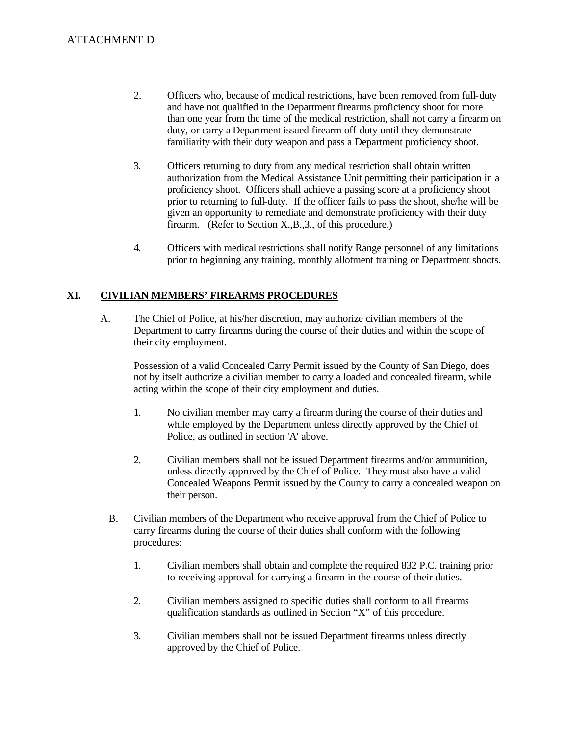- 2. Officers who, because of medical restrictions, have been removed from full-duty and have not qualified in the Department firearms proficiency shoot for more than one year from the time of the medical restriction, shall not carry a firearm on duty, or carry a Department issued firearm off-duty until they demonstrate familiarity with their duty weapon and pass a Department proficiency shoot.
- $3.$ 3.Officers returning to duty from any medical restriction shall obtain written authorization from the Medical Assistance Unit permitting their participation in a proficiency shoot. Officers shall achieve a passing score at a proficiency shoot prior to returning to full-duty. If the officer fails to pass the shoot, she/he will be given an opportunity to remediate and demonstrate proficiency with their duty firearm. (Refer to Section X.,B.,3., of this procedure.)
- $\overline{4}$ . 4.Officers with medical restrictions shall notify Range personnel of any limitations prior to beginning any training, monthly allotment training or Department shoots.

### **XI. CIVILIAN MEMBERS' FIREARMS PROCEDURES**

A. The Chief of Police, at his/her discretion, may authorize civilian members of the Department to carry firearms during the course of their duties and within the scope of their city employment.

Possession of a valid Concealed Carry Permit issued by the County of San Diego, does not by itself authorize a civilian member to carry a loaded and concealed firearm, while acting within the scope of their city employment and duties.

- $1.$ No civilian member may carry a firearm during the course of their duties and while employed by the Department unless directly approved by the Chief of Police, as outlined in section 'A' above.
- $2.$ Civilian members shall not be issued Department firearms and/or ammunition, unless directly approved by the Chief of Police. They must also have a valid Concealed Weapons Permit issued by the County to carry a concealed weapon on their person.
- $B<sub>1</sub>$ B.Civilian members of the Department who receive approval from the Chief of Police to carry firearms during the course of their duties shall conform with the following procedures:
	- $1_{-}$ 1. Civilian members shall obtain and complete the required 832 P.C. training prior to receiving approval for carrying a firearm in the course of their duties.
	- $2.$ 2. Civilian members assigned to specific duties shall conform to all firearms qualification standards as outlined in Section "X" of this procedure.
	- $3.$ 3. Civilian members shall not be issued Department firearms unless directly approved by the Chief of Police.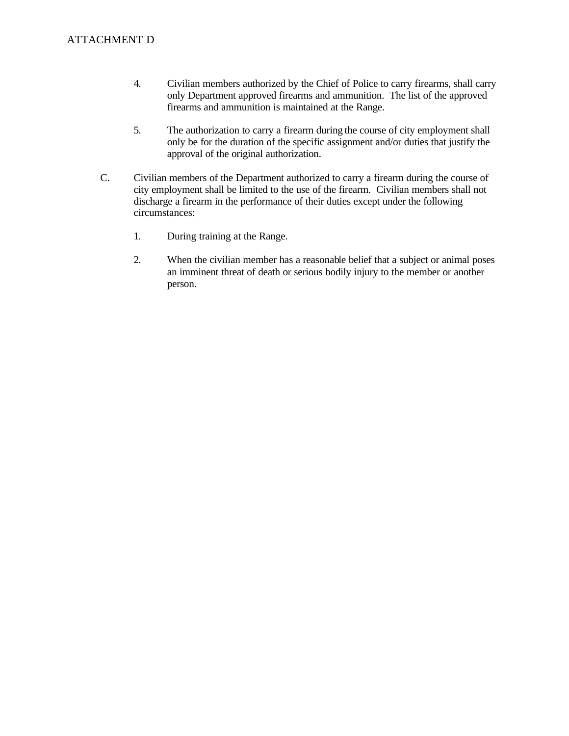- $\overline{4}$ . 4.Civilian members authorized by the Chief of Police to carry firearms, shall carry only Department approved firearms and ammunition. The list of the approved firearms and ammunition is maintained at the Range.
- 5. The authorization to carry a firearm during the course of city employment shall only be for the duration of the specific assignment and/or duties that justify the approval of the original authorization.
- C. Civilian members of the Department authorized to carry a firearm during the course of city employment shall be limited to the use of the firearm. Civilian members shall not discharge a firearm in the performance of their duties except under the following circumstances:
	- $1.$ During training at the Range.
	- 2. When the civilian member has a reasonable belief that a subject or animal poses an imminent threat of death or serious bodily injury to the member or another person.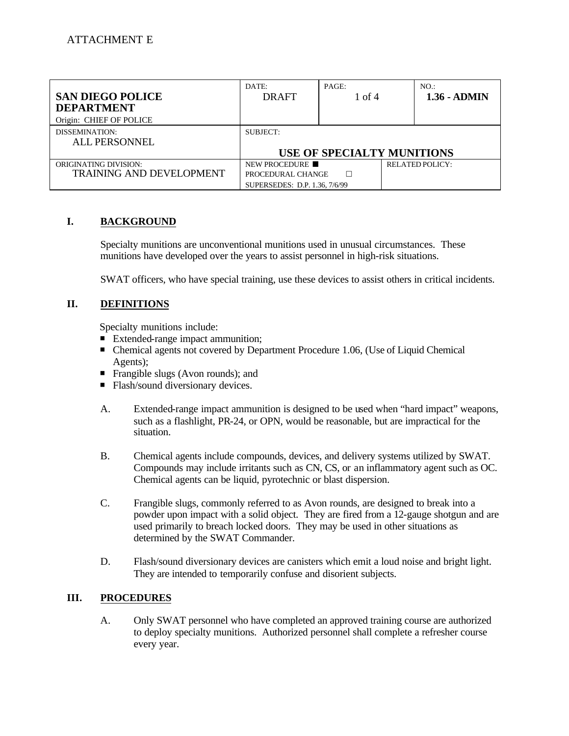| <b>SAN DIEGO POLICE</b><br><b>DEPARTMENT</b>                    | DATE:<br><b>DRAFT</b>                                               | PAGE:<br>1 of 4 | NO.<br>$1.36 - ADMIN$             |
|-----------------------------------------------------------------|---------------------------------------------------------------------|-----------------|-----------------------------------|
| Origin: CHIEF OF POLICE                                         |                                                                     |                 |                                   |
| DISSEMINATION:<br>ALL PERSONNEL                                 | SUBJECT:                                                            |                 |                                   |
|                                                                 |                                                                     |                 | <b>USE OF SPECIALTY MUNITIONS</b> |
| <b>ORIGINATING DIVISION:</b><br><b>TRAINING AND DEVELOPMENT</b> | NEW PROCEDURE<br>PROCEDURAL CHANGE<br>SUPERSEDES: D.P. 1.36, 7/6/99 | П               | <b>RELATED POLICY:</b>            |

#### L. **I.BACKGROUND**

Specialty munitions are unconventional munitions used in unusual circumstances. These munitions have developed over the years to assist personnel in high-risk situations.

SWAT officers, who have special training, use these devices to assist others in critical incidents.

#### II. **DEFINITIONS**

Specialty munitions include:

- Extended-range impact ammunition:
- Chemical agents not covered by Department Procedure 1.06, (Use of Liquid Chemical Agents);
- Frangible slugs (Avon rounds); and
- Flash/sound diversionary devices.
- A. Extended-range impact ammunition is designed to be used when "hard impact" weapons, such as a flashlight, PR-24, or OPN, would be reasonable, but are impractical for the situation.
- Compounds may include irritants such as CN, CS, or an inflammatory agent such as OC.  $B<sub>1</sub>$ B.Chemical agents include compounds, devices, and delivery systems utilized by SWAT. Chemical agents can be liquid, pyrotechnic or blast dispersion.
- $C_{\cdot}$ Frangible slugs, commonly referred to as Avon rounds, are designed to break into a powder upon impact with a solid object. They are fired from a 12-gauge shotgun and are used primarily to breach locked doors. They may be used in other situations as determined by the SWAT Commander.
- D. Flash/sound diversionary devices are canisters which emit a loud noise and bright light. They are intended to temporarily confuse and disorient subjects.

#### III. **III.PROCEDURES**

А. A.Only SWAT personnel who have completed an approved training course are authorized to deploy specialty munitions. Authorized personnel shall complete a refresher course every year.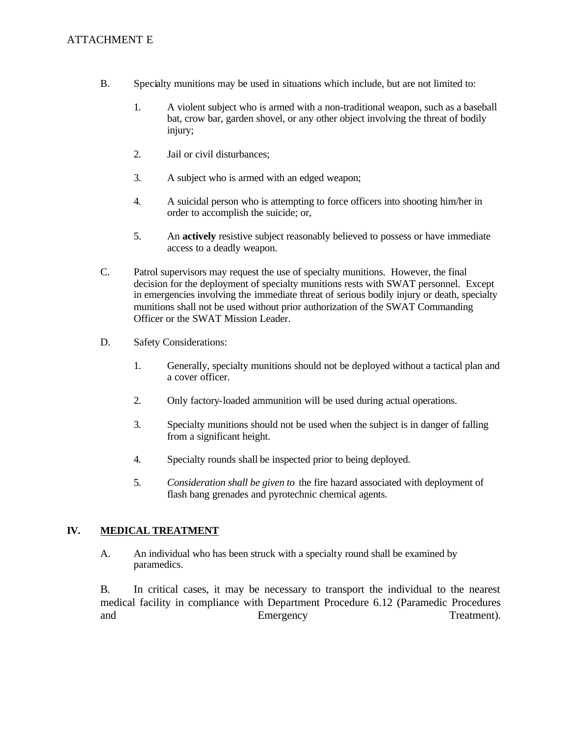### **ATTACHMENT E**

- B. Specialty munitions may be used in situations which include, but are not limited to:
	- $1.$ 1.A violent subject who is armed with a non-traditional weapon, such as a baseball bat, crow bar, garden shovel, or any other object involving the threat of bodily injury;
	- $2.$ Jail or civil disturbances;
	- 3. 3.A subject who is armed with an edged weapon;
	- 4. 4.A suicidal person who is attempting to force officers into shooting him/her in order to accomplish the suicide; or,
	- 5. An **actively** resistive subject reasonably believed to possess or have immediate access to a deadly weapon.
- $C_{\cdot}$ Patrol supervisors may request the use of specialty munitions. However, the final decision for the deployment of specialty munitions rests with SWAT personnel. Except in emergencies involving the immediate threat of serious bodily injury or death, specialty munitions shall not be used without prior authorization of the SWAT Commanding Officer or the SWAT Mission Leader.
- D. Safety Considerations:
	- $1.$ Generally, specialty munitions should not be deployed without a tactical plan and a cover officer.
	- $2.$ Only factory-loaded ammunition will be used during actual operations.
	- 3. Specialty munitions should not be used when the subject is in danger of falling from a significant height.
	- 4. Specialty rounds shall be inspected prior to being deployed.
	- 5. 5. *Consideration shall be given to* the fire hazard associated with deployment of flash bang grenades and pyrotechnic chemical agents.

#### IV. **IV.MEDICAL TREATMENT**

A. An individual who has been struck with a specialty round shall be examined by paramedics.

B. In critical cases, it may be necessary to transport the individual to the nearest medical facility in compliance with Department Procedure 6.12 (Paramedic Procedures and Emergency Treatment).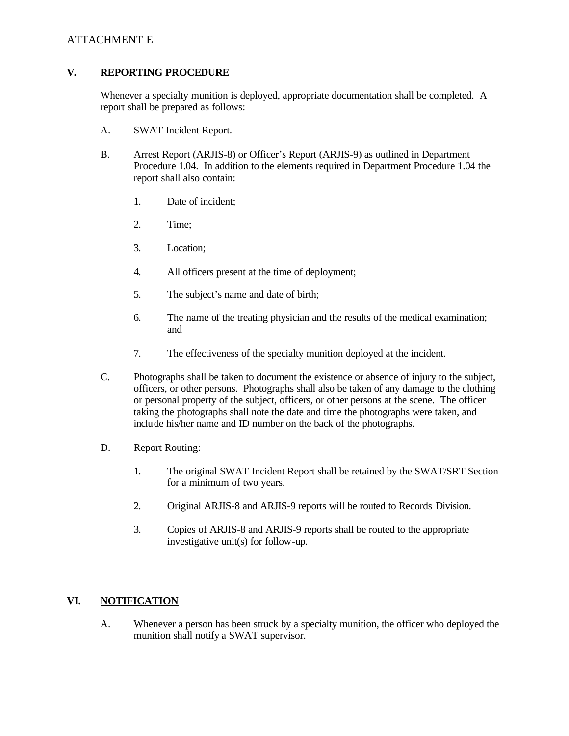### ATTACHMENT E

#### V. **V.REPORTING PROCEDURE**

Whenever a specialty munition is deployed, appropriate documentation shall be completed. A report shall be prepared as follows:

- A. SWAT Incident Report.
- **B.** Arrest Report (ARJIS-8) or Officer's Report (ARJIS-9) as outlined in Department Procedure 1.04. In addition to the elements required in Department Procedure 1.04 the report shall also contain:
	- $1_{-}$ Date of incident:
	- Time;
	- $3.$ Location:
	- $\overline{4}$ . All officers present at the time of deployment;
	- 5. The subject's name and date of birth;
	- 6. The name of the treating physician and the results of the medical examination; and
	- 7. The effectiveness of the specialty munition deployed at the incident.
- $C_{\cdot}$ Photographs shall be taken to document the existence or absence of injury to the subject, officers, or other persons. Photographs shall also be taken of any damage to the clothing or personal property of the subject, officers, or other persons at the scene. The officer taking the photographs shall note the date and time the photographs were taken, and include his/her name and ID number on the back of the photographs.
- D. Report Routing:
	- $1.$ 1.The original SWAT Incident Report shall be retained by the SWAT/SRT Section for a minimum of two years.
	- 2. 2.Original ARJIS-8 and ARJIS-9 reports will be routed to Records Division.
	- $3.$ 3.Copies of ARJIS-8 and ARJIS-9 reports shall be routed to the appropriate investigative unit(s) for follow-up.

#### VI. **NOTIFICATION**

A. Whenever a person has been struck by a specialty munition, the officer who deployed the munition shall notify a SWAT supervisor.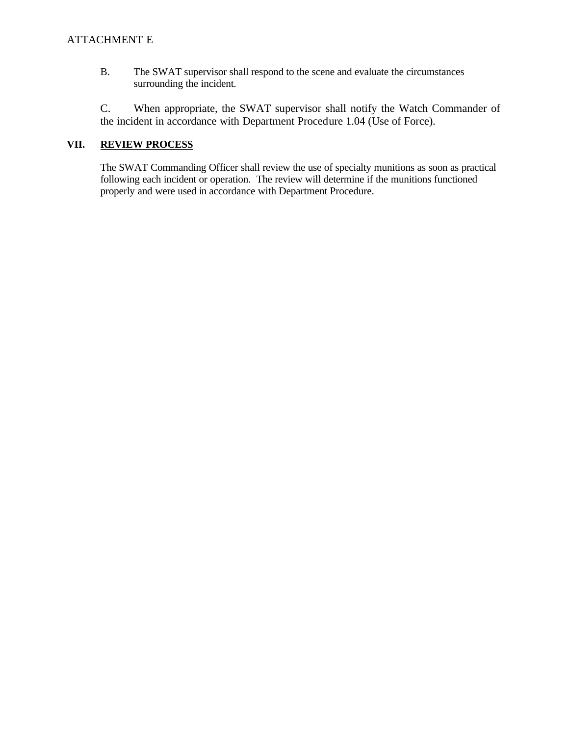**B.** The SWAT supervisor shall respond to the scene and evaluate the circumstances surrounding the incident.

C. When appropriate, the SWAT supervisor shall notify the Watch Commander of the incident in accordance with Department Procedure 1.04 (Use of Force).

### VII. **REVIEW PROCESS**

The SWAT Commanding Officer shall review the use of specialty munitions as soon as practical following each incident or operation. The review will determine if the munitions functioned properly and were used in accordance with Department Procedure.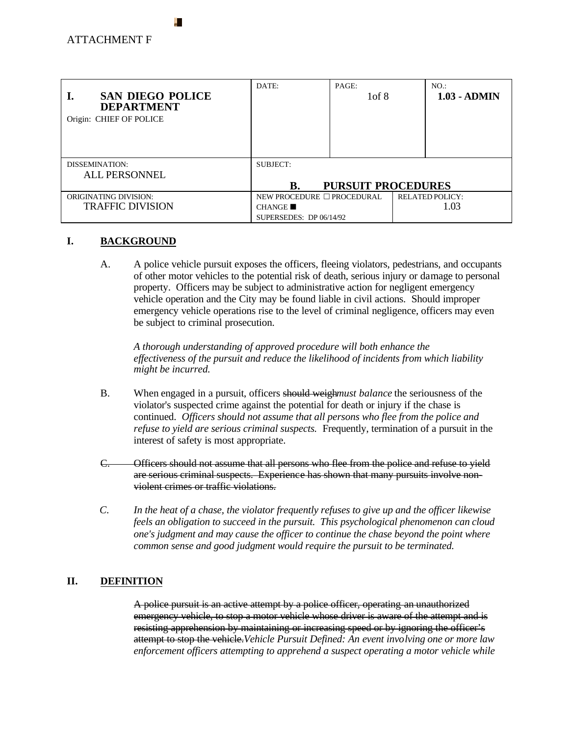| <b>SAN DIEGO POLICE</b><br><b>DEPARTMENT</b><br>Origin: CHIEF OF POLICE | DATE:                           | PAGE:<br>1 of 8           | NO.<br>$1.03 - ADMIN$  |
|-------------------------------------------------------------------------|---------------------------------|---------------------------|------------------------|
| DISSEMINATION:                                                          | SUBJECT:                        |                           |                        |
| <b>ALL PERSONNEL</b>                                                    |                                 |                           |                        |
|                                                                         | В.                              | <b>PURSUIT PROCEDURES</b> |                        |
| <b>ORIGINATING DIVISION:</b>                                            | NEW PROCEDURE $\Box$ PROCEDURAL |                           | <b>RELATED POLICY:</b> |
| <b>TRAFFIC DIVISION</b>                                                 | <b>CHANGE</b>                   |                           | 1.03                   |
|                                                                         | SUPERSEDES: $DP 06/14/92$       |                           |                        |

#### L. **I.BACKGROUND**

A. A.A police vehicle pursuit exposes the officers, fleeing violators, pedestrians, and occupants of other motor vehicles to the potential risk of death, serious injury or damage to personal property. Officers may be subject to administrative action for negligent emergency vehicle operation and the City may be found liable in civil actions. Should improper emergency vehicle operations rise to the level of criminal negligence, officers may even be subject to criminal prosecution.

*A thorough understanding of approved procedure will both enhance the effectiveness of the pursuit and reduce the likelihood of incidents from which liability might be incurred.* 

- $B<sub>1</sub>$ When engaged in a pursuit, officers should weigh*must balance* the seriousness of the violator's suspected crime against the potential for death or injury if the chase is continued. *Officers should not assume that all persons who flee from the police and refuse to yield are serious criminal suspects.* Frequently, termination of a pursuit in the interest of safety is most appropriate.
- $C_{\cdot}$ Officers should not assume that all persons who flee from the police and refuse to yield are serious criminal suspects. Experience has shown that many pursuits involve nonviolent crimes or traffic violations.
- $\overline{C}$ . In the heat of a chase, the violator frequently refuses to give up and the officer likewise *feels an obligation to succeed in the pursuit. This psychological phenomenon can cloud one's judgment and may cause the officer to continue the chase beyond the point where common sense and good judgment would require the pursuit to be terminated.*

#### **II.** DEFINITION II.

A police pursuit is an active attempt by a police officer, operating an unauthorized emergency vehicle, to stop a motor vehicle whose driver is aware of the attempt and is resisting apprehension by maintaining or increasing speed or by ignoring the officer's attempt to stop the vehicle.*Vehicle Pursuit Defined: An event involving one or more law enforcement officers attempting to apprehend a suspect operating a motor vehicle while*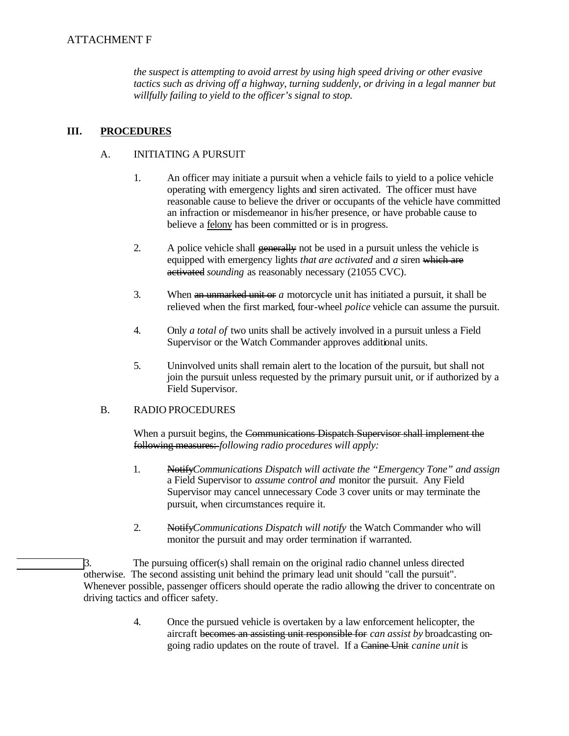*the suspect is attempting to avoid arrest by using high speed driving or other evasive tactics such as driving off a highway, turning suddenly, or driving in a legal manner but willfully failing to yield to the officer's signal to stop.* 

#### III. **III.PROCEDURES**

#### $A<sub>1</sub>$ INITIATING A PURSUIT

- $1.$ 1.An officer may initiate a pursuit when a vehicle fails to yield to a police vehicle operating with emergency lights and siren activated. The officer must have reasonable cause to believe the driver or occupants of the vehicle have committed an infraction or misdemeanor in his/her presence, or have probable cause to believe a felony has been committed or is in progress.
- $2.$ A police vehicle shall generally not be used in a pursuit unless the vehicle is equipped with emergency lights *that are activated* and *a* siren which are activated *sounding* as reasonably necessary (21055 CVC).
- 3. When an unmarked unit or *a* motorcycle unit has initiated a pursuit, it shall be relieved when the first marked*,* four-wheel *police* vehicle can assume the pursuit.
- $\overline{4}$ . 4.Only *a total of* two units shall be actively involved in a pursuit unless a Field Supervisor or the Watch Commander approves additional units.
- $5<sub>1</sub>$ 5.Uninvolved units shall remain alert to the location of the pursuit, but shall not join the pursuit unless requested by the primary pursuit unit, or if authorized by a Field Supervisor.

#### **RADIO PROCEDURES**  $B<sub>1</sub>$

When a pursuit begins, the Communications Dispatch Supervisor shall implement the following measures: *following radio procedures will apply:* 

- $1.$ 1.Notify*Communications Dispatch will activate the "Emergency Tone" and assign*  a Field Supervisor to *assume control and* monitor the pursuit. Any Field Supervisor may cancel unnecessary Code 3 cover units or may terminate the pursuit, when circumstances require it.
- $2.$ 2.Notify*Communications Dispatch will notify* the Watch Commander who will monitor the pursuit and may order termination if warranted.

3. The pursuing officer(s) shall remain on the original radio channel unless directed otherwise. The second assisting unit behind the primary lead unit should "call the pursuit". Whenever possible, passenger officers should operate the radio allowing the driver to concentrate on driving tactics and officer safety.

> 4. Once the pursued vehicle is overtaken by a law enforcement helicopter, the aircraft becomes an assisting unit responsible for *can assist by* broadcasting ongoing radio updates on the route of travel. If a Canine Unit *canine unit* is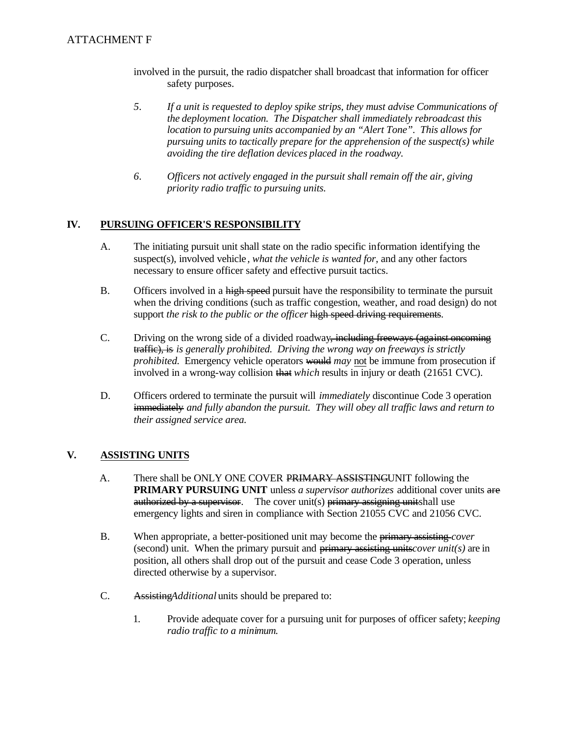- involved in the pursuit, the radio dispatcher shall broadcast that information for officer safety purposes.
- 5. *5.If a unit is requested to deploy spike strips, they must advise Communications of the deployment location. The Dispatcher shall immediately rebroadcast this location to pursuing units accompanied by an "Alert Tone". This allows for pursuing units to tactically prepare for the apprehension of the suspect(s) while avoiding the tire deflation devices placed in the roadway.*
- *priority radio traffic to pursuing units.*  6. *6.Officers not actively engaged in the pursuit shall remain off the air, giving*

#### IV. **IV.PURSUING OFFICER'S RESPONSIBILITY**

- $A_{\cdot}$ The initiating pursuit unit shall state on the radio specific information identifying the suspect(s), involved vehicle *, what the vehicle is wanted for,* and any other factors necessary to ensure officer safety and effective pursuit tactics.
- **B.** Officers involved in a high speed pursuit have the responsibility to terminate the pursuit when the driving conditions (such as traffic congestion, weather, and road design) do not support *the risk to the public or the officer* high speed driving requirements.
- *prohibited.* Emergency vehicle operators would *may* not be immune from prosecution if  $C_{\cdot}$ Driving on the wrong side of a divided roadway<del>, including freeways (against oncoming</del>) traffic), is *is generally prohibited. Driving the wrong way on freeways is strictly*  involved in a wrong-way collision that *which* results in injury or death (21651 CVC).
- *their assigned service area.* D. D.Officers ordered to terminate the pursuit will *immediately* discontinue Code 3 operation immediately *and fully abandon the pursuit. They will obey all traffic laws and return to*

#### **V.** ASSISTING UNITS  $V_{\cdot}$

- authorized by a supervisor. The cover unit(s) primary assigning unitshall use  $A<sub>1</sub>$ There shall be ONLY ONE COVER PRIMARY ASSISTINGUNIT following the **PRIMARY PURSUING UNIT** unless *a supervisor authorizes* additional cover units are emergency lights and siren in compliance with Section 21055 CVC and 21056 CVC.
- **B.** When appropriate, a better-positioned unit may become the primary assisting *cover* (second) unit. When the primary pursuit and  $\frac{1}{2}$  primary assisting units*cover unit(s)* are in position, all others shall drop out of the pursuit and cease Code 3 operation, unless directed otherwise by a supervisor.
- $C_{\cdot}$ Assisting*Additional* units should be prepared to:
	- $1.$ 1.Provide adequate cover for a pursuing unit for purposes of officer safety; *keeping radio traffic to a minimum.*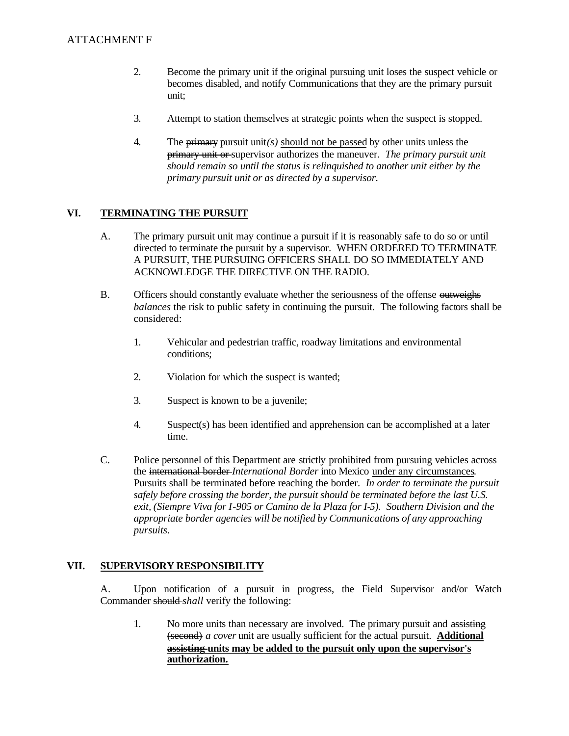- $2.$ 2.Become the primary unit if the original pursuing unit loses the suspect vehicle or becomes disabled, and notify Communications that they are the primary pursuit unit;
- $3.$ Attempt to station themselves at strategic points when the suspect is stopped.
- 4. The  $\frac{1}{2}$  pursuit unit*(s)* should not be passed by other units unless the primary unit or supervisor authorizes the maneuver. *The primary pursuit unit should remain so until the status is relinquished to another unit either by the primary pursuit unit or as directed by a supervisor.*

#### VI. **VI.TERMINATING THE PURSUIT**

- $A_{\cdot}$ The primary pursuit unit may continue a pursuit if it is reasonably safe to do so or until directed to terminate the pursuit by a supervisor. WHEN ORDERED TO TERMINATE A PURSUIT, THE PURSUING OFFICERS SHALL DO SO IMMEDIATELY AND ACKNOWLEDGE THE DIRECTIVE ON THE RADIO.
- $B<sub>1</sub>$ Officers should constantly evaluate whether the seriousness of the offense outweighs *balances* the risk to public safety in continuing the pursuit. The following factors shall be considered:
	- $1.$ 1.Vehicular and pedestrian traffic, roadway limitations and environmental conditions;
	- 2. Violation for which the suspect is wanted;
	- $3.$ Suspect is known to be a juvenile;
	- $\overline{4}$ . Suspect(s) has been identified and apprehension can be accomplished at a later time.
- $C_{\cdot}$ Police personnel of this Department are strictly prohibited from pursuing vehicles across the international border *International Border* into Mexico under any circumstances. Pursuits shall be terminated before reaching the border. *In order to terminate the pursuit safely before crossing the border, the pursuit should be terminated before the last U.S. exit, (Siempre Viva for I-905 or Camino de la Plaza for I-5). Southern Division and the appropriate border agencies will be notified by Communications of any approaching pursuits.*

#### VII. **SUPERVISORY RESPONSIBILITY**

A. Upon notification of a pursuit in progress, the Field Supervisor and/or Watch Commander should *shall* verify the following:

 $1.$ No more units than necessary are involved. The primary pursuit and assisting (second) *a cover* unit are usually sufficient for the actual pursuit. **Additional assisting units may be added to the pursuit only upon the supervisor's authorization.**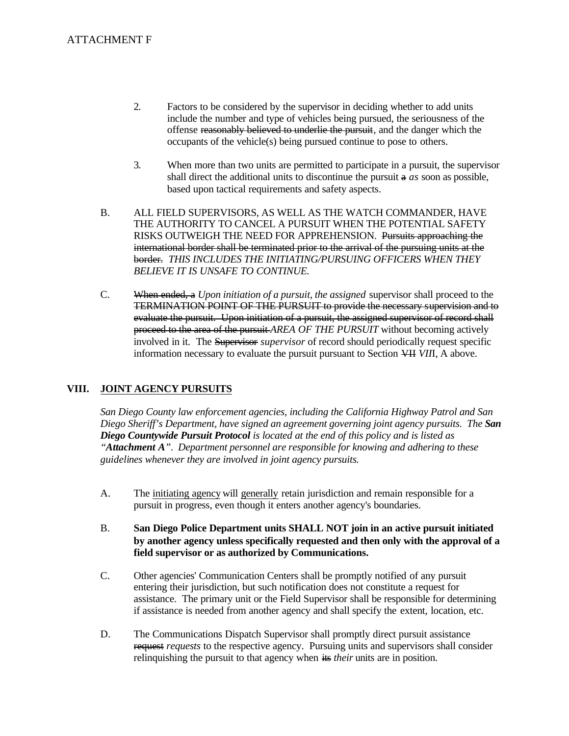- $2.$ ATTACHMENT F<br>2. Factors to be considered by the supervisor in deciding whether to add units include the number and type of vehicles being pursued, the seriousness of the offense reasonably believed to underlie the pursuit, and the danger which the occupants of the vehicle(s) being pursued continue to pose to others.
	- $\overline{3}$ . When more than two units are permitted to participate in a pursuit, the supervisor shall direct the additional units to discontinue the pursuit a *as* soon as possible, based upon tactical requirements and safety aspects.
	- border. *THIS INCLUDES THE INITIATING/PURSUING OFFICERS WHEN THEY*   $B<sub>1</sub>$ ALL FIELD SUPERVISORS, AS WELL AS THE WATCH COMMANDER, HAVE THE AUTHORITY TO CANCEL A PURSUIT WHEN THE POTENTIAL SAFETY RISKS OUTWEIGH THE NEED FOR APPREHENSION. Pursuits approaching the international border shall be terminated prior to the arrival of the pursuing units at the *BELIEVE IT IS UNSAFE TO CONTINUE.*
	- $C_{\cdot}$ When ended, a *Upon initiation of a pursuit, the assigned* supervisor shall proceed to the TERMINATION POINT OF THE PURSUIT to provide the necessary supervision and to evaluate the pursuit. Upon initiation of a pursuit, the assigned supervisor of record shall proceed to the area of the pursuit *AREA OF THE PURSUIT* without becoming actively involved in it. The Supervisor *supervisor* of record should periodically request specific information necessary to evaluate the pursuit pursuant to Section VII *VII*I, A above.

#### VIII. **JOINT AGENCY PURSUITS**

*San Diego County law enforcement agencies, including the California Highway Patrol and San Diego Sheriff's Department, have signed an agreement governing joint agency pursuits. The San Diego Countywide Pursuit Protocol is located at the end of this policy and is listed as "Attachment A". Department personnel are responsible for knowing and adhering to these guidelines whenever they are involved in joint agency pursuits.* 

- A. The initiating agency will generally retain jurisdiction and remain responsible for a pursuit in progress, even though it enters another agency's boundaries.
- $B<sub>1</sub>$ B.**San Diego Police Department units SHALL NOT join in an active pursuit initiated by another agency unless specifically requested and then only with the approval of a field supervisor or as authorized by Communications.**
- $C_{\cdot}$ Other agencies' Communication Centers shall be promptly notified of any pursuit entering their jurisdiction, but such notification does not constitute a request for assistance. The primary unit or the Field Supervisor shall be responsible for determining if assistance is needed from another agency and shall specify the extent, location, etc.
- D. The Communications Dispatch Supervisor shall promptly direct pursuit assistance request *requests* to the respective agency. Pursuing units and supervisors shall consider relinquishing the pursuit to that agency when its *their* units are in position.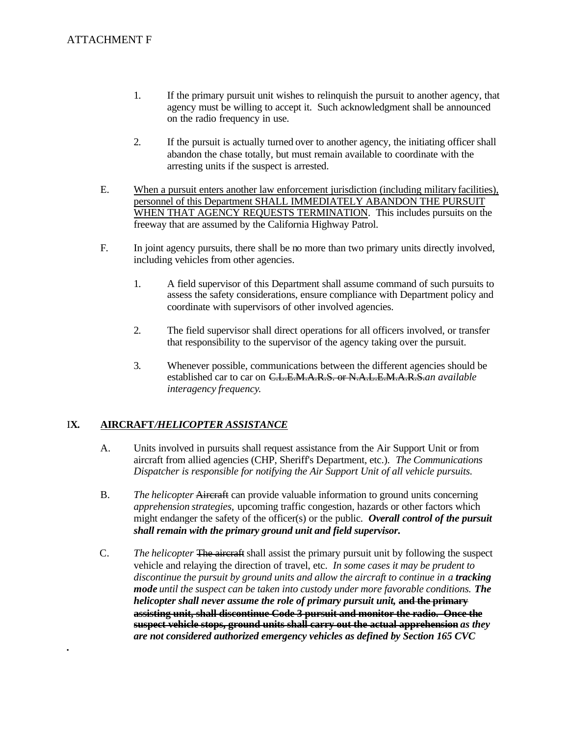- $1.$ If the primary pursuit unit wishes to relinquish the pursuit to another agency, that agency must be willing to accept it. Such acknowledgment shall be announced on the radio frequency in use.
- $2.$ If the pursuit is actually turned over to another agency, the initiating officer shall abandon the chase totally, but must remain available to coordinate with the arresting units if the suspect is arrested.
- E. When a pursuit enters another law enforcement jurisdiction (including military facilities), personnel of this Department SHALL IMMEDIATELY ABANDON THE PURSUIT WHEN THAT AGENCY REQUESTS TERMINATION. This includes pursuits on the freeway that are assumed by the California Highway Patrol.
- F. In joint agency pursuits, there shall be no more than two primary units directly involved, including vehicles from other agencies.
	- $1.$ 1.A field supervisor of this Department shall assume command of such pursuits to assess the safety considerations, ensure compliance with Department policy and coordinate with supervisors of other involved agencies.
	- 2. 2.The field supervisor shall direct operations for all officers involved, or transfer that responsibility to the supervisor of the agency taking over the pursuit.
	- $\mathfrak{Z}$ . Whenever possible, communications between the different agencies should be established car to car on C.L.E.M.A.R.S. or N.A.L.E.M.A.R.S.*an available interagency frequency*.

#### IX. I**X.AIRCRAFT***/HELICOPTER ASSISTANCE*

*.* 

- А. Units involved in pursuits shall request assistance from the Air Support Unit or from aircraft from allied agencies (CHP, Sheriff's Department, etc.). *The Communications Dispatcher is responsible for notifying the Air Support Unit of all vehicle pursuits.*
- **B.** *The helicopter* Aircraft can provide valuable information to ground units concerning *apprehension strategies,* upcoming traffic congestion, hazards or other factors which might endanger the safety of the officer(s) or the public. *Overall control of the pursuit shall remain with the primary ground unit and field supervisor.*
- $C_{\cdot}$ The helicopter The aircraft shall assist the primary pursuit unit by following the suspect vehicle and relaying the direction of travel, etc. *In some cases it may be prudent to discontinue the pursuit by ground units and allow the aircraft to continue in a tracking mode until the suspect can be taken into custody under more favorable conditions. The helicopter shall never assume the role of primary pursuit unit,* **and the primary assisting unit, shall discontinue Code 3 pursuit and monitor the radio. Once the suspect vehicle stops, ground units shall carry out the actual apprehension** *as they are not considered authorized emergency vehicles as defined by Section 165 CVC*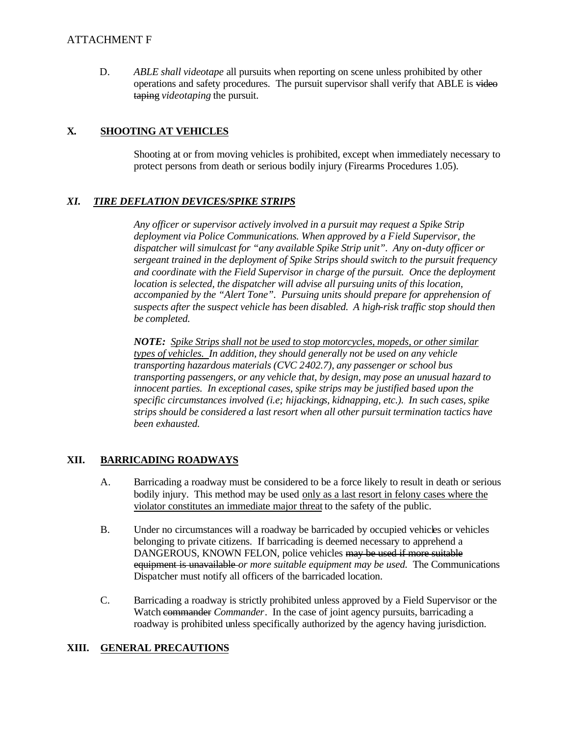# ATTACHMENT F

D. *ABLE shall videotape* all pursuits when reporting on scene unless prohibited by other operations and safety procedures. The pursuit supervisor shall verify that ABLE is video taping *videotaping* the pursuit.

#### **X. X.SHOOTING AT VEHICLES**

 protect persons from death or serious bodily injury (Firearms Procedures 1.05). Shooting at or from moving vehicles is prohibited, except when immediately necessary to

### *XI. TIRE DEFLATION DEVICES/SPIKE STRIPS*

*Any officer or supervisor actively involved in a pursuit may request a Spike Strip deployment via Police Communications. When approved by a Field Supervisor, the dispatcher will simulcast for "any available Spike Strip unit". Any on-duty officer or sergeant trained in the deployment of Spike Strips should switch to the pursuit frequency and coordinate with the Field Supervisor in charge of the pursuit. Once the deployment location is selected, the dispatcher will advise all pursuing units of this location, accompanied by the "Alert Tone". Pursuing units should prepare for apprehension of suspects after the suspect vehicle has been disabled. A high-risk traffic stop should then be completed.* 

 *NOTE: Spike Strips shall not be used to stop motorcycles, mopeds, or other similar types of vehicles. In addition, they should generally not be used on any vehicle transporting hazardous materials (CVC 2402.7), any passenger or school bus transporting passengers, or any vehicle that, by design, may pose an unusual hazard to innocent parties. In exceptional cases, spike strips may be justified based upon the specific circumstances involved (i.e; hijackings, kidnapping, etc.). In such cases, spike strips should be considered a last resort when all other pursuit termination tactics have been exhausted.* 

#### XII. **BARRICADING ROADWAYS**

- $A<sub>1</sub>$ A.Barricading a roadway must be considered to be a force likely to result in death or serious bodily injury. This method may be used only as a last resort in felony cases where the violator constitutes an immediate major threat to the safety of the public.
- $B<sub>1</sub>$ Under no circumstances will a roadway be barricaded by occupied vehicles or vehicles belonging to private citizens. If barricading is deemed necessary to apprehend a DANGEROUS, KNOWN FELON, police vehicles may be used if more suitable equipment is unavailable *or more suitable equipment may be used.* The Communications Dispatcher must notify all officers of the barricaded location.
- $C_{\cdot}$ Barricading a roadway is strictly prohibited unless approved by a Field Supervisor or the Watch commander *Commander*. In the case of joint agency pursuits, barricading a roadway is prohibited unless specifically authorized by the agency having jurisdiction.

### **XIII.GENERAL PRECAUTIONS**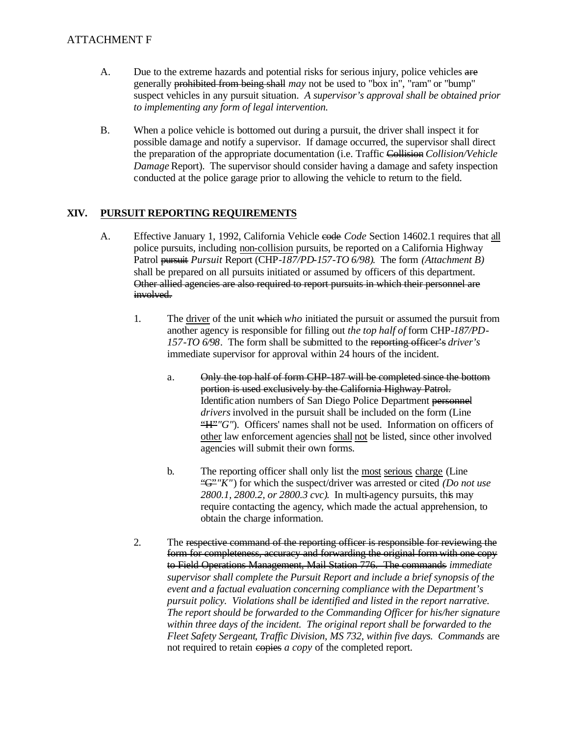## ATTACHMENT F

- A. Due to the extreme hazards and potential risks for serious injury, police vehicles are generally prohibited from being shall *may* not be used to "box in", "ram" or "bump" suspect vehicles in any pursuit situation. *A supervisor's approval shall be obtained prior to implementing any form of legal intervention.*
- $B<sub>1</sub>$ When a police vehicle is bottomed out during a pursuit, the driver shall inspect it for possible damage and notify a supervisor. If damage occurred, the supervisor shall direct the preparation of the appropriate documentation (i.e. Traffic Collision *Collision/Vehicle Damage* Report). The supervisor should consider having a damage and safety inspection conducted at the police garage prior to allowing the vehicle to return to the field.

#### XIV. **XIV.PURSUIT REPORTING REQUIREMENTS**

- $A<sub>1</sub>$ A.Effective January 1, 1992, California Vehicle code *Code* Section 14602.1 requires that all police pursuits, including non-collision pursuits, be reported on a California Highway Patrol pursuit *Pursuit* Report (CHP*-187/PD-157-TO 6/98)*. The form *(Attachment B)*  shall be prepared on all pursuits initiated or assumed by officers of this department. Other allied agencies are also required to report pursuits in which their personnel are involved.
	- *157-TO 6/98*. The form shall be submitted to the reporting officer's *driver's*   $1.$ The driver of the unit which *who* initiated the pursuit or assumed the pursuit from another agency is responsible for filling out *the top half of* form CHP-*187/PD*immediate supervisor for approval within 24 hours of the incident.
		- portion is used exclusively by the California Highway Patrol. a. Only the top half of form CHP-187 will be completed since the bottom Identification numbers of San Diego Police Department personnel *drivers* involved in the pursuit shall be included on the form (Line "H"*"G"*). Officers' names shall not be used. Information on officers of other law enforcement agencies shall not be listed, since other involved agencies will submit their own forms.
		- $\mathbf{b}$ . The reporting officer shall only list the most serious charge (Line "G"*"K"*) for which the suspect/driver was arrested or cited *(Do not use 2800.1, 2800.2, or 2800.3 cvc)*. In multi-agency pursuits, this may require contacting the agency*,* which made the actual apprehension*,* to obtain the charge information.
	- $2.$ The respective command of the reporting officer is responsible for reviewing the form for completeness, accuracy and forwarding the original form with one copy to Field Operations Management, Mail Station 776. The commands *immediate supervisor shall complete the Pursuit Report and include a brief synopsis of the event and a factual evaluation concerning compliance with the Department's pursuit policy. Violations shall be identified and listed in the report narrative. The report should be forwarded to the Commanding Officer for his/her signature within three days of the incident. The original report shall be forwarded to the Fleet Safety Sergeant, Traffic Division, MS 732, within five days. Commands* are not required to retain copies *a copy* of the completed report.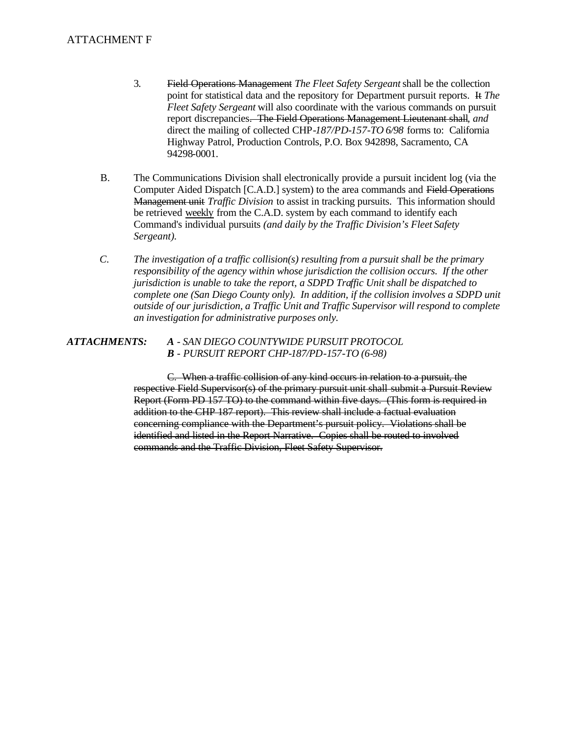### ATTACHMENT F

- $3.$ 3.Field Operations Management *The Fleet Safety Sergeant* shall be the collection point for statistical data and the repository for Department pursuit reports. It *The Fleet Safety Sergeant* will also coordinate with the various commands on pursuit report discrepancies. The Field Operations Management Lieutenant shall*, and*  direct the mailing of collected CHP*-187/PD-157-TO 6/98* forms to: California Highway Patrol, Production Controls, P.O. Box 942898, Sacramento, CA 94298-0001.
- $B<sub>1</sub>$ The Communications Division shall electronically provide a pursuit incident log (via the Computer Aided Dispatch [C.A.D.] system) to the area commands and Field Operations Management unit *Traffic Division* to assist in tracking pursuits. This information should be retrieved weekly from the C.A.D. system by each command to identify each Command's individual pursuits *(and daily by the Traffic Division's Fleet Safety Sergeant).*
- $C_{\cdot}$ *C.The investigation of a traffic collision(s) resulting from a pursuit shall be the primary responsibility of the agency within whose jurisdiction the collision occurs. If the other jurisdiction is unable to take the report, a SDPD Traffic Unit shall be dispatched to complete one (San Diego County only). In addition, if the collision involves a SDPD unit outside of our jurisdiction, a Traffic Unit and Traffic Supervisor will respond to complete an investigation for administrative purposes only.*

### *ATTACHMENTS: A - SAN DIEGO COUNTYWIDE PURSUIT PROTOCOL B - PURSUIT REPORT CHP-187/PD-157-TO (6-98)*

C. When a traffic collision of any kind occurs in relation to a pursuit, the respective Field Supervisor(s) of the primary pursuit unit shall submit a Pursuit Review Report (Form PD 157 TO) to the command within five days. (This form is required in addition to the CHP 187 report). This review shall include a factual evaluation concerning compliance with the Department's pursuit policy. Violations shall be identified and listed in the Report Narrative. Copies shall be routed to involved commands and the Traffic Division, Fleet Safety Supervisor.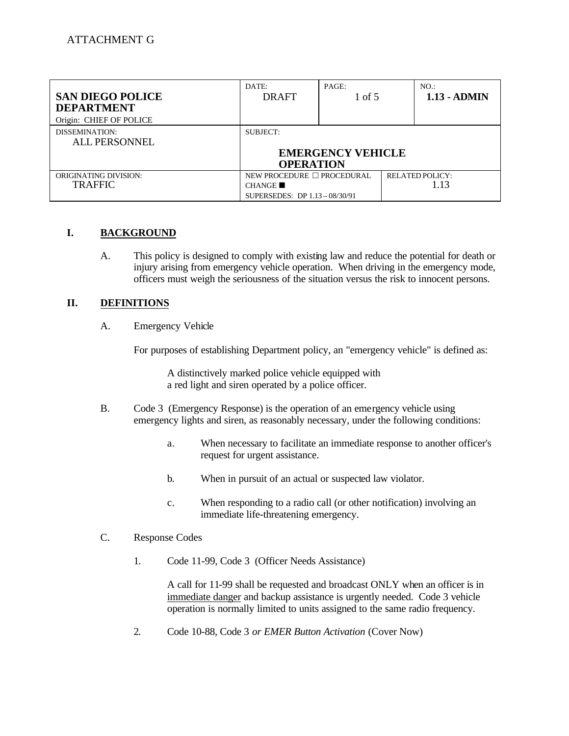| <b>SAN DIEGO POLICE</b><br><b>DEPARTMENT</b><br>Origin: CHIEF OF POLICE | DATE:<br><b>DRAFT</b>                                                  | PAGE:<br>1 of 5          | NO.<br>$1.13 - ADMIN$          |
|-------------------------------------------------------------------------|------------------------------------------------------------------------|--------------------------|--------------------------------|
| DISSEMINATION:<br>ALL PERSONNEL                                         | SUBJECT:<br><b>OPERATION</b>                                           | <b>EMERGENCY VEHICLE</b> |                                |
| <b>ORIGINATING DIVISION:</b><br><b>TRAFFIC</b>                          | NEW PROCEDURE □ PROCEDURAL<br>CHANGE<br>SUPERSEDES: DP 1.13 - 08/30/91 |                          | <b>RELATED POLICY:</b><br>1.13 |

#### I. **I.BACKGROUND**

 $A<sub>1</sub>$ This policy is designed to comply with existing law and reduce the potential for death or injury arising from emergency vehicle operation. When driving in the emergency mode, officers must weigh the seriousness of the situation versus the risk to innocent persons.

#### II. **DEFINITIONS**

 $A<sub>1</sub>$ **Emergency Vehicle** 

For purposes of establishing Department policy, an "emergency vehicle" is defined as:

A distinctively marked police vehicle equipped with a red light and siren operated by a police officer.

- $B<sub>1</sub>$ Code 3 (Emergency Response) is the operation of an emergency vehicle using emergency lights and siren, as reasonably necessary, under the following conditions:
	- a. When necessary to facilitate an immediate response to another officer's request for urgent assistance.
	- $\mathbf{b}$ . When in pursuit of an actual or suspected law violator.
	- $\mathbf{c}$ . When responding to a radio call (or other notification) involving an immediate life-threatening emergency.

#### $C_{\cdot}$ Response Codes

 $1.$ Code 11-99, Code 3 (Officer Needs Assistance)

> A call for 11-99 shall be requested and broadcast ONLY when an officer is in immediate danger and backup assistance is urgently needed. Code 3 vehicle operation is normally limited to units assigned to the same radio frequency.

2. Code 10-88, Code 3 *or EMER Button Activation* (Cover Now)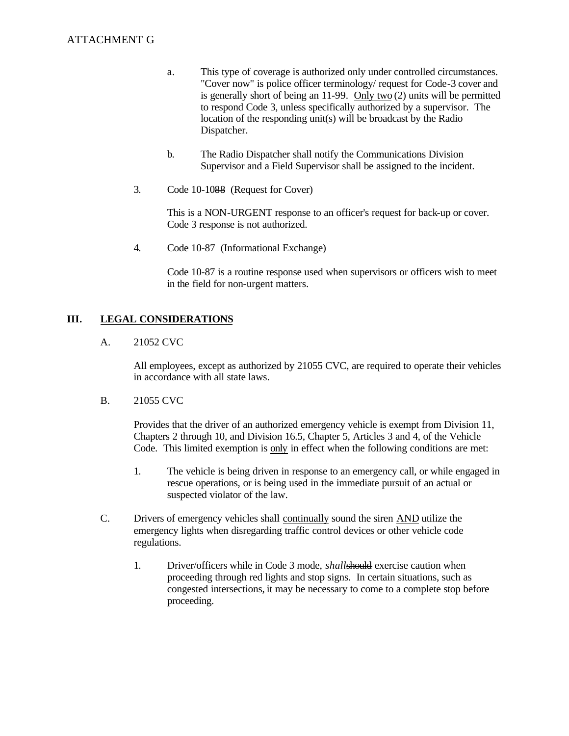- a. This type of coverage is authorized only under controlled circumstances. "Cover now" is police officer terminology/ request for Code-3 cover and is generally short of being an 11-99. Only two (2) units will be permitted to respond Code 3, unless specifically authorized by a supervisor. The location of the responding unit(s) will be broadcast by the Radio Dispatcher.
- $\mathbf{b}$ . b.The Radio Dispatcher shall notify the Communications Division Supervisor and a Field Supervisor shall be assigned to the incident.
- $\overline{3}$ . Code 10-1088 (Request for Cover)

This is a NON-URGENT response to an officer's request for back-up or cover. Code 3 response is not authorized.

4. Code 10-87 (Informational Exchange)

> Code 10-87 is a routine response used when supervisors or officers wish to meet in the field for non-urgent matters.

#### III. **LEGAL CONSIDERATIONS**

 $A<sub>1</sub>$ 21052 CVC

> All employees, except as authorized by 21055 CVC, are required to operate their vehicles in accordance with all state laws.

 $B<sub>1</sub>$ 21055 CVC

> Provides that the driver of an authorized emergency vehicle is exempt from Division 11, Chapters 2 through 10, and Division 16.5, Chapter 5, Articles 3 and 4, of the Vehicle Code. This limited exemption is only in effect when the following conditions are met:

- $1.$ The vehicle is being driven in response to an emergency call, or while engaged in rescue operations, or is being used in the immediate pursuit of an actual or suspected violator of the law.
- $C_{\cdot}$ Drivers of emergency vehicles shall continually sound the siren AND utilize the emergency lights when disregarding traffic control devices or other vehicle code regulations.
	- $1_{-}$ Driver/officers while in Code 3 mode, *shall*should exercise caution when proceeding through red lights and stop signs. In certain situations, such as congested intersections, it may be necessary to come to a complete stop before proceeding.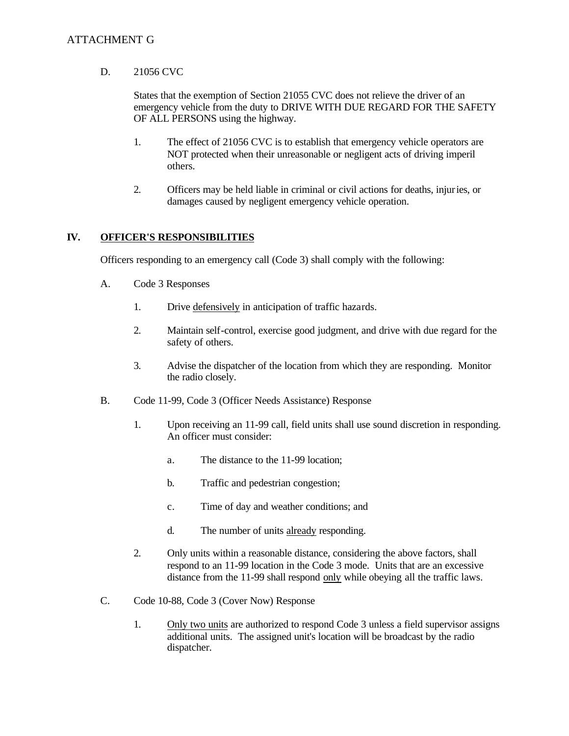# ATTACHMENT G

#### D. 21056 CVC

States that the exemption of Section 21055 CVC does not relieve the driver of an emergency vehicle from the duty to DRIVE WITH DUE REGARD FOR THE SAFETY OF ALL PERSONS using the highway.

- $1.$ The effect of 21056 CVC is to establish that emergency vehicle operators are NOT protected when their unreasonable or negligent acts of driving imperil others.
- $2.$ Officers may be held liable in criminal or civil actions for deaths, injuries, or damages caused by negligent emergency vehicle operation.

#### IV. **IV.OFFICER'S RESPONSIBILITIES**

Officers responding to an emergency call (Code 3) shall comply with the following:

- A. Code 3 Responses
	- $1.$ Drive defensively in anticipation of traffic hazards.
	- $2.$ Maintain self-control, exercise good judgment, and drive with due regard for the safety of others.
	- 3. Advise the dispatcher of the location from which they are responding. Monitor the radio closely.
- $B<sub>1</sub>$ Code 11-99, Code 3 (Officer Needs Assistance) Response
	- $1.$ Upon receiving an 11-99 call, field units shall use sound discretion in responding. An officer must consider:
		- a. The distance to the 11-99 location;
		- $\mathbf{b}$ . Traffic and pedestrian congestion;
		- $\mathbf{c}$ . Time of day and weather conditions; and
		- $d_{\cdot}$ The number of units already responding.
	- $2.$ Only units within a reasonable distance, considering the above factors, shall respond to an 11-99 location in the Code 3 mode. Units that are an excessive distance from the 11-99 shall respond only while obeying all the traffic laws.
- $C_{\cdot}$ Code 10-88, Code 3 (Cover Now) Response
	- $1.$ Only two units are authorized to respond Code 3 unless a field supervisor assigns additional units. The assigned unit's location will be broadcast by the radio dispatcher.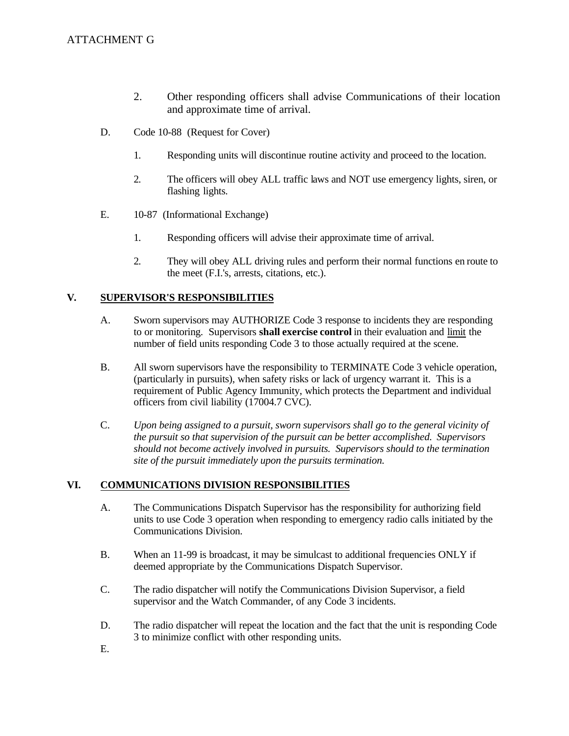- 2. Other responding officers shall advise Communications of their location and approximate time of arrival.
- D. Code 10-88 (Request for Cover)
	- $1.$ Responding units will discontinue routine activity and proceed to the location.
	- $2.$ The officers will obey ALL traffic laws and NOT use emergency lights, siren, or flashing lights.
- E. 10-87 (Informational Exchange)
	- $1.$ Responding officers will advise their approximate time of arrival.
	- 2. They will obey ALL driving rules and perform their normal functions en route to the meet (F.I.'s, arrests, citations, etc.).

#### V. **V.SUPERVISOR'S RESPONSIBILITIES**

- A. A.Sworn supervisors may AUTHORIZE Code 3 response to incidents they are responding to or monitoring. Supervisors **shall exercise control** in their evaluation and limit the number of field units responding Code 3 to those actually required at the scene.
- **B.** All sworn supervisors have the responsibility to TERMINATE Code 3 vehicle operation, (particularly in pursuits), when safety risks or lack of urgency warrant it. This is a requirement of Public Agency Immunity, which protects the Department and individual officers from civil liability (17004.7 CVC).
- $C<sub>1</sub>$ Upon being assigned to a pursuit, sworn supervisors shall go to the general vicinity of *the pursuit so that supervision of the pursuit can be better accomplished. Supervisors should not become actively involved in pursuits. Supervisors should to the termination site of the pursuit immediately upon the pursuits termination.*

#### VI. **VI.COMMUNICATIONS DIVISION RESPONSIBILITIES**

- A. The Communications Dispatch Supervisor has the responsibility for authorizing field units to use Code 3 operation when responding to emergency radio calls initiated by the Communications Division.
- **B.** When an 11-99 is broadcast, it may be simulcast to additional frequencies ONLY if deemed appropriate by the Communications Dispatch Supervisor.
- $C_{\cdot}$ The radio dispatcher will notify the Communications Division Supervisor, a field supervisor and the Watch Commander, of any Code 3 incidents.
- D. The radio dispatcher will repeat the location and the fact that the unit is responding Code 3 to minimize conflict with other responding units.
- E.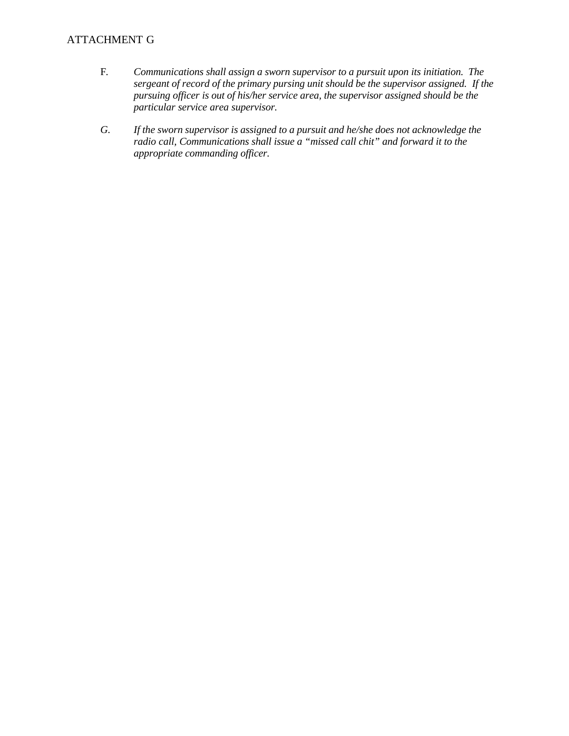# ATTACHMENT G

- $F.$ F.*Communications shall assign a sworn supervisor to a pursuit upon its initiation. The sergeant of record of the primary pursing unit should be the supervisor assigned. If the pursuing officer is out of his/her service area, the supervisor assigned should be the particular service area supervisor.*
- G. If the sworn supervisor is assigned to a pursuit and he/she does not acknowledge the *radio call, Communications shall issue a "missed call chit" and forward it to the appropriate commanding officer.*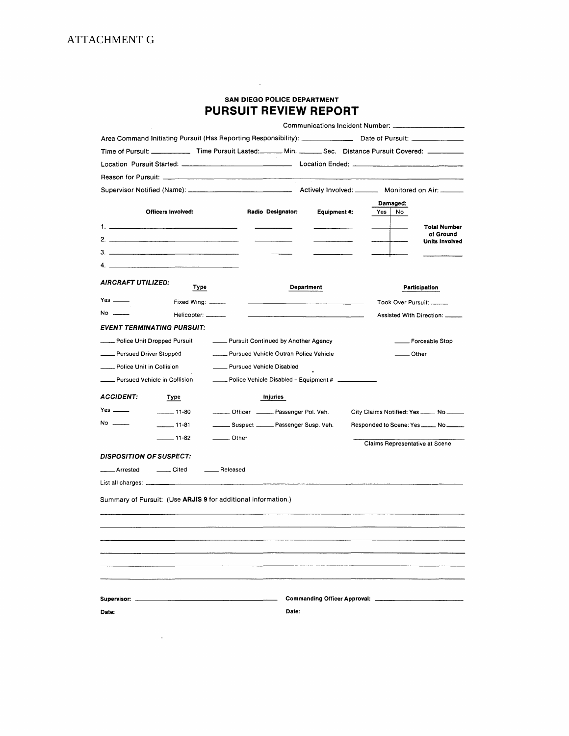| <b>SAN DIEGO POLICE DEPARTMENT</b> |  |  |  |  |  |
|------------------------------------|--|--|--|--|--|
| <b>PURSUIT REVIEW REPORT</b>       |  |  |  |  |  |

|                                                                                                                                                                                                                                                                                              |                                                                                                                       |                            | <b>SAN DIEGO POLICE DEPARTMENT</b>                 |                     |     |                                          |
|----------------------------------------------------------------------------------------------------------------------------------------------------------------------------------------------------------------------------------------------------------------------------------------------|-----------------------------------------------------------------------------------------------------------------------|----------------------------|----------------------------------------------------|---------------------|-----|------------------------------------------|
|                                                                                                                                                                                                                                                                                              |                                                                                                                       |                            | PURSUIT REVIEW REPORT                              |                     |     |                                          |
|                                                                                                                                                                                                                                                                                              |                                                                                                                       |                            |                                                    |                     |     |                                          |
|                                                                                                                                                                                                                                                                                              |                                                                                                                       |                            |                                                    |                     |     |                                          |
|                                                                                                                                                                                                                                                                                              | Time of Pursuit: _______________ Time Pursuit Lasted: _______ Min. ________ Sec. Distance Pursuit Covered: __________ |                            |                                                    |                     |     |                                          |
|                                                                                                                                                                                                                                                                                              |                                                                                                                       |                            |                                                    |                     |     |                                          |
|                                                                                                                                                                                                                                                                                              |                                                                                                                       |                            |                                                    |                     |     |                                          |
|                                                                                                                                                                                                                                                                                              |                                                                                                                       |                            |                                                    |                     |     |                                          |
|                                                                                                                                                                                                                                                                                              | <b>Officers Involved:</b>                                                                                             |                            | Radio Designator:                                  | <b>Equipment #:</b> | Yes | Damaged:<br>No                           |
|                                                                                                                                                                                                                                                                                              |                                                                                                                       |                            |                                                    |                     |     | <b>Total Number</b>                      |
| 2. $\frac{1}{2}$ . The set of $\frac{1}{2}$ is $\frac{1}{2}$ is $\frac{1}{2}$ is $\frac{1}{2}$ is $\frac{1}{2}$ is $\frac{1}{2}$ is $\frac{1}{2}$ is $\frac{1}{2}$ is $\frac{1}{2}$ is $\frac{1}{2}$ is $\frac{1}{2}$ is $\frac{1}{2}$ is $\frac{1}{2}$ is $\frac{1}{2}$ is $\frac{1}{2}$ is |                                                                                                                       |                            |                                                    |                     |     | of Ground<br><b>Units Involved</b>       |
|                                                                                                                                                                                                                                                                                              |                                                                                                                       |                            |                                                    |                     |     |                                          |
|                                                                                                                                                                                                                                                                                              |                                                                                                                       |                            |                                                    |                     |     |                                          |
|                                                                                                                                                                                                                                                                                              |                                                                                                                       |                            |                                                    |                     |     |                                          |
| AIRCRAFT UTILIZED:                                                                                                                                                                                                                                                                           | Type                                                                                                                  |                            | <b>Department</b>                                  |                     |     | Participation                            |
| Yes $\_\_\_\_\$                                                                                                                                                                                                                                                                              | Fixed Wing: _____                                                                                                     |                            |                                                    |                     |     | Took Over Pursuit: ______                |
| No ______                                                                                                                                                                                                                                                                                    | Helicopter: ______                                                                                                    |                            |                                                    |                     |     | Assisted With Direction: ______          |
|                                                                                                                                                                                                                                                                                              | <b>EVENT TERMINATING PURSUIT:</b>                                                                                     |                            |                                                    |                     |     |                                          |
| Police Unit Dropped Pursuit                                                                                                                                                                                                                                                                  |                                                                                                                       |                            | - Pursuit Continued by Another Agency              |                     |     | Forceable Stop                           |
| Pursued Driver Stopped                                                                                                                                                                                                                                                                       |                                                                                                                       |                            | Pursued Vehicle Outran Police Vehicle              |                     |     | Other                                    |
| Police Unit in Collision                                                                                                                                                                                                                                                                     |                                                                                                                       | - Pursued Vehicle Disabled |                                                    |                     |     |                                          |
| Pursued Vehicle in Collision                                                                                                                                                                                                                                                                 |                                                                                                                       |                            | Police Vehicle Disabled - Equipment # ____________ |                     |     |                                          |
| <b>ACCIDENT:</b>                                                                                                                                                                                                                                                                             | Type                                                                                                                  |                            | Injuries                                           |                     |     |                                          |
|                                                                                                                                                                                                                                                                                              | $\frac{1}{2}$ 11-80                                                                                                   |                            | Officer _____ Passenger Pol. Veh.                  |                     |     | City Claims Notified: Yes _____ No _____ |
| No                                                                                                                                                                                                                                                                                           | $11-81$                                                                                                               |                            | Suspect ______ Passenger Susp. Veh.                |                     |     |                                          |
|                                                                                                                                                                                                                                                                                              | $-$ 11-82                                                                                                             | <u>Cother</u>              |                                                    |                     |     |                                          |
|                                                                                                                                                                                                                                                                                              |                                                                                                                       |                            |                                                    |                     |     | Claims Representative at Scene           |
| <b>DISPOSITION OF SUSPECT:</b>                                                                                                                                                                                                                                                               |                                                                                                                       |                            |                                                    |                     |     |                                          |
| <sub>—</sub> Arrested                                                                                                                                                                                                                                                                        | Cited ________ Released                                                                                               |                            |                                                    |                     |     |                                          |
| List all charges: _________                                                                                                                                                                                                                                                                  |                                                                                                                       |                            |                                                    |                     |     |                                          |
|                                                                                                                                                                                                                                                                                              | Summary of Pursuit: (Use ARJIS 9 for additional information.)                                                         |                            |                                                    |                     |     |                                          |
|                                                                                                                                                                                                                                                                                              |                                                                                                                       |                            |                                                    |                     |     |                                          |
|                                                                                                                                                                                                                                                                                              |                                                                                                                       |                            |                                                    |                     |     |                                          |
|                                                                                                                                                                                                                                                                                              |                                                                                                                       |                            |                                                    |                     |     |                                          |
|                                                                                                                                                                                                                                                                                              |                                                                                                                       |                            |                                                    |                     |     |                                          |
|                                                                                                                                                                                                                                                                                              |                                                                                                                       |                            |                                                    |                     |     |                                          |
|                                                                                                                                                                                                                                                                                              |                                                                                                                       |                            |                                                    |                     |     |                                          |

 $\mathcal{L}^{\mathcal{L}}(\mathcal{L}^{\mathcal{L}}(\mathcal{L}^{\mathcal{L}}(\mathcal{L}^{\mathcal{L}}(\mathcal{L}^{\mathcal{L}}(\mathcal{L}^{\mathcal{L}}(\mathcal{L}^{\mathcal{L}}(\mathcal{L}^{\mathcal{L}}(\mathcal{L}^{\mathcal{L}}(\mathcal{L}^{\mathcal{L}}(\mathcal{L}^{\mathcal{L}}(\mathcal{L}^{\mathcal{L}}(\mathcal{L}^{\mathcal{L}}(\mathcal{L}^{\mathcal{L}}(\mathcal{L}^{\mathcal{L}}(\mathcal{L}^{\mathcal{L}}(\mathcal{L}^{\mathcal{L$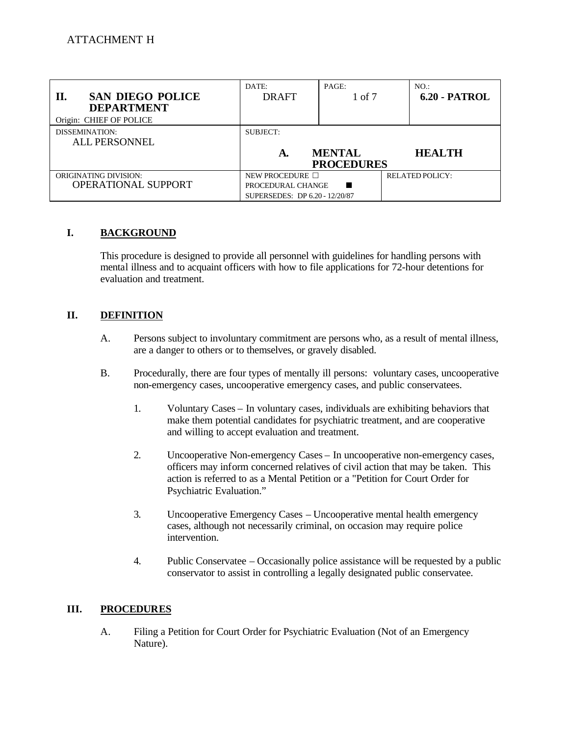| <b>SAN DIEGO POLICE</b><br>П.<br><b>DEPARTMENT</b><br>Origin: CHIEF OF POLICE | DATE:<br><b>DRAFT</b>                                                       | PAGE:<br>1 of 7                    | $NO.$ :<br><b>6.20 - PATROL</b> |
|-------------------------------------------------------------------------------|-----------------------------------------------------------------------------|------------------------------------|---------------------------------|
| DISSEMINATION:<br>ALL PERSONNEL                                               | SUBJECT:<br>А.                                                              | <b>MENTAL</b><br><b>PROCEDURES</b> | <b>HEALTH</b>                   |
| <b>ORIGINATING DIVISION:</b><br><b>OPERATIONAL SUPPORT</b>                    | NEW PROCEDURE $\Box$<br>PROCEDURAL CHANGE<br>SUPERSEDES: DP 6.20 - 12/20/87 | ■                                  | <b>RELATED POLICY:</b>          |

#### I. **I.BACKGROUND**

This procedure is designed to provide all personnel with guidelines for handling persons with mental illness and to acquaint officers with how to file applications for 72-hour detentions for evaluation and treatment.

#### II. **DEFINITION**

- A. Persons subject to involuntary commitment are persons who, as a result of mental illness, are a danger to others or to themselves, or gravely disabled.
- $B<sub>1</sub>$ Procedurally, there are four types of mentally ill persons: voluntary cases, uncooperative non-emergency cases, uncooperative emergency cases, and public conservatees.
	- $1.$ Voluntary Cases – In voluntary cases, individuals are exhibiting behaviors that make them potential candidates for psychiatric treatment, and are cooperative and willing to accept evaluation and treatment.
	- 2. 2.Uncooperative Non-emergency Cases – In uncooperative non-emergency cases, officers may inform concerned relatives of civil action that may be taken. This action is referred to as a Mental Petition or a "Petition for Court Order for Psychiatric Evaluation."
	- $\overline{3}$ . 3.Uncooperative Emergency Cases – Uncooperative mental health emergency cases, although not necessarily criminal, on occasion may require police intervention.
	- 4. Public Conservatee – Occasionally police assistance will be requested by a public conservator to assist in controlling a legally designated public conservatee.

#### III. **III.PROCEDURES**

 $A<sub>1</sub>$ Filing a Petition for Court Order for Psychiatric Evaluation (Not of an Emergency Nature).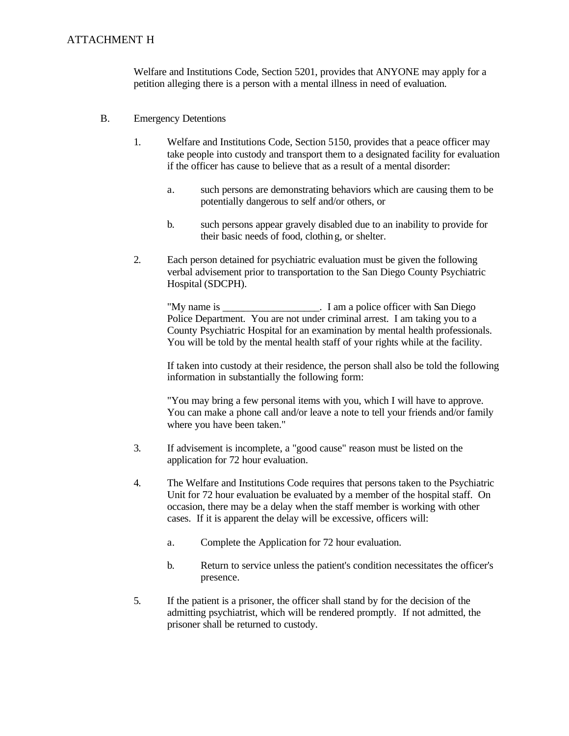## ATTACHMENT H

Welfare and Institutions Code, Section 5201, provides that ANYONE may apply for a petition alleging there is a person with a mental illness in need of evaluation.

- $B<sub>1</sub>$ **Emergency Detentions** 
	- $1.$ Welfare and Institutions Code, Section 5150, provides that a peace officer may take people into custody and transport them to a designated facility for evaluation if the officer has cause to believe that as a result of a mental disorder:
		- a. such persons are demonstrating behaviors which are causing them to be potentially dangerous to self and/or others, or
		- $\mathbf{b}$ . such persons appear gravely disabled due to an inability to provide for their basic needs of food, clothing, or shelter.
	- $2.$ Each person detained for psychiatric evaluation must be given the following verbal advisement prior to transportation to the San Diego County Psychiatric Hospital (SDCPH).

"My name is \_\_\_\_\_\_\_\_\_\_\_\_\_\_\_\_\_\_\_. I am a police officer with San Diego Police Department. You are not under criminal arrest. I am taking you to a County Psychiatric Hospital for an examination by mental health professionals. You will be told by the mental health staff of your rights while at the facility.

If taken into custody at their residence, the person shall also be told the following information in substantially the following form:

"You may bring a few personal items with you, which I will have to approve. You can make a phone call and/or leave a note to tell your friends and/or family where you have been taken."

- $3.$ If advisement is incomplete, a "good cause" reason must be listed on the application for 72 hour evaluation.
- 4. 4.The Welfare and Institutions Code requires that persons taken to the Psychiatric Unit for 72 hour evaluation be evaluated by a member of the hospital staff. On occasion, there may be a delay when the staff member is working with other cases. If it is apparent the delay will be excessive, officers will:
	- a. Complete the Application for 72 hour evaluation.
	- $\mathbf{b}$ . b.Return to service unless the patient's condition necessitates the officer's presence.
- 5. If the patient is a prisoner, the officer shall stand by for the decision of the admitting psychiatrist, which will be rendered promptly. If not admitted, the prisoner shall be returned to custody.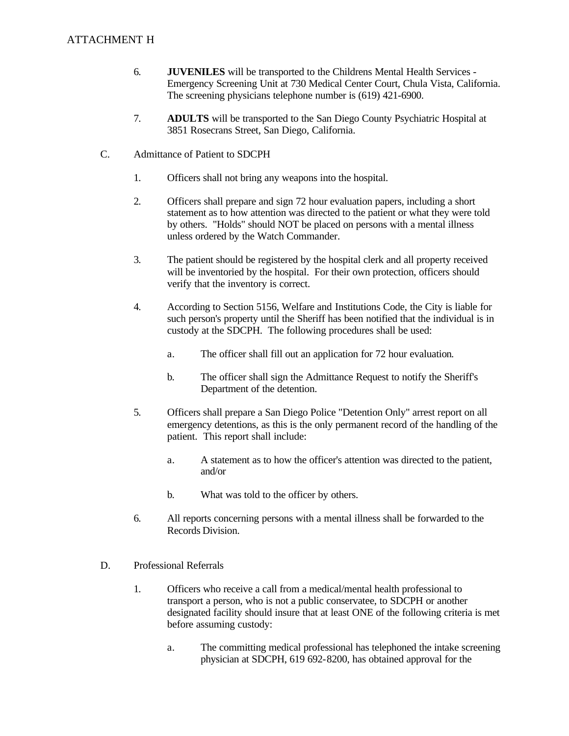### **ATTACHMENT H**

- 6. **JUVENILES** will be transported to the Childrens Mental Health Services -Emergency Screening Unit at 730 Medical Center Court, Chula Vista, California. The screening physicians telephone number is (619) 421-6900.
- 7. 7.**ADULTS** will be transported to the San Diego County Psychiatric Hospital at 3851 Rosecrans Street, San Diego, California.
- $C_{\cdot}$ Admittance of Patient to SDCPH
	- $1.$ Officers shall not bring any weapons into the hospital.
	- $2<sup>1</sup>$ 2.Officers shall prepare and sign 72 hour evaluation papers, including a short statement as to how attention was directed to the patient or what they were told by others. "Holds" should NOT be placed on persons with a mental illness unless ordered by the Watch Commander.
	- $\overline{3}$ . The patient should be registered by the hospital clerk and all property received will be inventoried by the hospital. For their own protection, officers should verify that the inventory is correct.
	- 4. 4.According to Section 5156, Welfare and Institutions Code, the City is liable for such person's property until the Sheriff has been notified that the individual is in custody at the SDCPH. The following procedures shall be used:
		- a.The officer shall fill out an application for 72 hour evaluation.
		- $\mathbf{b}$ . b.The officer shall sign the Admittance Request to notify the Sheriff's Department of the detention.
	- 5. 5.Officers shall prepare a San Diego Police "Detention Only" arrest report on all emergency detentions, as this is the only permanent record of the handling of the patient. This report shall include:
		- a. A statement as to how the officer's attention was directed to the patient, and/or
		- $\mathbf{b}$ . What was told to the officer by others.
	- 6. All reports concerning persons with a mental illness shall be forwarded to the Records Division.
- D. Professional Referrals
	- $1.$ 1.Officers who receive a call from a medical/mental health professional to transport a person, who is not a public conservatee, to SDCPH or another designated facility should insure that at least ONE of the following criteria is met before assuming custody:
		- a. The committing medical professional has telephoned the intake screening physician at SDCPH, 619 692-8200, has obtained approval for the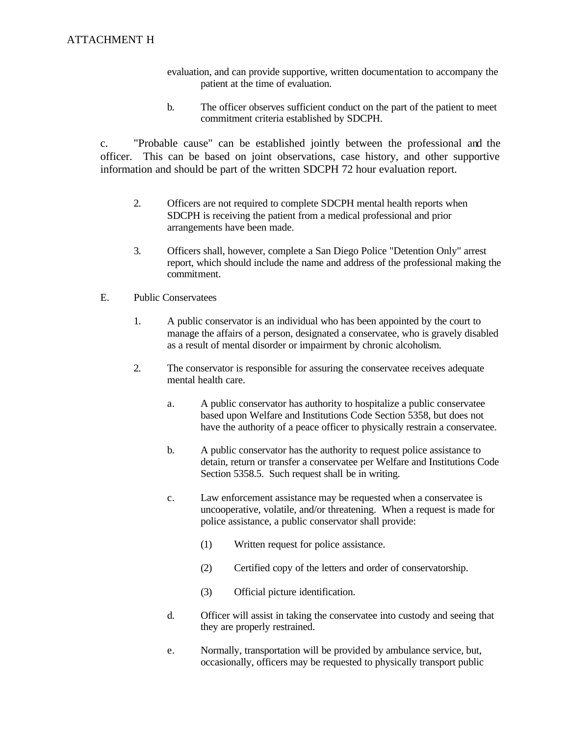- evaluation, and can provide supportive, written documentation to accompany the patient at the time of evaluation.
- $<sub>b</sub>$ .</sub> The officer observes sufficient conduct on the part of the patient to meet commitment criteria established by SDCPH.

c. "Probable cause" can be established jointly between the professional and the officer. This can be based on joint observations, case history, and other supportive information and should be part of the written SDCPH 72 hour evaluation report.

- $2.$ 2.Officers are not required to complete SDCPH mental health reports when SDCPH is receiving the patient from a medical professional and prior arrangements have been made.
- $\overline{3}$ . 3.Officers shall, however, complete a San Diego Police "Detention Only" arrest report, which should include the name and address of the professional making the commitment.
- $E_{\cdot}$ E.Public Conservatees
	- $1.$ 1.A public conservator is an individual who has been appointed by the court to manage the affairs of a person, designated a conservatee, who is gravely disabled as a result of mental disorder or impairment by chronic alcoholism.
	- $2.$ The conservator is responsible for assuring the conservatee receives adequate mental health care.
		- a. A public conservator has authority to hospitalize a public conservatee based upon Welfare and Institutions Code Section 5358, but does not have the authority of a peace officer to physically restrain a conservatee.
		- $\mathbf{b}$ . b.A public conservator has the authority to request police assistance to detain, return or transfer a conservatee per Welfare and Institutions Code Section 5358.5. Such request shall be in writing.
		- $\mathbf{c}$ . Law enforcement assistance may be requested when a conservatee is uncooperative, volatile, and/or threatening. When a request is made for police assistance, a public conservator shall provide:
			- $(1)$ Written request for police assistance.
			- $(2)$ Certified copy of the letters and order of conservatorship.
			- $(3)$ Official picture identification.
		- $\mathbf{d}$ . d.Officer will assist in taking the conservatee into custody and seeing that they are properly restrained.
		- e. Normally, transportation will be provided by ambulance service, but, occasionally, officers may be requested to physically transport public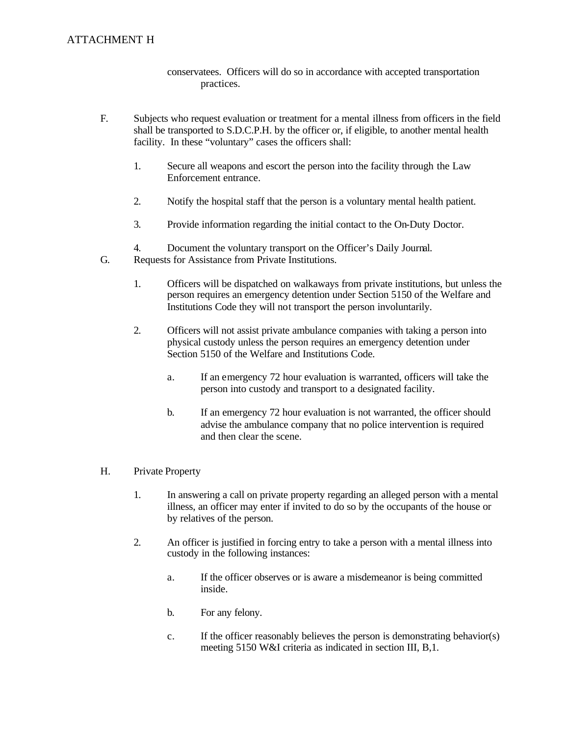# ATTACHMENT H

conservatees. Officers will do so in accordance with accepted transportation practices.

- $F_{\cdot}$ Subjects who request evaluation or treatment for a mental illness from officers in the field shall be transported to S.D.C.P.H. by the officer or, if eligible, to another mental health facility. In these "voluntary" cases the officers shall:
	- $1.$ Secure all weapons and escort the person into the facility through the Law Enforcement entrance.
	- $2.$ 2.Notify the hospital staff that the person is a voluntary mental health patient.
	- $\overline{3}$ . Provide information regarding the initial contact to the On-Duty Doctor.
	- 4.Document the voluntary transport on the Officer's Daily Journal.  $\overline{4}$ .
- $G<sub>r</sub>$ Requests for Assistance from Private Institutions.
	- $1.$ 1.Officers will be dispatched on walkaways from private institutions, but unless the person requires an emergency detention under Section 5150 of the Welfare and Institutions Code they will not transport the person involuntarily.
	- $2.$ 2.Officers will not assist private ambulance companies with taking a person into physical custody unless the person requires an emergency detention under Section 5150 of the Welfare and Institutions Code.
		- a. If an emergency 72 hour evaluation is warranted, officers will take the person into custody and transport to a designated facility.
		- $h_{-}$ If an emergency 72 hour evaluation is not warranted, the officer should advise the ambulance company that no police intervention is required and then clear the scene.

#### H. Private Property

- $1.$ 1.In answering a call on private property regarding an alleged person with a mental illness, an officer may enter if invited to do so by the occupants of the house or by relatives of the person.
- $2.$ 2.An officer is justified in forcing entry to take a person with a mental illness into custody in the following instances:
	- a. If the officer observes or is aware a misdemeanor is being committed inside.
	- $\mathbf{b}$ . For any felony.
	- $\mathbf{c}$ . If the officer reasonably believes the person is demonstrating behavior(s) meeting 5150 W&I criteria as indicated in section III, B,1.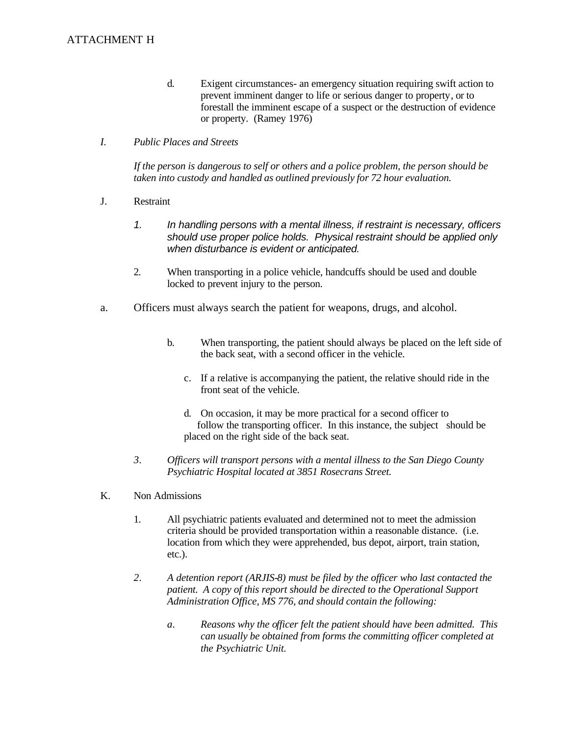- $d_{-}$ Exigent circumstances- an emergency situation requiring swift action to prevent imminent danger to life or serious danger to property, or to forestall the imminent escape of a suspect or the destruction of evidence or property. (Ramey 1976)
- $I_{\cdot}$ *I.Public Places and Streets*

 *taken into custody and handled as outlined previously for 72 hour evaluation. If the person is dangerous to self or others and a police problem, the person should be* 

- $\mathbf{L}$ **Restraint** 
	- $1.$ In handling persons with a mental illness, if restraint is necessary, officers *should use proper police holds. Physical restraint should be applied only when disturbance is evident or anticipated.*
	- $2.$ 2.When transporting in a police vehicle, handcuffs should be used and double locked to prevent injury to the person.
- a. Officers must always search the patient for weapons, drugs, and alcohol.
	- $\mathbf{b}$ . When transporting, the patient should always be placed on the left side of the back seat, with a second officer in the vehicle.
		- c. If a relative is accompanying the patient, the relative should ride in the front seat of the vehicle.
		- d. On occasion, it may be more practical for a second officer to follow the transporting officer. In this instance, the subject should be placed on the right side of the back seat.
	- $3.$ *3.Officers will transport persons with a mental illness to the San Diego County Psychiatric Hospital located at 3851 Rosecrans Street.*
- K. Non Admissions
	- $1.$ All psychiatric patients evaluated and determined not to meet the admission criteria should be provided transportation within a reasonable distance. (i.e. location from which they were apprehended, bus depot, airport, train station, etc.).
	- 2. *2.A detention report (ARJIS-8) must be filed by the officer who last contacted the patient. A copy of this report should be directed to the Operational Support Administration Office, MS 776, and should contain the following:* 
		- $\mathfrak{a}.$ *Reasons why the officer felt the patient should have been admitted. This can usually be obtained from forms the committing officer completed at the Psychiatric Unit.*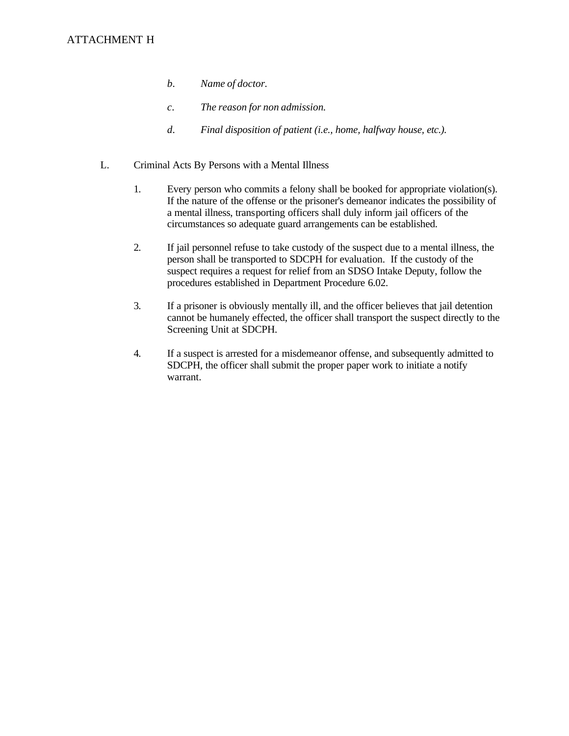- $b.$ *b.Name of doctor.*
- $\overline{c}$ . *c.The reason for non admission.*
- $d$ . *d.Final disposition of patient (i.e., home, halfway house, etc.).*
- L. Criminal Acts By Persons with a Mental Illness
	- $1.$ Every person who commits a felony shall be booked for appropriate violation(s). If the nature of the offense or the prisoner's demeanor indicates the possibility of a mental illness, transporting officers shall duly inform jail officers of the circumstances so adequate guard arrangements can be established.
	- 2. If jail personnel refuse to take custody of the suspect due to a mental illness, the person shall be transported to SDCPH for evaluation. If the custody of the suspect requires a request for relief from an SDSO Intake Deputy, follow the procedures established in Department Procedure 6.02.
	- $3.$ If a prisoner is obviously mentally ill, and the officer believes that jail detention cannot be humanely effected, the officer shall transport the suspect directly to the Screening Unit at SDCPH.
	- $4.$ If a suspect is arrested for a misdemeanor offense, and subsequently admitted to SDCPH, the officer shall submit the proper paper work to initiate a notify warrant.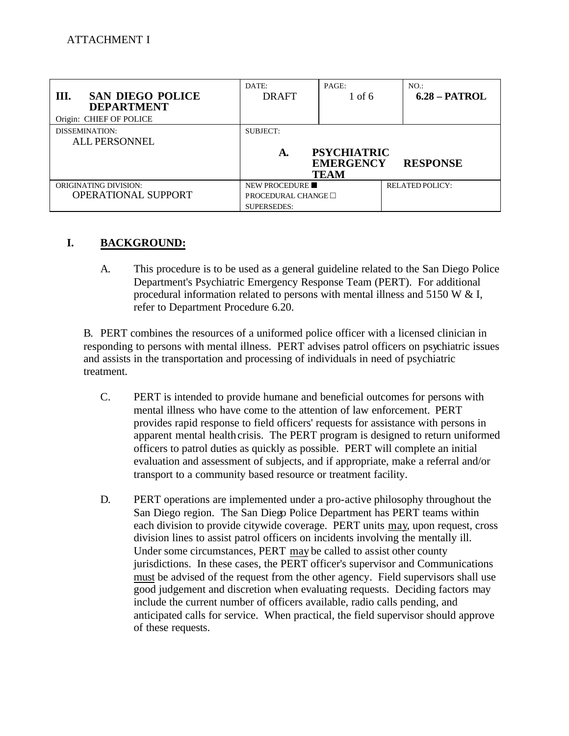| <b>SAN DIEGO POLICE</b><br>Ш.<br><b>DEPARTMENT</b><br>Origin: CHIEF OF POLICE | DATE:<br><b>DRAFT</b>                                           | PAGE:<br>1 of 6                                       | NO.<br>$6.28 - PATROL$ |
|-------------------------------------------------------------------------------|-----------------------------------------------------------------|-------------------------------------------------------|------------------------|
| <b>DISSEMINATION:</b><br><b>ALL PERSONNEL</b>                                 | <b>SUBJECT:</b><br>A.                                           | <b>PSYCHIATRIC</b><br><b>EMERGENCY</b><br><b>TEAM</b> | <b>RESPONSE</b>        |
| <b>ORIGINATING DIVISION:</b><br>OPERATIONAL SUPPORT                           | NEW PROCEDURE<br>PROCEDURAL CHANGE $\Box$<br><b>SUPERSEDES:</b> |                                                       | <b>RELATED POLICY:</b> |

#### I. **I.BACKGROUND:**

A. A.This procedure is to be used as a general guideline related to the San Diego Police Department's Psychiatric Emergency Response Team (PERT). For additional procedural information related to persons with mental illness and 5150 W & I, refer to Department Procedure 6.20.

B. PERT combines the resources of a uniformed police officer with a licensed clinician in responding to persons with mental illness. PERT advises patrol officers on psychiatric issues and assists in the transportation and processing of individuals in need of psychiatric treatment.

- $C_{\cdot}$ PERT is intended to provide humane and beneficial outcomes for persons with mental illness who have come to the attention of law enforcement. PERT provides rapid response to field officers' requests for assistance with persons in apparent mental health crisis. The PERT program is designed to return uniformed officers to patrol duties as quickly as possible. PERT will complete an initial evaluation and assessment of subjects, and if appropriate, make a referral and/or transport to a community based resource or treatment facility.
- D. D.PERT operations are implemented under a pro-active philosophy throughout the San Diego region. The San Diego Police Department has PERT teams within each division to provide citywide coverage. PERT units may, upon request, cross division lines to assist patrol officers on incidents involving the mentally ill. Under some circumstances, PERT may be called to assist other county jurisdictions. In these cases, the PERT officer's supervisor and Communications must be advised of the request from the other agency. Field supervisors shall use good judgement and discretion when evaluating requests. Deciding factors may include the current number of officers available, radio calls pending, and anticipated calls for service. When practical, the field supervisor should approve of these requests.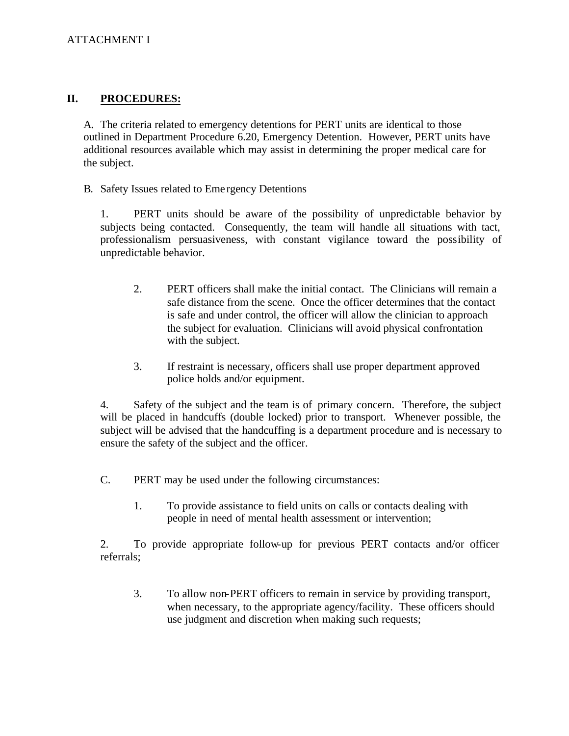#### II. **II.PROCEDURES:**

A. The criteria related to emergency detentions for PERT units are identical to those outlined in Department Procedure 6.20, Emergency Detention. However, PERT units have additional resources available which may assist in determining the proper medical care for the subject.

B. Safety Issues related to Eme rgency Detentions

1. PERT units should be aware of the possibility of unpredictable behavior by subjects being contacted. Consequently, the team will handle all situations with tact, professionalism persuasiveness, with constant vigilance toward the possibility of unpredictable behavior.

- $2.$ PERT officers shall make the initial contact. The Clinicians will remain a safe distance from the scene. Once the officer determines that the contact is safe and under control, the officer will allow the clinician to approach the subject for evaluation. Clinicians will avoid physical confrontation with the subject.
- 3. If restraint is necessary, officers shall use proper department approved police holds and/or equipment.

4. Safety of the subject and the team is of primary concern. Therefore, the subject will be placed in handcuffs (double locked) prior to transport. Whenever possible, the subject will be advised that the handcuffing is a department procedure and is necessary to ensure the safety of the subject and the officer.

 $C_{\cdot}$ PERT may be used under the following circumstances:

> 1. 1.To provide assistance to field units on calls or contacts dealing with people in need of mental health assessment or intervention;

2. To provide appropriate follow-up for previous PERT contacts and/or officer referrals;

3. 3.To allow non-PERT officers to remain in service by providing transport, when necessary, to the appropriate agency/facility. These officers should use judgment and discretion when making such requests;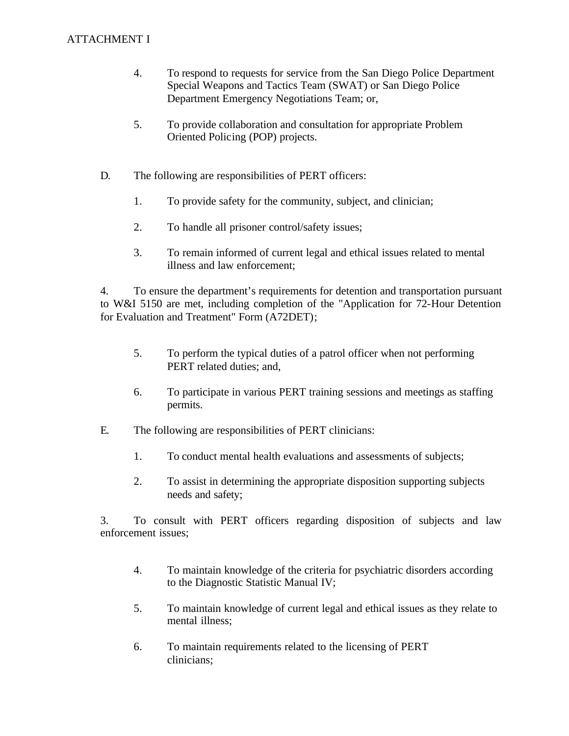## **ATTACHMENT I**

- $\overline{4}$ . To respond to requests for service from the San Diego Police Department Special Weapons and Tactics Team (SWAT) or San Diego Police Department Emergency Negotiations Team; or,
- 5. 5.To provide collaboration and consultation for appropriate Problem Oriented Policing (POP) projects.
- $D<sub>1</sub>$ The following are responsibilities of PERT officers:
	- $1<sup>1</sup>$ To provide safety for the community, subject, and clinician;
	- $2.$ 2.To handle all prisoner control/safety issues;
	- $\overline{3}$ . 3.To remain informed of current legal and ethical issues related to mental illness and law enforcement;

4. To ensure the department's requirements for detention and transportation pursuant to W&I 5150 are met, including completion of the "Application for 72-Hour Detention for Evaluation and Treatment" Form (A72DET);

- 5. 5.To perform the typical duties of a patrol officer when not performing PERT related duties; and,
- 6. To participate in various PERT training sessions and meetings as staffing permits.
- E. The following are responsibilities of PERT clinicians:
	- 1. To conduct mental health evaluations and assessments of subjects;
	- $2.$ 2.To assist in determining the appropriate disposition supporting subjects needs and safety;

3. To consult with PERT officers regarding disposition of subjects and law enforcement issues;

- $4.$ 4.To maintain knowledge of the criteria for psychiatric disorders according to the Diagnostic Statistic Manual IV;
- 5. 5.To maintain knowledge of current legal and ethical issues as they relate to mental illness;
- 6. To maintain requirements related to the licensing of PERT clinicians;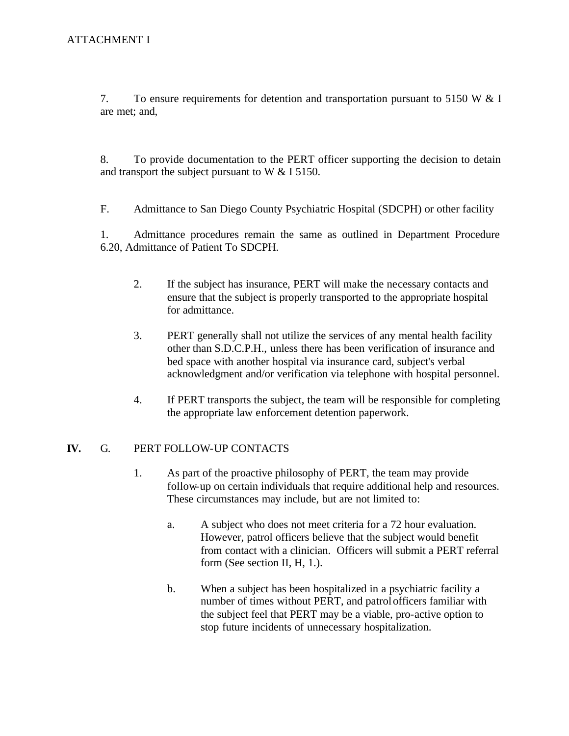7. To ensure requirements for detention and transportation pursuant to 5150 W & I are met; and,

8. To provide documentation to the PERT officer supporting the decision to detain and transport the subject pursuant to W & I 5150.

 $F_{\cdot}$ Admittance to San Diego County Psychiatric Hospital (SDCPH) or other facility

1. Admittance procedures remain the same as outlined in Department Procedure 6.20, Admittance of Patient To SDCPH.

- $2.$ If the subject has insurance, PERT will make the necessary contacts and ensure that the subject is properly transported to the appropriate hospital for admittance.
- $3.$ 3.PERT generally shall not utilize the services of any mental health facility other than S.D.C.P.H., unless there has been verification of insurance and bed space with another hospital via insurance card, subject's verbal acknowledgment and/or verification via telephone with hospital personnel.
- $\overline{4}$ . If PERT transports the subject, the team will be responsible for completing the appropriate law enforcement detention paperwork.

#### IV. **IV.**G. PERT FOLLOW-UP CONTACTS

- 1. As part of the proactive philosophy of PERT, the team may provide follow-up on certain individuals that require additional help and resources. These circumstances may include, but are not limited to:
	- a. A subject who does not meet criteria for a 72 hour evaluation. However, patrol officers believe that the subject would benefit from contact with a clinician. Officers will submit a PERT referral form (See section II, H, 1.).
	- $\mathbf{b}$ . When a subject has been hospitalized in a psychiatric facility a number of times without PERT, and patrolofficers familiar with the subject feel that PERT may be a viable, pro-active option to stop future incidents of unnecessary hospitalization.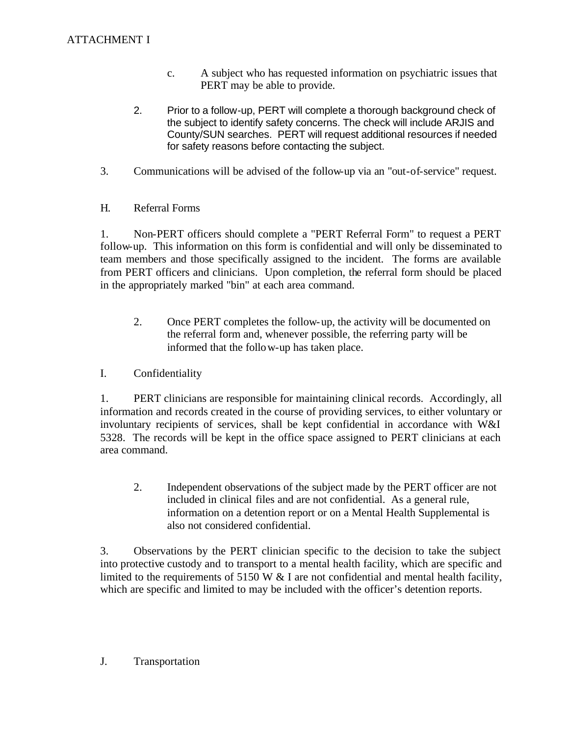- $\mathbf{c}$ . A subject who has requested information on psychiatric issues that PERT may be able to provide.
- $2.$ Prior to a follow-up, PERT will complete a thorough background check of the subject to identify safety concerns. The check will include ARJIS and County/SUN searches. PERT will request additional resources if needed for safety reasons before contacting the subject.
- $3.$ 3.Communications will be advised of the follow-up via an "out-of-service" request.
- H. Referral Forms

1. Non-PERT officers should complete a "PERT Referral Form" to request a PERT follow-up. This information on this form is confidential and will only be disseminated to team members and those specifically assigned to the incident. The forms are available from PERT officers and clinicians. Upon completion, the referral form should be placed in the appropriately marked "bin" at each area command.

- $2.$ 2.Once PERT completes the follow-up, the activity will be documented on the referral form and, whenever possible, the referring party will be informed that the follo w-up has taken place.
- $\mathbf{I}$ . Confidentiality

1. PERT clinicians are responsible for maintaining clinical records. Accordingly, all information and records created in the course of providing services, to either voluntary or involuntary recipients of services, shall be kept confidential in accordance with W&I 5328. The records will be kept in the office space assigned to PERT clinicians at each area command.

 $2.$ Independent observations of the subject made by the PERT officer are not included in clinical files and are not confidential. As a general rule, information on a detention report or on a Mental Health Supplemental is also not considered confidential.

3. Observations by the PERT clinician specific to the decision to take the subject into protective custody and to transport to a mental health facility, which are specific and limited to the requirements of 5150 W  $&$  I are not confidential and mental health facility, which are specific and limited to may be included with the officer's detention reports.

#### $J<sub>r</sub>$ **Transportation**